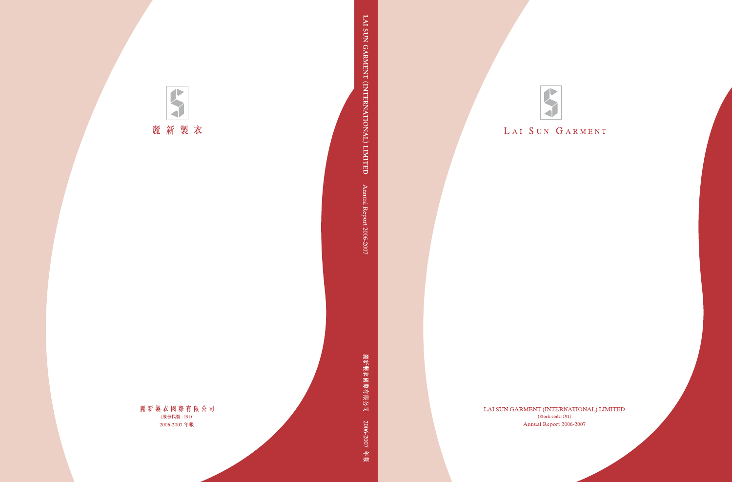

# LAI SUN GARMENT

LAI SUN GARMENT (INTERNATIONAL) LIMITED (Stock code: 191) Annual Report 2006-2007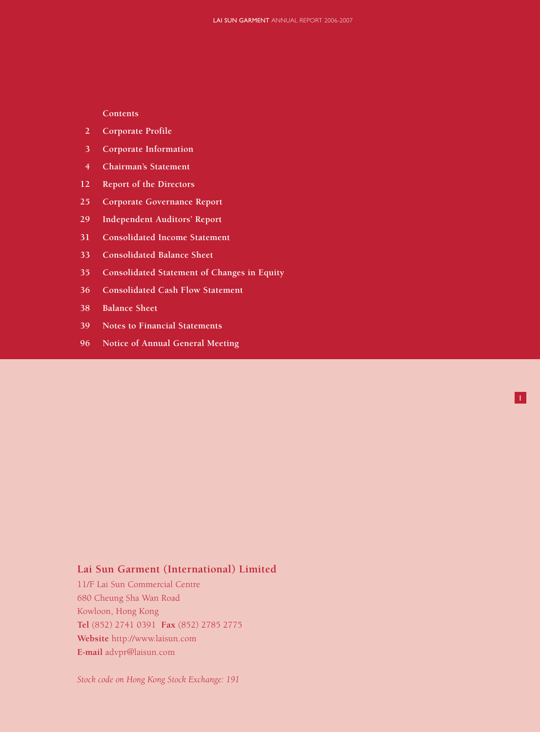#### **Contents**

- **2 Corporate Profile**
- **3 Corporate Information**
- **4 Chairman's Statement**
- **12 Report of the Directors**
- **25 Corporate Governance Report**
- **29 Independent Auditors' Report**
- **31 Consolidated Income Statement**
- **33 Consolidated Balance Sheet**
- **35 Consolidated Statement of Changes in Equity**
- **36 Consolidated Cash Flow Statement**
- **38 Balance Sheet**
- **39 Notes to Financial Statements**
- **96 Notice of Annual General Meeting**

#### **Lai Sun Garment (International) Limited**

11/F Lai Sun Commercial Centre 680 Cheung Sha Wan Road Kowloon, Hong Kong **Tel** (852) 2741 0391 **Fax** (852) 2785 2775 **Website** http://www.laisun.com **E-mail** advpr@laisun.com

*Stock code on Hong Kong Stock Exchange: 191*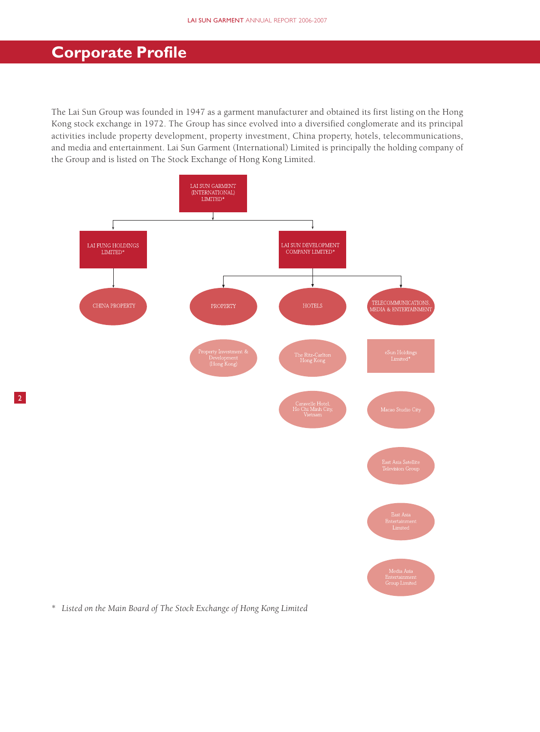### **Corporate Profile**

The Lai Sun Group was founded in 1947 as a garment manufacturer and obtained its first listing on the Hong Kong stock exchange in 1972. The Group has since evolved into a diversified conglomerate and its principal activities include property development, property investment, China property, hotels, telecommunications, and media and entertainment. Lai Sun Garment (International) Limited is principally the holding company of the Group and is listed on The Stock Exchange of Hong Kong Limited.



\* *Listed on the Main Board of The Stock Exchange of Hong Kong Limited*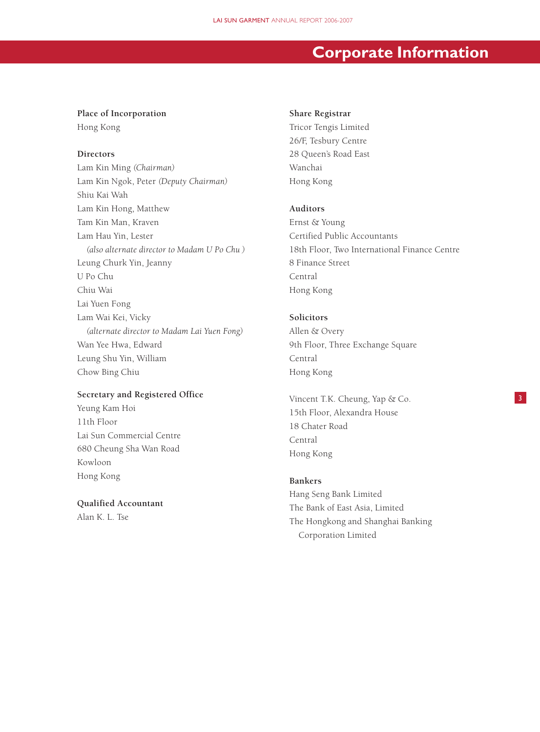### **Corporate Information**

#### **Place of Incorporation**

Hong Kong

#### **Directors**

Lam Kin Ming *(Chairman)* Lam Kin Ngok, Peter *(Deputy Chairman)* Shiu Kai Wah Lam Kin Hong, Matthew Tam Kin Man, Kraven Lam Hau Yin, Lester *(also alternate director to Madam U Po Chu )* Leung Churk Yin, Jeanny U Po Chu Chiu Wai Lai Yuen Fong Lam Wai Kei, Vicky *(alternate director to Madam Lai Yuen Fong)* Wan Yee Hwa, Edward Leung Shu Yin, William Chow Bing Chiu

#### **Secretary and Registered Office**

Yeung Kam Hoi 11th Floor Lai Sun Commercial Centre 680 Cheung Sha Wan Road Kowloon Hong Kong

#### **Qualified Accountant**

Alan K. L. Tse

#### **Share Registrar**

Tricor Tengis Limited 26/F, Tesbury Centre 28 Queen's Road East Wanchai Hong Kong

#### **Auditors**

Ernst & Young Certified Public Accountants 18th Floor, Two International Finance Centre 8 Finance Street Central Hong Kong

#### **Solicitors**

Allen & Overy 9th Floor, Three Exchange Square Central Hong Kong

Vincent T.K. Cheung, Yap & Co. 15th Floor, Alexandra House 18 Chater Road Central Hong Kong

#### **Bankers**

Hang Seng Bank Limited The Bank of East Asia, Limited The Hongkong and Shanghai Banking Corporation Limited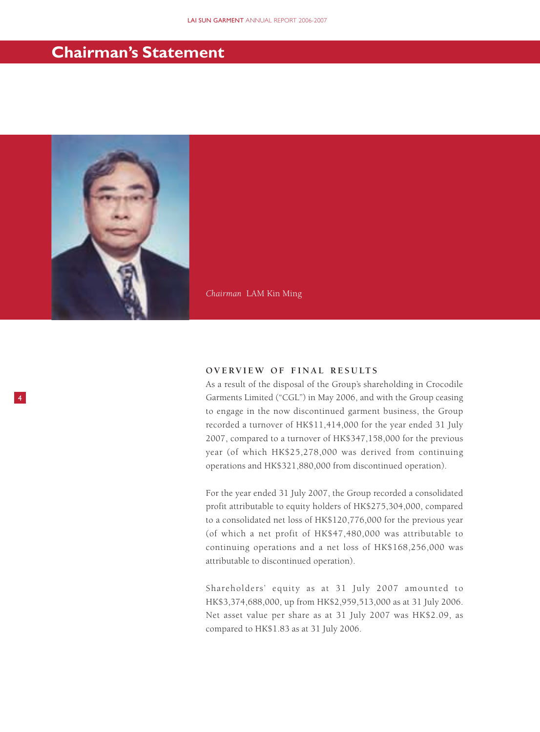### **Chairman's Statement**



*Chairman* LAM Kin Ming

#### **OVERVIEW OF FINAL RESULTS**

As a result of the disposal of the Group's shareholding in Crocodile Garments Limited ("CGL") in May 2006, and with the Group ceasing to engage in the now discontinued garment business, the Group recorded a turnover of HK\$11,414,000 for the year ended 31 July 2007, compared to a turnover of HK\$347,158,000 for the previous year (of which HK\$25,278,000 was derived from continuing operations and HK\$321,880,000 from discontinued operation).

For the year ended 31 July 2007, the Group recorded a consolidated profit attributable to equity holders of HK\$275,304,000, compared to a consolidated net loss of HK\$120,776,000 for the previous year (of which a net profit of HK\$47,480,000 was attributable to continuing operations and a net loss of HK\$168,256,000 was attributable to discontinued operation).

Shareholders' equity as at 31 July 2007 amounted to HK\$3,374,688,000, up from HK\$2,959,513,000 as at 31 July 2006. Net asset value per share as at 31 July 2007 was HK\$2.09, as compared to HK\$1.83 as at 31 July 2006.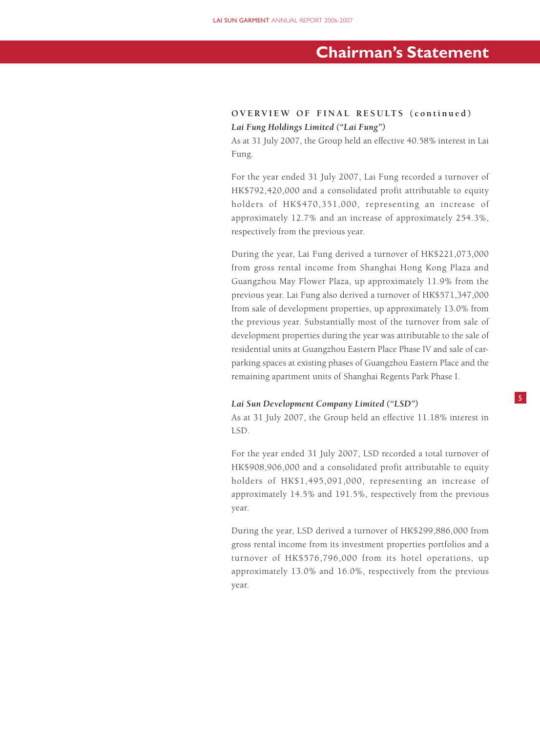#### **OVERVIEW OF FINAL RESULTS (continued)** *Lai Fung Holdings Limited ("Lai Fung")*

As at 31 July 2007, the Group held an effective 40.58% interest in Lai Fung.

For the year ended 31 July 2007, Lai Fung recorded a turnover of HK\$792,420,000 and a consolidated profit attributable to equity holders of HK\$470,351,000, representing an increase of approximately 12.7% and an increase of approximately 254.3%, respectively from the previous year.

During the year, Lai Fung derived a turnover of HK\$221,073,000 from gross rental income from Shanghai Hong Kong Plaza and Guangzhou May Flower Plaza, up approximately 11.9% from the previous year. Lai Fung also derived a turnover of HK\$571,347,000 from sale of development properties, up approximately 13.0% from the previous year. Substantially most of the turnover from sale of development properties during the year was attributable to the sale of residential units at Guangzhou Eastern Place Phase IV and sale of carparking spaces at existing phases of Guangzhou Eastern Place and the remaining apartment units of Shanghai Regents Park Phase I.

#### *Lai Sun Development Company Limited ("LSD")*

As at 31 July 2007, the Group held an effective 11.18% interest in LSD.

For the year ended 31 July 2007, LSD recorded a total turnover of HK\$908,906,000 and a consolidated profit attributable to equity holders of HK\$1,495,091,000, representing an increase of approximately 14.5% and 191.5%, respectively from the previous year.

During the year, LSD derived a turnover of HK\$299,886,000 from gross rental income from its investment properties portfolios and a turnover of HK\$576,796,000 from its hotel operations, up approximately 13.0% and 16.0%, respectively from the previous year.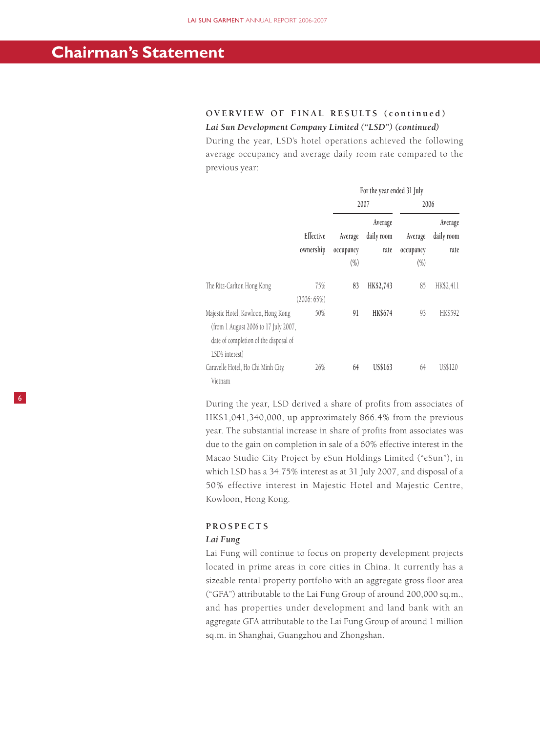#### **OVERVIEW OF FINAL RESULTS (continued)** *Lai Sun Development Company Limited ("LSD") (continued)*

During the year, LSD's hotel operations achieved the following average occupancy and average daily room rate compared to the previous year:

|                                       |               | For the year ended 31 July |            |           |                |  |
|---------------------------------------|---------------|----------------------------|------------|-----------|----------------|--|
|                                       |               |                            | 2007       | 2006      |                |  |
|                                       |               |                            | Average    |           | Average        |  |
|                                       | Effective     | Average                    | daily room | Average   | daily room     |  |
|                                       | ownership     | occupancy                  | rate       | occupancy | rate           |  |
|                                       |               | $(\% )$                    |            | $(\% )$   |                |  |
| The Ritz-Carlton Hong Kong            | 75%           | 83                         | HK\$2,743  | 85        | HK\$2,411      |  |
|                                       | $(2006:65\%)$ |                            |            |           |                |  |
| Majestic Hotel, Kowloon, Hong Kong    | 50%           | 91                         | HK\$674    | 93        | <b>HK\$592</b> |  |
| (from 1 August 2006 to 17 July 2007,  |               |                            |            |           |                |  |
| date of completion of the disposal of |               |                            |            |           |                |  |
| LSD's interest)                       |               |                            |            |           |                |  |
| Caravelle Hotel, Ho Chi Minh City,    | 26%           | 64                         | US\$163    | 64        | US\$120        |  |
| Vietnam                               |               |                            |            |           |                |  |

During the year, LSD derived a share of profits from associates of HK\$1,041,340,000, up approximately 866.4% from the previous year. The substantial increase in share of profits from associates was due to the gain on completion in sale of a 60% effective interest in the Macao Studio City Project by eSun Holdings Limited ("eSun"), in which LSD has a 34.75% interest as at 31 July 2007, and disposal of a 50% effective interest in Majestic Hotel and Majestic Centre, Kowloon, Hong Kong.

#### **PROSPECTS**

#### *Lai Fung*

Lai Fung will continue to focus on property development projects located in prime areas in core cities in China. It currently has a sizeable rental property portfolio with an aggregate gross floor area ("GFA") attributable to the Lai Fung Group of around 200,000 sq.m., and has properties under development and land bank with an aggregate GFA attributable to the Lai Fung Group of around 1 million sq.m. in Shanghai, Guangzhou and Zhongshan.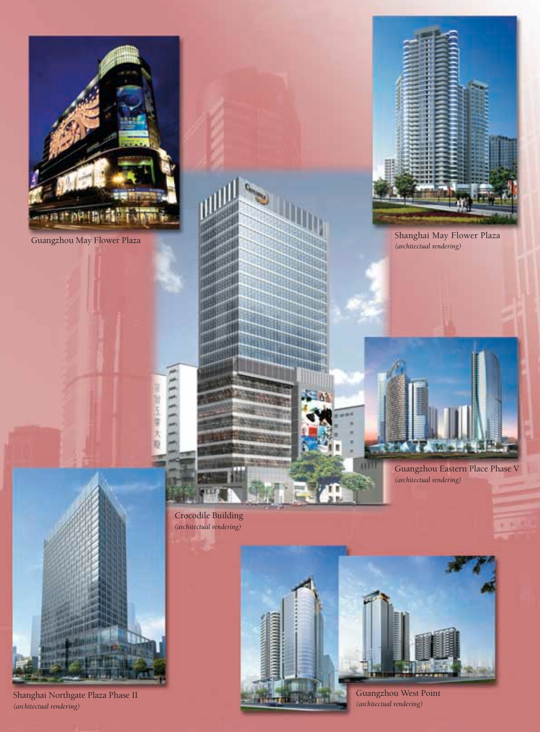



Shanghai Northgate Plaza Phase II *(architectual rendering)*



Guangzhou May Flower Plaza Shanghai May Flower Plaza *(architectual rendering)*

Guangzhou Eastern Place Phase V

n ar

*(architectual rendering)*

1



大田村



*(architectual rendering)*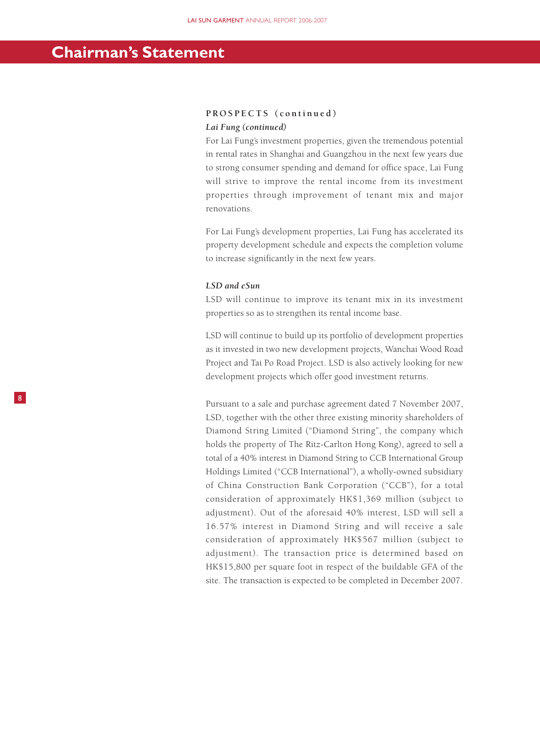#### **PROSPECTS (continued)** *Lai Fung (continued)*

For Lai Fung's investment properties, given the tremendous potential in rental rates in Shanghai and Guangzhou in the next few years due to strong consumer spending and demand for office space, Lai Fung will strive to improve the rental income from its investment properties through improvement of tenant mix and major renovations.

For Lai Fung's development properties, Lai Fung has accelerated its property development schedule and expects the completion volume to increase significantly in the next few years.

#### *LSD and eSun*

LSD will continue to improve its tenant mix in its investment properties so as to strengthen its rental income base.

LSD will continue to build up its portfolio of development properties as it invested in two new development projects, Wanchai Wood Road Project and Tai Po Road Project. LSD is also actively looking for new development projects which offer good investment returns.

Pursuant to a sale and purchase agreement dated 7 November 2007, LSD, together with the other three existing minority shareholders of Diamond String Limited ("Diamond String", the company which holds the property of The Ritz-Carlton Hong Kong), agreed to sell a total of a 40% interest in Diamond String to CCB International Group Holdings Limited ("CCB International"), a wholly-owned subsidiary of China Construction Bank Corporation ("CCB"), for a total consideration of approximately HK\$1,369 million (subject to adjustment). Out of the aforesaid 40% interest, LSD will sell a 16.57% interest in Diamond String and will receive a sale consideration of approximately HK\$567 million (subject to adjustment). The transaction price is determined based on HK\$15,800 per square foot in respect of the buildable GFA of the site. The transaction is expected to be completed in December 2007.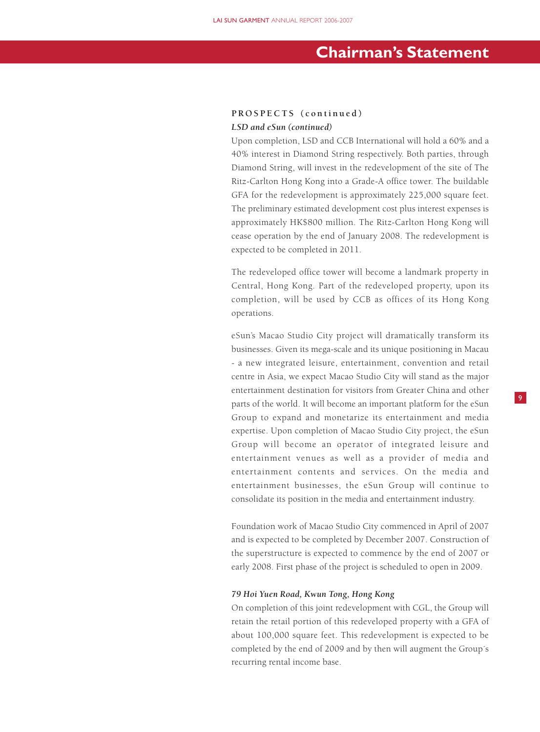### **Chairman's Statement**

#### **PROSPECTS (continued)** *LSD and eSun (continued)*

Upon completion, LSD and CCB International will hold a 60% and a 40% interest in Diamond String respectively. Both parties, through Diamond String, will invest in the redevelopment of the site of The Ritz-Carlton Hong Kong into a Grade-A office tower. The buildable GFA for the redevelopment is approximately 225,000 square feet. The preliminary estimated development cost plus interest expenses is approximately HK\$800 million. The Ritz-Carlton Hong Kong will cease operation by the end of January 2008. The redevelopment is expected to be completed in 2011.

The redeveloped office tower will become a landmark property in Central, Hong Kong. Part of the redeveloped property, upon its completion, will be used by CCB as offices of its Hong Kong operations.

eSun's Macao Studio City project will dramatically transform its businesses. Given its mega-scale and its unique positioning in Macau - a new integrated leisure, entertainment, convention and retail centre in Asia, we expect Macao Studio City will stand as the major entertainment destination for visitors from Greater China and other parts of the world. It will become an important platform for the eSun Group to expand and monetarize its entertainment and media expertise. Upon completion of Macao Studio City project, the eSun Group will become an operator of integrated leisure and entertainment venues as well as a provider of media and entertainment contents and services. On the media and entertainment businesses, the eSun Group will continue to consolidate its position in the media and entertainment industry.

Foundation work of Macao Studio City commenced in April of 2007 and is expected to be completed by December 2007. Construction of the superstructure is expected to commence by the end of 2007 or early 2008. First phase of the project is scheduled to open in 2009.

#### *79 Hoi Yuen Road, Kwun Tong, Hong Kong*

On completion of this joint redevelopment with CGL, the Group will retain the retail portion of this redeveloped property with a GFA of about 100,000 square feet. This redevelopment is expected to be completed by the end of 2009 and by then will augment the Group´s recurring rental income base.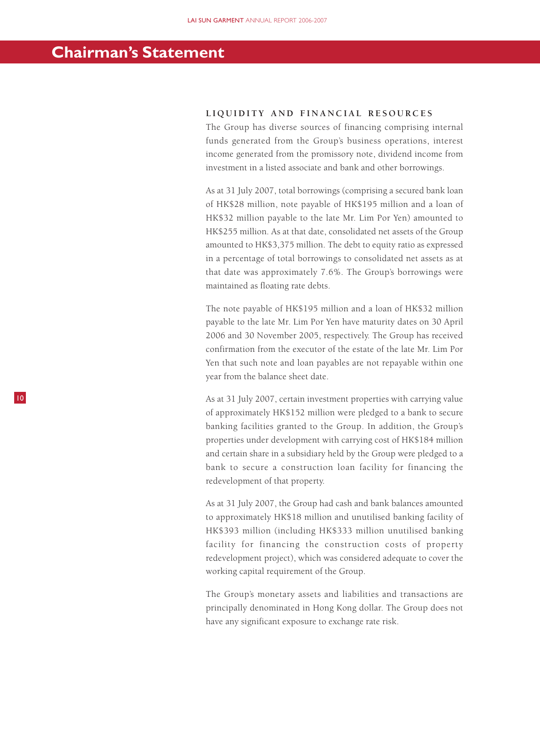#### **LIQUIDITY AND FINANCIAL RESOURCES**

The Group has diverse sources of financing comprising internal funds generated from the Group's business operations, interest income generated from the promissory note, dividend income from investment in a listed associate and bank and other borrowings.

As at 31 July 2007, total borrowings (comprising a secured bank loan of HK\$28 million, note payable of HK\$195 million and a loan of HK\$32 million payable to the late Mr. Lim Por Yen) amounted to HK\$255 million. As at that date, consolidated net assets of the Group amounted to HK\$3,375 million. The debt to equity ratio as expressed in a percentage of total borrowings to consolidated net assets as at that date was approximately 7.6%. The Group's borrowings were maintained as floating rate debts.

The note payable of HK\$195 million and a loan of HK\$32 million payable to the late Mr. Lim Por Yen have maturity dates on 30 April 2006 and 30 November 2005, respectively. The Group has received confirmation from the executor of the estate of the late Mr. Lim Por Yen that such note and loan payables are not repayable within one year from the balance sheet date.

As at 31 July 2007, certain investment properties with carrying value of approximately HK\$152 million were pledged to a bank to secure banking facilities granted to the Group. In addition, the Group's properties under development with carrying cost of HK\$184 million and certain share in a subsidiary held by the Group were pledged to a bank to secure a construction loan facility for financing the redevelopment of that property.

As at 31 July 2007, the Group had cash and bank balances amounted to approximately HK\$18 million and unutilised banking facility of HK\$393 million (including HK\$333 million unutilised banking facility for financing the construction costs of property redevelopment project), which was considered adequate to cover the working capital requirement of the Group.

The Group's monetary assets and liabilities and transactions are principally denominated in Hong Kong dollar. The Group does not have any significant exposure to exchange rate risk.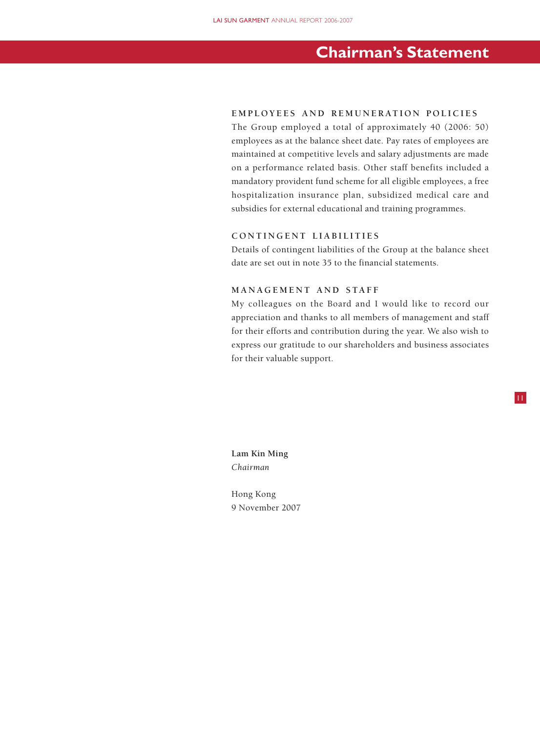### **Chairman's Statement**

#### **EMPLOYEES AND REMUNERATION POLICIES**

The Group employed a total of approximately 40 (2006: 50) employees as at the balance sheet date. Pay rates of employees are maintained at competitive levels and salary adjustments are made on a performance related basis. Other staff benefits included a mandatory provident fund scheme for all eligible employees, a free hospitalization insurance plan, subsidized medical care and subsidies for external educational and training programmes.

#### **CONTINGENT LIABILITIES**

Details of contingent liabilities of the Group at the balance sheet date are set out in note 35 to the financial statements.

#### **MANAGEMENT AND STAFF**

My colleagues on the Board and I would like to record our appreciation and thanks to all members of management and staff for their efforts and contribution during the year. We also wish to express our gratitude to our shareholders and business associates for their valuable support.

**Lam Kin Ming** *Chairman*

Hong Kong 9 November 2007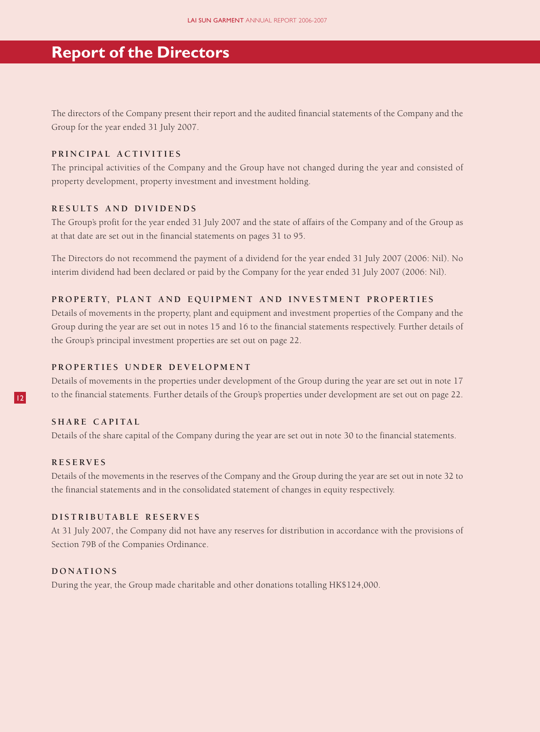The directors of the Company present their report and the audited financial statements of the Company and the Group for the year ended 31 July 2007.

#### **PRINCIPAL ACTIVITIES**

The principal activities of the Company and the Group have not changed during the year and consisted of property development, property investment and investment holding.

#### **RESULTS AND DIVIDENDS**

The Group's profit for the year ended 31 July 2007 and the state of affairs of the Company and of the Group as at that date are set out in the financial statements on pages 31 to 95.

The Directors do not recommend the payment of a dividend for the year ended 31 July 2007 (2006: Nil). No interim dividend had been declared or paid by the Company for the year ended 31 July 2007 (2006: Nil).

#### **PROPERTY, PLANT AND EQUIPMENT AND INVESTMENT PROPERTIES**

Details of movements in the property, plant and equipment and investment properties of the Company and the Group during the year are set out in notes 15 and 16 to the financial statements respectively. Further details of the Group's principal investment properties are set out on page 22.

#### **PROPERTIES UNDER DEVELOPMENT**

Details of movements in the properties under development of the Group during the year are set out in note 17 to the financial statements. Further details of the Group's properties under development are set out on page 22.

#### **SHARE CAPITAL**

Details of the share capital of the Company during the year are set out in note 30 to the financial statements.

#### **RESERVES**

Details of the movements in the reserves of the Company and the Group during the year are set out in note 32 to the financial statements and in the consolidated statement of changes in equity respectively.

#### **DISTRIBUTABLE RESERVES**

At 31 July 2007, the Company did not have any reserves for distribution in accordance with the provisions of Section 79B of the Companies Ordinance.

#### **DONATIONS**

During the year, the Group made charitable and other donations totalling HK\$124,000.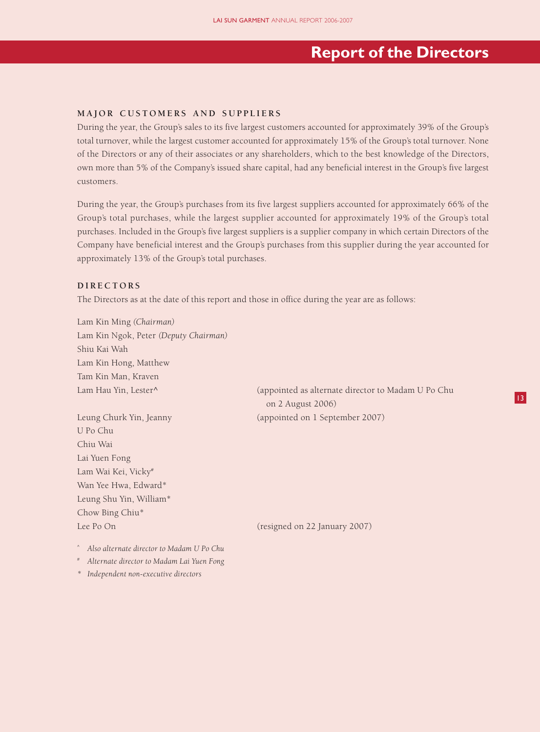#### **MAJOR CUSTOMERS AND SUPPLIERS**

During the year, the Group's sales to its five largest customers accounted for approximately 39% of the Group's total turnover, while the largest customer accounted for approximately 15% of the Group's total turnover. None of the Directors or any of their associates or any shareholders, which to the best knowledge of the Directors, own more than 5% of the Company's issued share capital, had any beneficial interest in the Group's five largest customers.

During the year, the Group's purchases from its five largest suppliers accounted for approximately 66% of the Group's total purchases, while the largest supplier accounted for approximately 19% of the Group's total purchases. Included in the Group's five largest suppliers is a supplier company in which certain Directors of the Company have beneficial interest and the Group's purchases from this supplier during the year accounted for approximately 13% of the Group's total purchases.

#### **DIRECTORS**

The Directors as at the date of this report and those in office during the year are as follows:

Lam Kin Ming *(Chairman)* Lam Kin Ngok, Peter *(Deputy Chairman)* Shiu Kai Wah Lam Kin Hong, Matthew Tam Kin Man, Kraven

U Po Chu Chiu Wai Lai Yuen Fong Lam Wai Kei, Vicky# Wan Yee Hwa, Edward\* Leung Shu Yin, William\* Chow Bing Chiu\* Lee Po On (resigned on 22 January 2007)

Lam Hau Yin, Lester<sup>^</sup> (appointed as alternate director to Madam U Po Chu on 2 August 2006) Leung Churk Yin, Jeanny (appointed on 1 September 2007)

*^ Also alternate director to Madam U Po Chu*

*# Alternate director to Madam Lai Yuen Fong*

*\* Independent non-executive directors*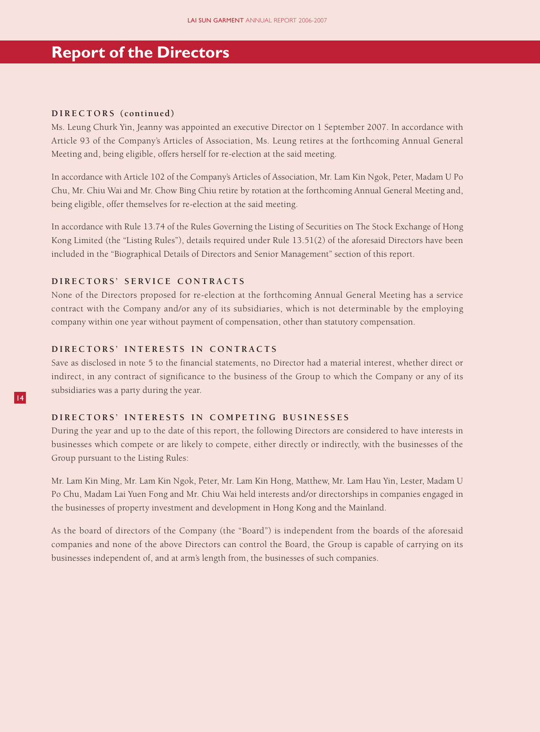#### **DIRECTORS (continued)**

Ms. Leung Churk Yin, Jeanny was appointed an executive Director on 1 September 2007. In accordance with Article 93 of the Company's Articles of Association, Ms. Leung retires at the forthcoming Annual General Meeting and, being eligible, offers herself for re-election at the said meeting.

In accordance with Article 102 of the Company's Articles of Association, Mr. Lam Kin Ngok, Peter, Madam U Po Chu, Mr. Chiu Wai and Mr. Chow Bing Chiu retire by rotation at the forthcoming Annual General Meeting and, being eligible, offer themselves for re-election at the said meeting.

In accordance with Rule 13.74 of the Rules Governing the Listing of Securities on The Stock Exchange of Hong Kong Limited (the "Listing Rules"), details required under Rule 13.51(2) of the aforesaid Directors have been included in the "Biographical Details of Directors and Senior Management" section of this report.

#### **DIRECTORS ' SERVICE CONTRACTS**

None of the Directors proposed for re-election at the forthcoming Annual General Meeting has a service contract with the Company and/or any of its subsidiaries, which is not determinable by the employing company within one year without payment of compensation, other than statutory compensation.

#### **DIRECTORS ' INTERESTS IN CONTRACTS**

Save as disclosed in note 5 to the financial statements, no Director had a material interest, whether direct or indirect, in any contract of significance to the business of the Group to which the Company or any of its subsidiaries was a party during the year.

#### **DIRECTORS ' INTERESTS IN COMPETING BUSINESSES**

During the year and up to the date of this report, the following Directors are considered to have interests in businesses which compete or are likely to compete, either directly or indirectly, with the businesses of the Group pursuant to the Listing Rules:

Mr. Lam Kin Ming, Mr. Lam Kin Ngok, Peter, Mr. Lam Kin Hong, Matthew, Mr. Lam Hau Yin, Lester, Madam U Po Chu, Madam Lai Yuen Fong and Mr. Chiu Wai held interests and/or directorships in companies engaged in the businesses of property investment and development in Hong Kong and the Mainland.

As the board of directors of the Company (the "Board") is independent from the boards of the aforesaid companies and none of the above Directors can control the Board, the Group is capable of carrying on its businesses independent of, and at arm's length from, the businesses of such companies.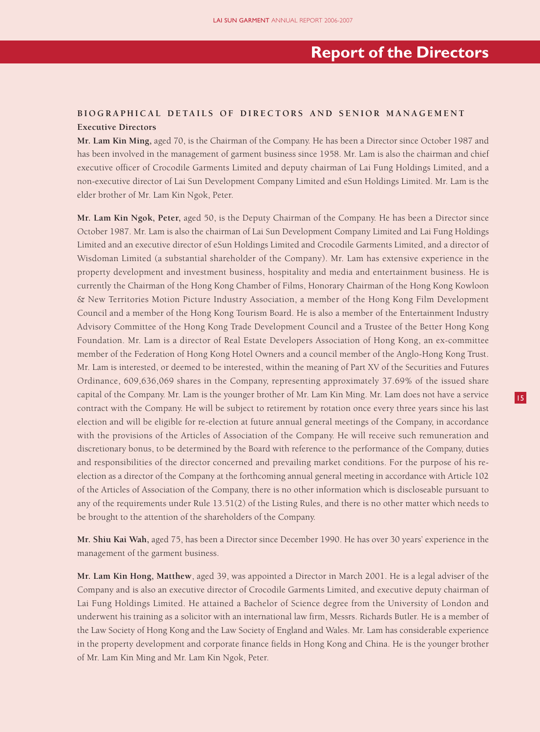#### **BIOGRAPHICAL DETAILS OF DIRECTORS AND SENIOR MANAGEMENT Executive Directors**

**Mr. Lam Kin Ming,** aged 70, is the Chairman of the Company. He has been a Director since October 1987 and has been involved in the management of garment business since 1958. Mr. Lam is also the chairman and chief executive officer of Crocodile Garments Limited and deputy chairman of Lai Fung Holdings Limited, and a non-executive director of Lai Sun Development Company Limited and eSun Holdings Limited. Mr. Lam is the elder brother of Mr. Lam Kin Ngok, Peter.

**Mr. Lam Kin Ngok, Peter,** aged 50, is the Deputy Chairman of the Company. He has been a Director since October 1987. Mr. Lam is also the chairman of Lai Sun Development Company Limited and Lai Fung Holdings Limited and an executive director of eSun Holdings Limited and Crocodile Garments Limited, and a director of Wisdoman Limited (a substantial shareholder of the Company). Mr. Lam has extensive experience in the property development and investment business, hospitality and media and entertainment business. He is currently the Chairman of the Hong Kong Chamber of Films, Honorary Chairman of the Hong Kong Kowloon & New Territories Motion Picture Industry Association, a member of the Hong Kong Film Development Council and a member of the Hong Kong Tourism Board. He is also a member of the Entertainment Industry Advisory Committee of the Hong Kong Trade Development Council and a Trustee of the Better Hong Kong Foundation. Mr. Lam is a director of Real Estate Developers Association of Hong Kong, an ex-committee member of the Federation of Hong Kong Hotel Owners and a council member of the Anglo-Hong Kong Trust. Mr. Lam is interested, or deemed to be interested, within the meaning of Part XV of the Securities and Futures Ordinance, 609,636,069 shares in the Company, representing approximately 37.69% of the issued share capital of the Company. Mr. Lam is the younger brother of Mr. Lam Kin Ming. Mr. Lam does not have a service contract with the Company. He will be subject to retirement by rotation once every three years since his last election and will be eligible for re-election at future annual general meetings of the Company, in accordance with the provisions of the Articles of Association of the Company. He will receive such remuneration and discretionary bonus, to be determined by the Board with reference to the performance of the Company, duties and responsibilities of the director concerned and prevailing market conditions. For the purpose of his reelection as a director of the Company at the forthcoming annual general meeting in accordance with Article 102 of the Articles of Association of the Company, there is no other information which is discloseable pursuant to any of the requirements under Rule 13.51(2) of the Listing Rules, and there is no other matter which needs to be brought to the attention of the shareholders of the Company.

**Mr. Shiu Kai Wah,** aged 75, has been a Director since December 1990. He has over 30 years' experience in the management of the garment business.

**Mr. Lam Kin Hong, Matthew**, aged 39, was appointed a Director in March 2001. He is a legal adviser of the Company and is also an executive director of Crocodile Garments Limited, and executive deputy chairman of Lai Fung Holdings Limited. He attained a Bachelor of Science degree from the University of London and underwent his training as a solicitor with an international law firm, Messrs. Richards Butler. He is a member of the Law Society of Hong Kong and the Law Society of England and Wales. Mr. Lam has considerable experience in the property development and corporate finance fields in Hong Kong and China. He is the younger brother of Mr. Lam Kin Ming and Mr. Lam Kin Ngok, Peter.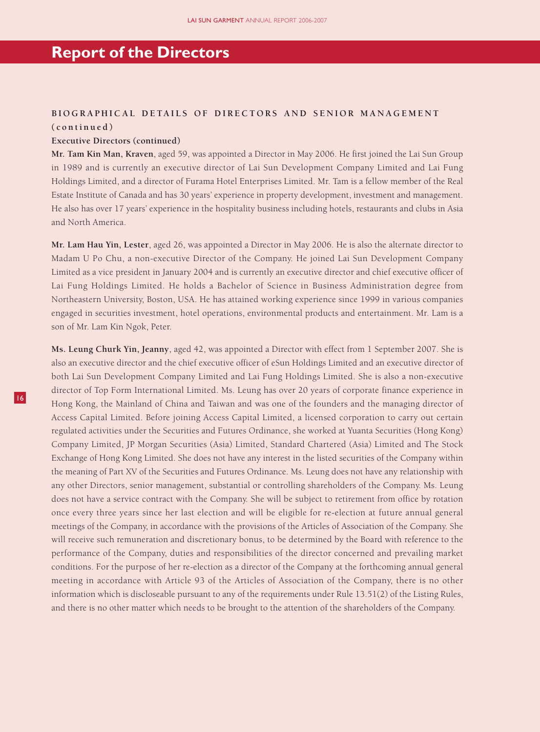#### **BIOGRAPHICAL DETAILS OF DIRECTORS AND SENIOR MANAGEMENT (continued)**

#### **Executive Directors (continued)**

**Mr. Tam Kin Man, Kraven**, aged 59, was appointed a Director in May 2006. He first joined the Lai Sun Group in 1989 and is currently an executive director of Lai Sun Development Company Limited and Lai Fung Holdings Limited, and a director of Furama Hotel Enterprises Limited. Mr. Tam is a fellow member of the Real Estate Institute of Canada and has 30 years' experience in property development, investment and management. He also has over 17 years' experience in the hospitality business including hotels, restaurants and clubs in Asia and North America.

**Mr. Lam Hau Yin, Lester**, aged 26, was appointed a Director in May 2006. He is also the alternate director to Madam U Po Chu, a non-executive Director of the Company. He joined Lai Sun Development Company Limited as a vice president in January 2004 and is currently an executive director and chief executive officer of Lai Fung Holdings Limited. He holds a Bachelor of Science in Business Administration degree from Northeastern University, Boston, USA. He has attained working experience since 1999 in various companies engaged in securities investment, hotel operations, environmental products and entertainment. Mr. Lam is a son of Mr. Lam Kin Ngok, Peter.

**Ms. Leung Churk Yin, Jeanny**, aged 42, was appointed a Director with effect from 1 September 2007. She is also an executive director and the chief executive officer of eSun Holdings Limited and an executive director of both Lai Sun Development Company Limited and Lai Fung Holdings Limited. She is also a non-executive director of Top Form International Limited. Ms. Leung has over 20 years of corporate finance experience in Hong Kong, the Mainland of China and Taiwan and was one of the founders and the managing director of Access Capital Limited. Before joining Access Capital Limited, a licensed corporation to carry out certain regulated activities under the Securities and Futures Ordinance, she worked at Yuanta Securities (Hong Kong) Company Limited, JP Morgan Securities (Asia) Limited, Standard Chartered (Asia) Limited and The Stock Exchange of Hong Kong Limited. She does not have any interest in the listed securities of the Company within the meaning of Part XV of the Securities and Futures Ordinance. Ms. Leung does not have any relationship with any other Directors, senior management, substantial or controlling shareholders of the Company. Ms. Leung does not have a service contract with the Company. She will be subject to retirement from office by rotation once every three years since her last election and will be eligible for re-election at future annual general meetings of the Company, in accordance with the provisions of the Articles of Association of the Company. She will receive such remuneration and discretionary bonus, to be determined by the Board with reference to the performance of the Company, duties and responsibilities of the director concerned and prevailing market conditions. For the purpose of her re-election as a director of the Company at the forthcoming annual general meeting in accordance with Article 93 of the Articles of Association of the Company, there is no other information which is discloseable pursuant to any of the requirements under Rule 13.51(2) of the Listing Rules, and there is no other matter which needs to be brought to the attention of the shareholders of the Company.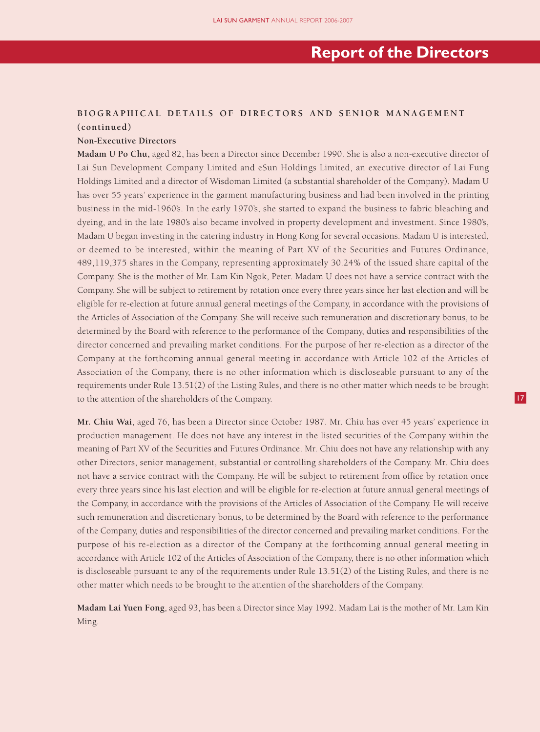#### **BIOGRAPHICAL DETAILS OF DIRECTORS AND SENIOR MANAGEMENT (continued)**

#### **Non-Executive Directors**

**Madam U Po Chu,** aged 82, has been a Director since December 1990. She is also a non-executive director of Lai Sun Development Company Limited and eSun Holdings Limited, an executive director of Lai Fung Holdings Limited and a director of Wisdoman Limited (a substantial shareholder of the Company). Madam U has over 55 years' experience in the garment manufacturing business and had been involved in the printing business in the mid-1960's. In the early 1970's, she started to expand the business to fabric bleaching and dyeing, and in the late 1980's also became involved in property development and investment. Since 1980's, Madam U began investing in the catering industry in Hong Kong for several occasions. Madam U is interested, or deemed to be interested, within the meaning of Part XV of the Securities and Futures Ordinance, 489,119,375 shares in the Company, representing approximately 30.24% of the issued share capital of the Company. She is the mother of Mr. Lam Kin Ngok, Peter. Madam U does not have a service contract with the Company. She will be subject to retirement by rotation once every three years since her last election and will be eligible for re-election at future annual general meetings of the Company, in accordance with the provisions of the Articles of Association of the Company. She will receive such remuneration and discretionary bonus, to be determined by the Board with reference to the performance of the Company, duties and responsibilities of the director concerned and prevailing market conditions. For the purpose of her re-election as a director of the Company at the forthcoming annual general meeting in accordance with Article 102 of the Articles of Association of the Company, there is no other information which is discloseable pursuant to any of the requirements under Rule 13.51(2) of the Listing Rules, and there is no other matter which needs to be brought to the attention of the shareholders of the Company.

**Mr. Chiu Wai**, aged 76, has been a Director since October 1987. Mr. Chiu has over 45 years' experience in production management. He does not have any interest in the listed securities of the Company within the meaning of Part XV of the Securities and Futures Ordinance. Mr. Chiu does not have any relationship with any other Directors, senior management, substantial or controlling shareholders of the Company. Mr. Chiu does not have a service contract with the Company. He will be subject to retirement from office by rotation once every three years since his last election and will be eligible for re-election at future annual general meetings of the Company, in accordance with the provisions of the Articles of Association of the Company. He will receive such remuneration and discretionary bonus, to be determined by the Board with reference to the performance of the Company, duties and responsibilities of the director concerned and prevailing market conditions. For the purpose of his re-election as a director of the Company at the forthcoming annual general meeting in accordance with Article 102 of the Articles of Association of the Company, there is no other information which is discloseable pursuant to any of the requirements under Rule 13.51(2) of the Listing Rules, and there is no other matter which needs to be brought to the attention of the shareholders of the Company.

**Madam Lai Yuen Fong**, aged 93, has been a Director since May 1992. Madam Lai is the mother of Mr. Lam Kin Ming.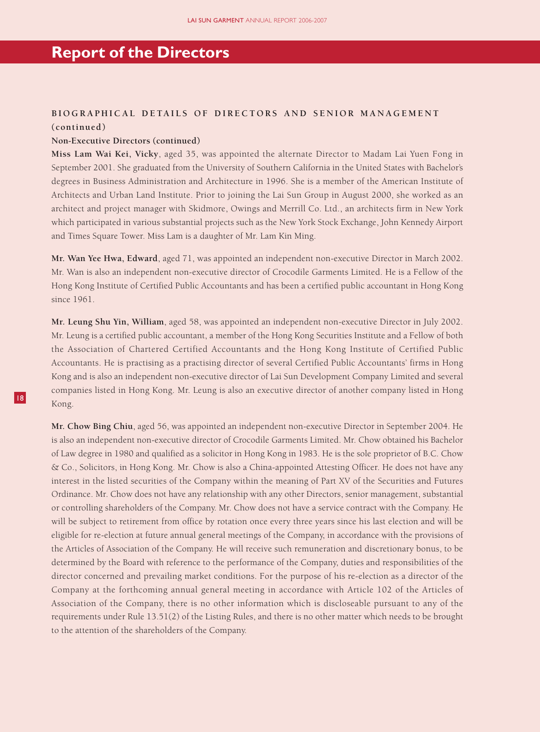#### **BIOGRAPHICAL DETAILS OF DIRECTORS AND SENIOR MANAGEMENT (continued)**

#### **Non-Executive Directors (continued)**

**Miss Lam Wai Kei, Vicky**, aged 35, was appointed the alternate Director to Madam Lai Yuen Fong in September 2001. She graduated from the University of Southern California in the United States with Bachelor's degrees in Business Administration and Architecture in 1996. She is a member of the American Institute of Architects and Urban Land Institute. Prior to joining the Lai Sun Group in August 2000, she worked as an architect and project manager with Skidmore, Owings and Merrill Co. Ltd., an architects firm in New York which participated in various substantial projects such as the New York Stock Exchange, John Kennedy Airport and Times Square Tower. Miss Lam is a daughter of Mr. Lam Kin Ming.

**Mr. Wan Yee Hwa, Edward**, aged 71, was appointed an independent non-executive Director in March 2002. Mr. Wan is also an independent non-executive director of Crocodile Garments Limited. He is a Fellow of the Hong Kong Institute of Certified Public Accountants and has been a certified public accountant in Hong Kong since 1961.

**Mr. Leung Shu Yin, William**, aged 58, was appointed an independent non-executive Director in July 2002. Mr. Leung is a certified public accountant, a member of the Hong Kong Securities Institute and a Fellow of both the Association of Chartered Certified Accountants and the Hong Kong Institute of Certified Public Accountants. He is practising as a practising director of several Certified Public Accountants' firms in Hong Kong and is also an independent non-executive director of Lai Sun Development Company Limited and several companies listed in Hong Kong. Mr. Leung is also an executive director of another company listed in Hong Kong.

**Mr. Chow Bing Chiu**, aged 56, was appointed an independent non-executive Director in September 2004. He is also an independent non-executive director of Crocodile Garments Limited. Mr. Chow obtained his Bachelor of Law degree in 1980 and qualified as a solicitor in Hong Kong in 1983. He is the sole proprietor of B.C. Chow & Co., Solicitors, in Hong Kong. Mr. Chow is also a China-appointed Attesting Officer. He does not have any interest in the listed securities of the Company within the meaning of Part XV of the Securities and Futures Ordinance. Mr. Chow does not have any relationship with any other Directors, senior management, substantial or controlling shareholders of the Company. Mr. Chow does not have a service contract with the Company. He will be subject to retirement from office by rotation once every three years since his last election and will be eligible for re-election at future annual general meetings of the Company, in accordance with the provisions of the Articles of Association of the Company. He will receive such remuneration and discretionary bonus, to be determined by the Board with reference to the performance of the Company, duties and responsibilities of the director concerned and prevailing market conditions. For the purpose of his re-election as a director of the Company at the forthcoming annual general meeting in accordance with Article 102 of the Articles of Association of the Company, there is no other information which is discloseable pursuant to any of the requirements under Rule 13.51(2) of the Listing Rules, and there is no other matter which needs to be brought to the attention of the shareholders of the Company.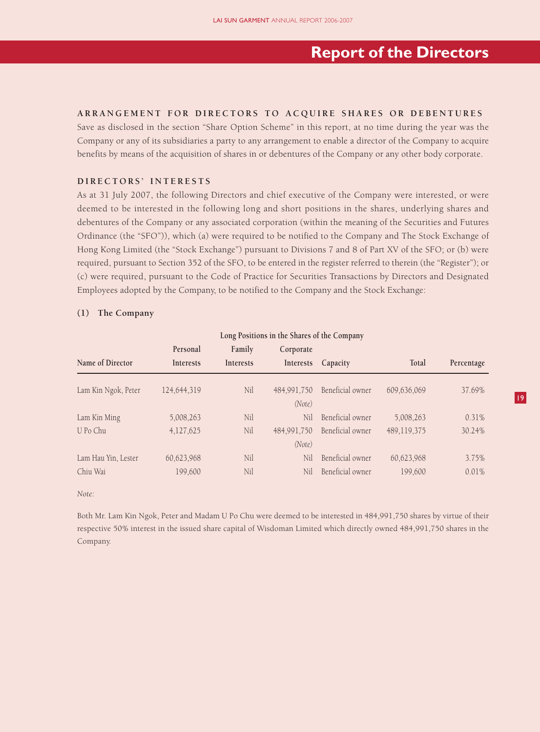#### **ARRANGEMENT FOR DIRECTORS TO ACQUIRE SHARES OR DEBENTURES**

Save as disclosed in the section "Share Option Scheme" in this report, at no time during the year was the Company or any of its subsidiaries a party to any arrangement to enable a director of the Company to acquire benefits by means of the acquisition of shares in or debentures of the Company or any other body corporate.

#### **DIRECTORS ' INTERESTS**

As at 31 July 2007, the following Directors and chief executive of the Company were interested, or were deemed to be interested in the following long and short positions in the shares, underlying shares and debentures of the Company or any associated corporation (within the meaning of the Securities and Futures Ordinance (the "SFO")), which (a) were required to be notified to the Company and The Stock Exchange of Hong Kong Limited (the "Stock Exchange") pursuant to Divisions 7 and 8 of Part XV of the SFO; or (b) were required, pursuant to Section 352 of the SFO, to be entered in the register referred to therein (the "Register"); or (c) were required, pursuant to the Code of Practice for Securities Transactions by Directors and Designated Employees adopted by the Company, to be notified to the Company and the Stock Exchange:

#### **(1) The Company**

|                     | Personal    | Family    | Corporate             |                  |             |            |
|---------------------|-------------|-----------|-----------------------|------------------|-------------|------------|
| Name of Director    | Interests   | Interests | Interests             | Capacity         | Total       | Percentage |
| Lam Kin Ngok, Peter | 124,644,319 | Nil       | 484.991.750<br>(Note) | Beneficial owner | 609,636,069 | 37.69%     |
| Lam Kin Ming        | 5,008,263   | Nil       | Nil                   | Beneficial owner | 5,008,263   | 0.31%      |
| U Po Chu            | 4,127,625   | Nil       | 484,991,750<br>(Note) | Beneficial owner | 489,119,375 | 30.24%     |
| Lam Hau Yin, Lester | 60,623,968  | Nil       | Nil                   | Beneficial owner | 60,623,968  | 3.75%      |
| Chiu Wai            | 199,600     | Nil       | Nil                   | Beneficial owner | 199,600     | 0.01%      |

*Note:*

Both Mr. Lam Kin Ngok, Peter and Madam U Po Chu were deemed to be interested in 484,991,750 shares by virtue of their respective 50% interest in the issued share capital of Wisdoman Limited which directly owned 484,991,750 shares in the Company.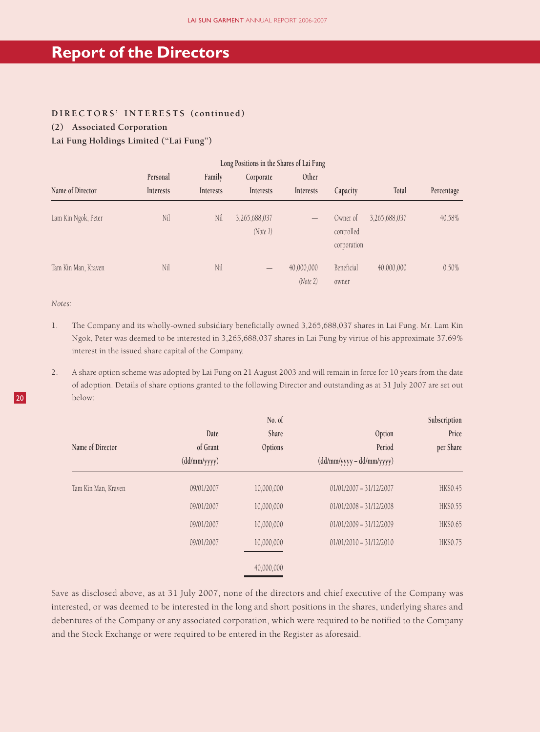#### **DIRECTORS ' INTERESTS (continued)**

#### **(2) Associated Corporation**

#### **Lai Fung Holdings Limited ("Lai Fung")**

|                     | Personal  | Family    | Corporate                 | Other                  |                                       |               |            |
|---------------------|-----------|-----------|---------------------------|------------------------|---------------------------------------|---------------|------------|
| Name of Director    | Interests | Interests | Interests                 | Interests              | Capacity                              | Total         | Percentage |
| Lam Kin Ngok, Peter | Nil       | Nil       | 3,265,688,037<br>(Note 1) |                        | Owner of<br>controlled<br>corporation | 3,265,688,037 | 40.58%     |
| Tam Kin Man, Kraven | Nil       | Nil       | $\qquad \qquad -$         | 40,000,000<br>(Note 2) | Beneficial<br>owner                   | 40,000,000    | $0.50\%$   |

*Notes:*

- 1. The Company and its wholly-owned subsidiary beneficially owned 3,265,688,037 shares in Lai Fung. Mr. Lam Kin Ngok, Peter was deemed to be interested in 3,265,688,037 shares in Lai Fung by virtue of his approximate 37.69% interest in the issued share capital of the Company.
- 2. A share option scheme was adopted by Lai Fung on 21 August 2003 and will remain in force for 10 years from the date of adoption. Details of share options granted to the following Director and outstanding as at 31 July 2007 are set out below:

| Name of Director    | Date<br>of Grant<br>$(dd/\text{mm/yyy})$ | No. of<br>Share<br>Options | Option<br>Period<br>$(dd/\text{mm/yyy} - dd/\text{mm/yyy})$ | Subscription<br>Price<br>per Share |
|---------------------|------------------------------------------|----------------------------|-------------------------------------------------------------|------------------------------------|
| Tam Kin Man, Kraven | 09/01/2007                               | 10,000,000                 | $01/01/2007 - 31/12/2007$                                   | HK\$0.45                           |
|                     | 09/01/2007                               | 10,000,000                 | $01/01/2008 - 31/12/2008$                                   | HK\$0.55                           |
|                     | 09/01/2007                               | 10,000,000                 | $01/01/2009 - 31/12/2009$                                   | HK\$0.65                           |
|                     | 09/01/2007                               | 10,000,000                 | $01/01/2010 - 31/12/2010$                                   | HK\$0.75                           |
|                     |                                          | 40,000,000                 |                                                             |                                    |

Save as disclosed above, as at 31 July 2007, none of the directors and chief executive of the Company was interested, or was deemed to be interested in the long and short positions in the shares, underlying shares and debentures of the Company or any associated corporation, which were required to be notified to the Company and the Stock Exchange or were required to be entered in the Register as aforesaid.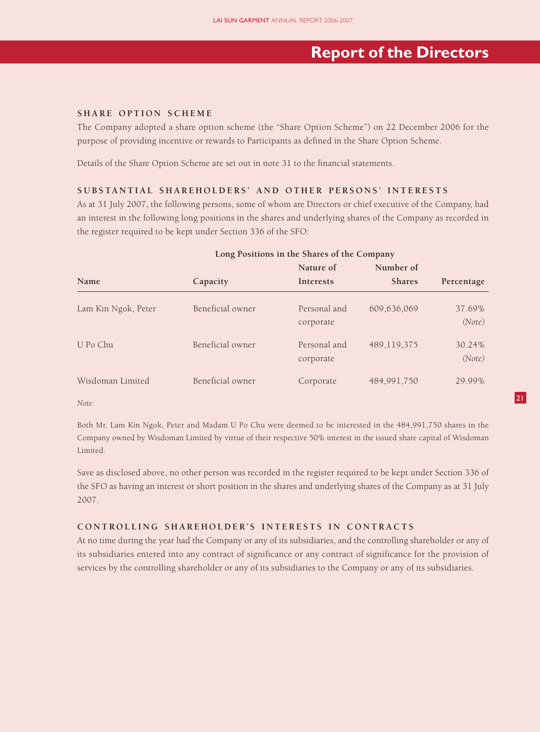#### **SHARE OPTION SCHEME**

The Company adopted a share option scheme (the "Share Option Scheme") on 22 December 2006 for the purpose of providing incentive or rewards to Participants as defined in the Share Option Scheme.

Details of the Share Option Scheme are set out in note 31 to the financial statements.

#### **SUBSTANTIAL SHAREHOLDERS ' AND OTHER PERSONS ' INTERESTS**

As at 31 July 2007, the following persons, some of whom are Directors or chief executive of the Company, had an interest in the following long positions in the shares and underlying shares of the Company as recorded in the register required to be kept under Section 336 of the SFO:

|                     |                  | Nature of                 | Number of     |                  |
|---------------------|------------------|---------------------------|---------------|------------------|
| Name                | Capacity         | Interests                 | <b>Shares</b> | Percentage       |
| Lam Kin Ngok, Peter | Beneficial owner | Personal and<br>corporate | 609,636,069   | 37.69%<br>(Note) |
| U Po Chu            | Beneficial owner | Personal and<br>corporate | 489,119,375   | 30.24%<br>(Note) |
| Wisdoman Limited    | Beneficial owner | Corporate                 | 484,991,750   | 29.99%           |

*Note:*

Both Mr. Lam Kin Ngok, Peter and Madam U Po Chu were deemed to be interested in the 484,991,750 shares in the Company owned by Wisdoman Limited by virtue of their respective 50% interest in the issued share capital of Wisdoman Limited.

Save as disclosed above, no other person was recorded in the register required to be kept under Section 336 of the SFO as having an interest or short position in the shares and underlying shares of the Company as at 31 July 2007.

#### **CONTROLLING SHAREHOLDER ' S INTERESTS IN CONTRACTS**

At no time during the year had the Company or any of its subsidiaries, and the controlling shareholder or any of its subsidiaries entered into any contract of significance or any contract of significance for the provision of services by the controlling shareholder or any of its subsidiaries to the Company or any of its subsidiaries.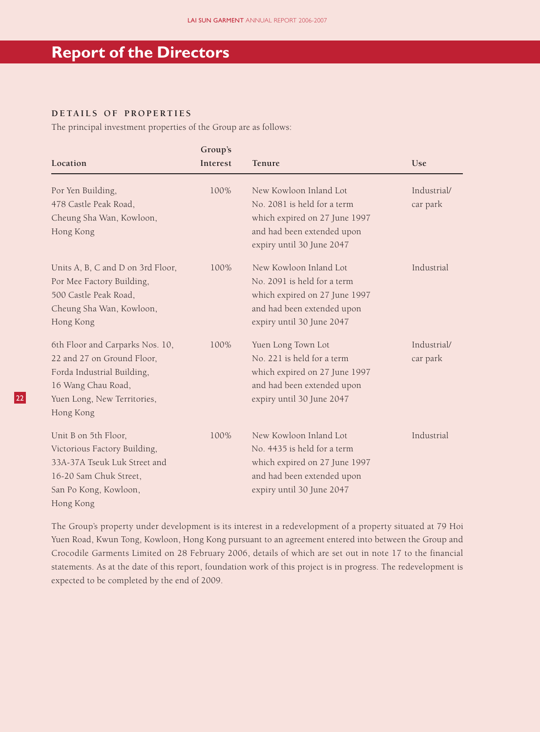#### **DETAILS OF PROPERTIES**

The principal investment properties of the Group are as follows:

|                                                                                                                                                               | Group's  |                                                                                                                                                   |                         |
|---------------------------------------------------------------------------------------------------------------------------------------------------------------|----------|---------------------------------------------------------------------------------------------------------------------------------------------------|-------------------------|
| Location                                                                                                                                                      | Interest | <b>Tenure</b>                                                                                                                                     | Use                     |
| Por Yen Building,<br>478 Castle Peak Road,<br>Cheung Sha Wan, Kowloon,<br>Hong Kong                                                                           | 100%     | New Kowloon Inland Lot<br>No. 2081 is held for a term<br>which expired on 27 June 1997<br>and had been extended upon<br>expiry until 30 June 2047 | Industrial/<br>car park |
| Units A, B, C and D on 3rd Floor,<br>Por Mee Factory Building,<br>500 Castle Peak Road,<br>Cheung Sha Wan, Kowloon,<br>Hong Kong                              | 100%     | New Kowloon Inland Lot<br>No. 2091 is held for a term<br>which expired on 27 June 1997<br>and had been extended upon<br>expiry until 30 June 2047 | Industrial              |
| 6th Floor and Carparks Nos. 10,<br>22 and 27 on Ground Floor,<br>Forda Industrial Building,<br>16 Wang Chau Road,<br>Yuen Long, New Territories,<br>Hong Kong | 100%     | Yuen Long Town Lot<br>No. 221 is held for a term<br>which expired on 27 June 1997<br>and had been extended upon<br>expiry until 30 June 2047      | Industrial/<br>car park |
| Unit B on 5th Floor,<br>Victorious Factory Building,<br>33A-37A Tseuk Luk Street and<br>16-20 Sam Chuk Street,<br>San Po Kong, Kowloon,<br>Hong Kong          | 100%     | New Kowloon Inland Lot<br>No. 4435 is held for a term<br>which expired on 27 June 1997<br>and had been extended upon<br>expiry until 30 June 2047 | Industrial              |

The Group's property under development is its interest in a redevelopment of a property situated at 79 Hoi Yuen Road, Kwun Tong, Kowloon, Hong Kong pursuant to an agreement entered into between the Group and Crocodile Garments Limited on 28 February 2006, details of which are set out in note 17 to the financial statements. As at the date of this report, foundation work of this project is in progress. The redevelopment is expected to be completed by the end of 2009.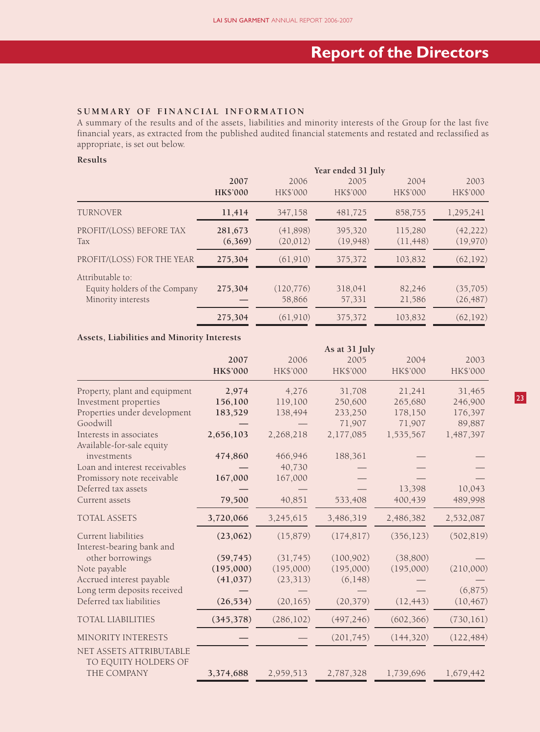#### **SUMMARY OF FINANCIAL INFORMATION**

A summary of the results and of the assets, liabilities and minority interests of the Group for the last five financial years, as extracted from the published audited financial statements and restated and reclassified as appropriate, is set out below.

#### **Results**

|                               | Year ended 31 July |            |          |           |           |  |
|-------------------------------|--------------------|------------|----------|-----------|-----------|--|
|                               | 2007               | 2006       | 2005     | 2004      | 2003      |  |
|                               | <b>HK\$'000</b>    | HK\$'000   | HK\$'000 | HK\$'000  | HK\$'000  |  |
| <b>TURNOVER</b>               | 11,414             | 347,158    | 481,725  | 858,755   | 1,295,241 |  |
| PROFIT/(LOSS) BEFORE TAX      | 281,673            | (41,898)   | 395,320  | 115,280   | (42, 222) |  |
| Tax                           | (6,369)            | (20, 012)  | (19,948) | (11, 448) | (19, 970) |  |
| PROFIT/(LOSS) FOR THE YEAR    | 275.304            | (61, 910)  | 375,372  | 103.832   | (62, 192) |  |
| Attributable to:              |                    |            |          |           |           |  |
| Equity holders of the Company | 275,304            | (120, 776) | 318,041  | 82,246    | (35, 705) |  |
| Minority interests            |                    | 58,866     | 57,331   | 21,586    | (26, 487) |  |
|                               | 275,304            | (61, 910)  | 375,372  | 103,832   | (62, 192) |  |

#### **Assets, Liabilities and Minority Interests**

|                               | As at 31 July   |            |            |            |            |
|-------------------------------|-----------------|------------|------------|------------|------------|
|                               | 2007            | 2006       | 2005       | 2004       | 2003       |
|                               | <b>HK\$'000</b> | HK\$'000   | HK\$'000   | HK\$'000   | HK\$'000   |
| Property, plant and equipment | 2,974           | 4,276      | 31,708     | 21,241     | 31,465     |
| Investment properties         | 156,100         | 119,100    | 250,600    | 265,680    | 246,900    |
| Properties under development  | 183,529         | 138,494    | 233,250    | 178,150    | 176,397    |
| Goodwill                      |                 |            | 71,907     | 71,907     | 89,887     |
| Interests in associates       | 2,656,103       | 2,268,218  | 2,177,085  | 1,535,567  | 1,487,397  |
| Available-for-sale equity     |                 |            |            |            |            |
| investments                   | 474,860         | 466,946    | 188,361    |            |            |
| Loan and interest receivables |                 | 40,730     |            |            |            |
| Promissory note receivable    | 167,000         | 167,000    |            |            |            |
| Deferred tax assets           |                 |            |            | 13,398     | 10,043     |
| Current assets                | 79,500          | 40,851     | 533,408    | 400,439    | 489,998    |
| <b>TOTAL ASSETS</b>           | 3,720,066       | 3,245,615  | 3,486,319  | 2,486,382  | 2,532,087  |
| Current liabilities           | (23,062)        | (15, 879)  | (174, 817) | (356, 123) | (502, 819) |
| Interest-bearing bank and     |                 |            |            |            |            |
| other borrowings              | (59, 745)       | (31, 745)  | (100, 902) | (38, 800)  |            |
| Note payable                  | (195,000)       | (195,000)  | (195,000)  | (195,000)  | (210,000)  |
| Accrued interest payable      | (41, 037)       | (23,313)   | (6,148)    |            |            |
| Long term deposits received   |                 |            |            |            | (6,875)    |
| Deferred tax liabilities      | (26, 534)       | (20, 165)  | (20, 379)  | (12, 443)  | (10, 467)  |
| <b>TOTAL LIABILITIES</b>      | (345,378)       | (286, 102) | (497, 246) | (602, 366) | (730, 161) |
| MINORITY INTERESTS            |                 |            | (201, 745) | (144, 320) | (122, 484) |
| NET ASSETS ATTRIBUTABLE       |                 |            |            |            |            |
| TO EQUITY HOLDERS OF          |                 |            |            |            |            |
| THE COMPANY                   | 3,374,688       | 2,959,513  | 2,787,328  | 1,739,696  | 1,679,442  |
|                               |                 |            |            |            |            |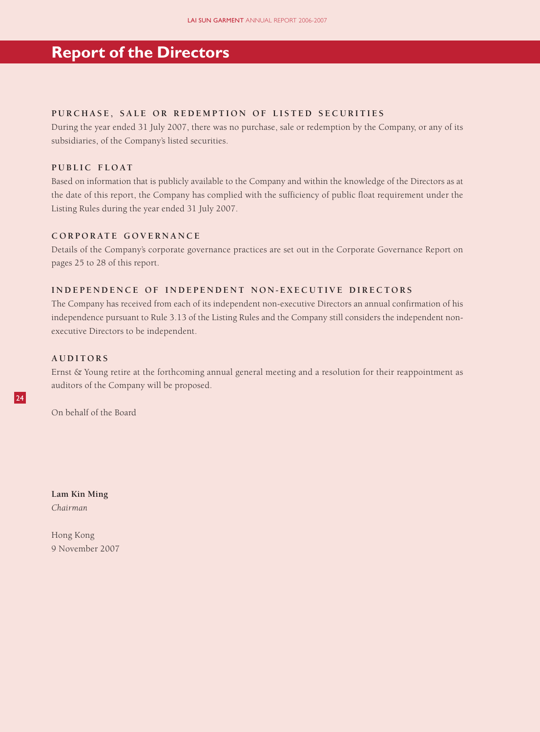#### **PURCHASE, SALE OR REDEMPTION OF LISTED SECURITIES**

During the year ended 31 July 2007, there was no purchase, sale or redemption by the Company, or any of its subsidiaries, of the Company's listed securities.

#### **PUBLIC FLOAT**

Based on information that is publicly available to the Company and within the knowledge of the Directors as at the date of this report, the Company has complied with the sufficiency of public float requirement under the Listing Rules during the year ended 31 July 2007.

#### **CORPORATE GOVERNANCE**

Details of the Company's corporate governance practices are set out in the Corporate Governance Report on pages 25 to 28 of this report.

#### **INDEPENDENCE OF INDEPENDENT NON-EXECUTIVE DIRECTORS**

The Company has received from each of its independent non-executive Directors an annual confirmation of his independence pursuant to Rule 3.13 of the Listing Rules and the Company still considers the independent nonexecutive Directors to be independent.

#### **AUDITORS**

Ernst & Young retire at the forthcoming annual general meeting and a resolution for their reappointment as auditors of the Company will be proposed.

On behalf of the Board

**Lam Kin Ming** *Chairman*

Hong Kong 9 November 2007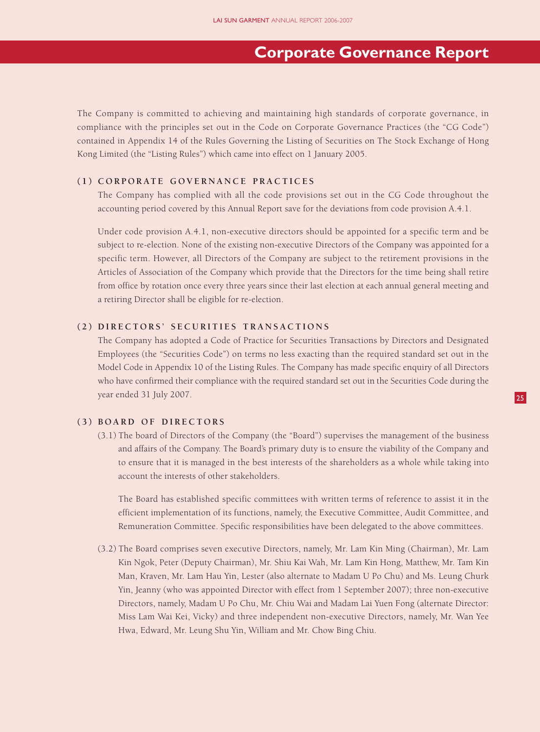The Company is committed to achieving and maintaining high standards of corporate governance, in compliance with the principles set out in the Code on Corporate Governance Practices (the "CG Code") contained in Appendix 14 of the Rules Governing the Listing of Securities on The Stock Exchange of Hong Kong Limited (the "Listing Rules") which came into effect on 1 January 2005.

#### **(1) CORPORATE GOVERNANCE PRACTICES**

The Company has complied with all the code provisions set out in the CG Code throughout the accounting period covered by this Annual Report save for the deviations from code provision A.4.1.

Under code provision A.4.1, non-executive directors should be appointed for a specific term and be subject to re-election. None of the existing non-executive Directors of the Company was appointed for a specific term. However, all Directors of the Company are subject to the retirement provisions in the Articles of Association of the Company which provide that the Directors for the time being shall retire from office by rotation once every three years since their last election at each annual general meeting and a retiring Director shall be eligible for re-election.

#### **(2) DIRECTORS ' SECURITIES TRANSACTIONS**

The Company has adopted a Code of Practice for Securities Transactions by Directors and Designated Employees (the "Securities Code") on terms no less exacting than the required standard set out in the Model Code in Appendix 10 of the Listing Rules. The Company has made specific enquiry of all Directors who have confirmed their compliance with the required standard set out in the Securities Code during the year ended 31 July 2007.

#### **(3) BOARD OF DIRECTORS**

(3.1) The board of Directors of the Company (the "Board") supervises the management of the business and affairs of the Company. The Board's primary duty is to ensure the viability of the Company and to ensure that it is managed in the best interests of the shareholders as a whole while taking into account the interests of other stakeholders.

The Board has established specific committees with written terms of reference to assist it in the efficient implementation of its functions, namely, the Executive Committee, Audit Committee, and Remuneration Committee. Specific responsibilities have been delegated to the above committees.

(3.2) The Board comprises seven executive Directors, namely, Mr. Lam Kin Ming (Chairman), Mr. Lam Kin Ngok, Peter (Deputy Chairman), Mr. Shiu Kai Wah, Mr. Lam Kin Hong, Matthew, Mr. Tam Kin Man, Kraven, Mr. Lam Hau Yin, Lester (also alternate to Madam U Po Chu) and Ms. Leung Churk Yin, Jeanny (who was appointed Director with effect from 1 September 2007); three non-executive Directors, namely, Madam U Po Chu, Mr. Chiu Wai and Madam Lai Yuen Fong (alternate Director: Miss Lam Wai Kei, Vicky) and three independent non-executive Directors, namely, Mr. Wan Yee Hwa, Edward, Mr. Leung Shu Yin, William and Mr. Chow Bing Chiu.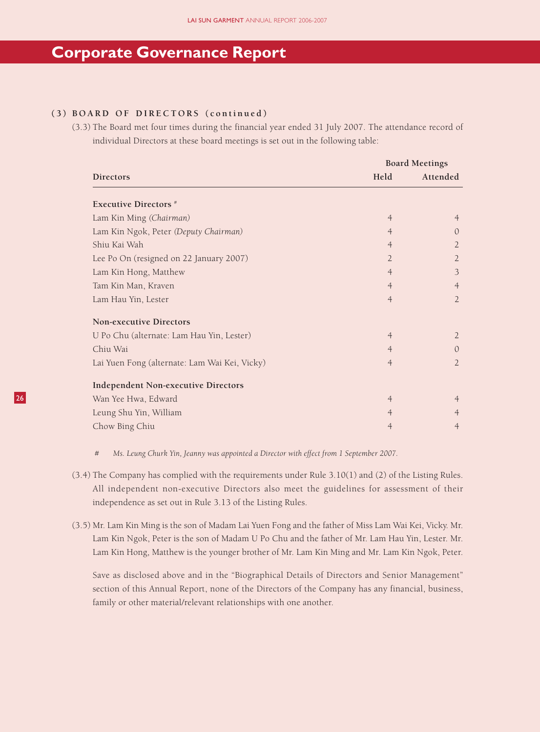#### **(3) BOARD OF DIRECTORS (continued)**

(3.3) The Board met four times during the financial year ended 31 July 2007. The attendance record of individual Directors at these board meetings is set out in the following table:

|                                               | <b>Board Meetings</b> |                |  |
|-----------------------------------------------|-----------------------|----------------|--|
| <b>Directors</b>                              | Held                  | Attended       |  |
| <b>Executive Directors</b> #                  |                       |                |  |
|                                               |                       |                |  |
| Lam Kin Ming (Chairman)                       | $\overline{4}$        | $\overline{4}$ |  |
| Lam Kin Ngok, Peter (Deputy Chairman)         | $\overline{4}$        | $\Omega$       |  |
| Shiu Kai Wah                                  | $\overline{4}$        | $\overline{2}$ |  |
| Lee Po On (resigned on 22 January 2007)       | $\overline{2}$        | $\overline{2}$ |  |
| Lam Kin Hong, Matthew                         | $\overline{4}$        | 3              |  |
| Tam Kin Man, Kraven                           | $\overline{4}$        | $\overline{4}$ |  |
| Lam Hau Yin, Lester                           | $\overline{4}$        | $\overline{2}$ |  |
| <b>Non-executive Directors</b>                |                       |                |  |
| U Po Chu (alternate: Lam Hau Yin, Lester)     | $\overline{4}$        | $\overline{2}$ |  |
| Chiu Wai                                      | $\overline{4}$        | $\Omega$       |  |
| Lai Yuen Fong (alternate: Lam Wai Kei, Vicky) | $\overline{4}$        | $\overline{2}$ |  |
| <b>Independent Non-executive Directors</b>    |                       |                |  |
| Wan Yee Hwa, Edward                           | $\overline{4}$        | $\overline{4}$ |  |
| Leung Shu Yin, William                        | $\overline{4}$        | $\overline{4}$ |  |
| Chow Bing Chiu                                | 4                     | 4              |  |

# *Ms. Leung Churk Yin, Jeanny was appointed a Director with effect from 1 September 2007.*

- (3.4) The Company has complied with the requirements under Rule 3.10(1) and (2) of the Listing Rules. All independent non-executive Directors also meet the guidelines for assessment of their independence as set out in Rule 3.13 of the Listing Rules.
- (3.5) Mr. Lam Kin Ming is the son of Madam Lai Yuen Fong and the father of Miss Lam Wai Kei, Vicky. Mr. Lam Kin Ngok, Peter is the son of Madam U Po Chu and the father of Mr. Lam Hau Yin, Lester. Mr. Lam Kin Hong, Matthew is the younger brother of Mr. Lam Kin Ming and Mr. Lam Kin Ngok, Peter.

Save as disclosed above and in the "Biographical Details of Directors and Senior Management" section of this Annual Report, none of the Directors of the Company has any financial, business, family or other material/relevant relationships with one another.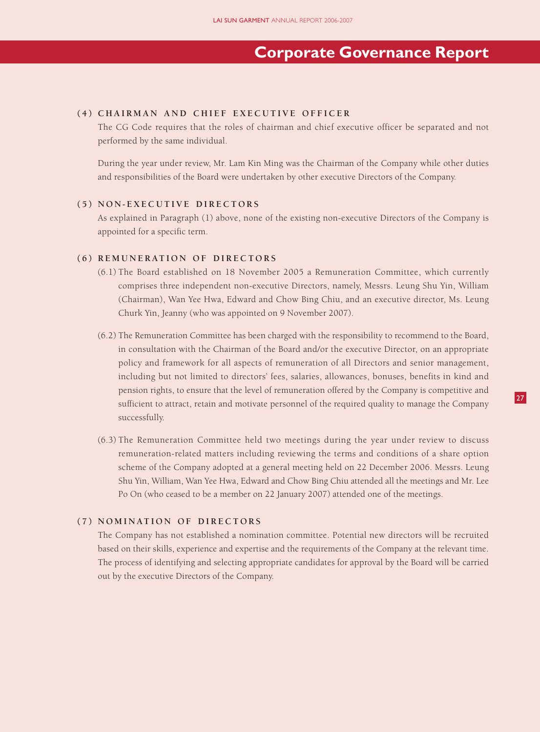#### **(4) CHAIRMAN AND CHIEF EXECUTIVE OFFICER**

The CG Code requires that the roles of chairman and chief executive officer be separated and not performed by the same individual.

During the year under review, Mr. Lam Kin Ming was the Chairman of the Company while other duties and responsibilities of the Board were undertaken by other executive Directors of the Company.

#### **(5) NON-EXECUTIVE DIRECTORS**

As explained in Paragraph (1) above, none of the existing non-executive Directors of the Company is appointed for a specific term.

#### **(6) REMUNERATION OF DIRECTORS**

- (6.1) The Board established on 18 November 2005 a Remuneration Committee, which currently comprises three independent non-executive Directors, namely, Messrs. Leung Shu Yin, William (Chairman), Wan Yee Hwa, Edward and Chow Bing Chiu, and an executive director, Ms. Leung Churk Yin, Jeanny (who was appointed on 9 November 2007).
- (6.2) The Remuneration Committee has been charged with the responsibility to recommend to the Board, in consultation with the Chairman of the Board and/or the executive Director, on an appropriate policy and framework for all aspects of remuneration of all Directors and senior management, including but not limited to directors' fees, salaries, allowances, bonuses, benefits in kind and pension rights, to ensure that the level of remuneration offered by the Company is competitive and sufficient to attract, retain and motivate personnel of the required quality to manage the Company successfully.
- (6.3) The Remuneration Committee held two meetings during the year under review to discuss remuneration-related matters including reviewing the terms and conditions of a share option scheme of the Company adopted at a general meeting held on 22 December 2006. Messrs. Leung Shu Yin, William, Wan Yee Hwa, Edward and Chow Bing Chiu attended all the meetings and Mr. Lee Po On (who ceased to be a member on 22 January 2007) attended one of the meetings.

#### **(7) NOMINATION OF DIRECTORS**

The Company has not established a nomination committee. Potential new directors will be recruited based on their skills, experience and expertise and the requirements of the Company at the relevant time. The process of identifying and selecting appropriate candidates for approval by the Board will be carried out by the executive Directors of the Company.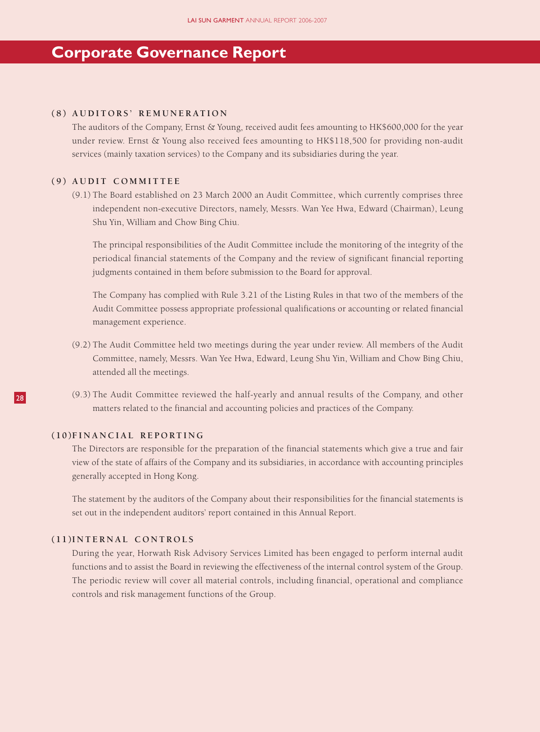#### **(8) AUDITORS ' REMUNERATION**

The auditors of the Company, Ernst & Young, received audit fees amounting to HK\$600,000 for the year under review. Ernst & Young also received fees amounting to HK\$118,500 for providing non-audit services (mainly taxation services) to the Company and its subsidiaries during the year.

#### **(9) AUDIT COMMITTEE**

(9.1) The Board established on 23 March 2000 an Audit Committee, which currently comprises three independent non-executive Directors, namely, Messrs. Wan Yee Hwa, Edward (Chairman), Leung Shu Yin, William and Chow Bing Chiu.

The principal responsibilities of the Audit Committee include the monitoring of the integrity of the periodical financial statements of the Company and the review of significant financial reporting judgments contained in them before submission to the Board for approval.

The Company has complied with Rule 3.21 of the Listing Rules in that two of the members of the Audit Committee possess appropriate professional qualifications or accounting or related financial management experience.

- (9.2) The Audit Committee held two meetings during the year under review. All members of the Audit Committee, namely, Messrs. Wan Yee Hwa, Edward, Leung Shu Yin, William and Chow Bing Chiu, attended all the meetings.
- (9.3) The Audit Committee reviewed the half-yearly and annual results of the Company, and other matters related to the financial and accounting policies and practices of the Company.

#### **(10)FINANCIAL REPORTING**

The Directors are responsible for the preparation of the financial statements which give a true and fair view of the state of affairs of the Company and its subsidiaries, in accordance with accounting principles generally accepted in Hong Kong.

The statement by the auditors of the Company about their responsibilities for the financial statements is set out in the independent auditors' report contained in this Annual Report.

#### **(11)INTERNAL CONTROLS**

During the year, Horwath Risk Advisory Services Limited has been engaged to perform internal audit functions and to assist the Board in reviewing the effectiveness of the internal control system of the Group. The periodic review will cover all material controls, including financial, operational and compliance controls and risk management functions of the Group.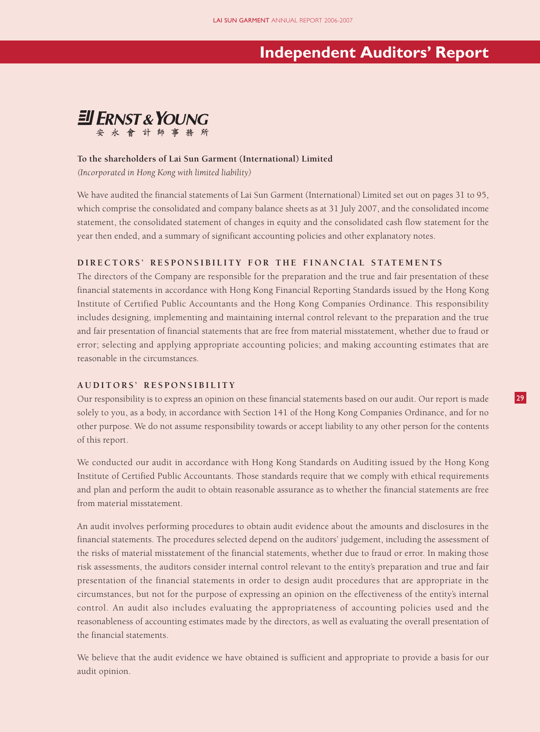### **Independent Auditors' Report**



#### **To the shareholders of Lai Sun Garment (International) Limited**

*(Incorporated in Hong Kong with limited liability)*

We have audited the financial statements of Lai Sun Garment (International) Limited set out on pages 31 to 95, which comprise the consolidated and company balance sheets as at 31 July 2007, and the consolidated income statement, the consolidated statement of changes in equity and the consolidated cash flow statement for the year then ended, and a summary of significant accounting policies and other explanatory notes.

#### **DIRECTORS ' RESPONSIBILITY FOR THE FINANCIAL STATEMENTS**

The directors of the Company are responsible for the preparation and the true and fair presentation of these financial statements in accordance with Hong Kong Financial Reporting Standards issued by the Hong Kong Institute of Certified Public Accountants and the Hong Kong Companies Ordinance. This responsibility includes designing, implementing and maintaining internal control relevant to the preparation and the true and fair presentation of financial statements that are free from material misstatement, whether due to fraud or error; selecting and applying appropriate accounting policies; and making accounting estimates that are reasonable in the circumstances.

#### **AUDITORS ' RESPONSIBILITY**

Our responsibility is to express an opinion on these financial statements based on our audit. Our report is made solely to you, as a body, in accordance with Section 141 of the Hong Kong Companies Ordinance, and for no other purpose. We do not assume responsibility towards or accept liability to any other person for the contents of this report.

We conducted our audit in accordance with Hong Kong Standards on Auditing issued by the Hong Kong Institute of Certified Public Accountants. Those standards require that we comply with ethical requirements and plan and perform the audit to obtain reasonable assurance as to whether the financial statements are free from material misstatement.

An audit involves performing procedures to obtain audit evidence about the amounts and disclosures in the financial statements. The procedures selected depend on the auditors' judgement, including the assessment of the risks of material misstatement of the financial statements, whether due to fraud or error. In making those risk assessments, the auditors consider internal control relevant to the entity's preparation and true and fair presentation of the financial statements in order to design audit procedures that are appropriate in the circumstances, but not for the purpose of expressing an opinion on the effectiveness of the entity's internal control. An audit also includes evaluating the appropriateness of accounting policies used and the reasonableness of accounting estimates made by the directors, as well as evaluating the overall presentation of the financial statements.

We believe that the audit evidence we have obtained is sufficient and appropriate to provide a basis for our audit opinion.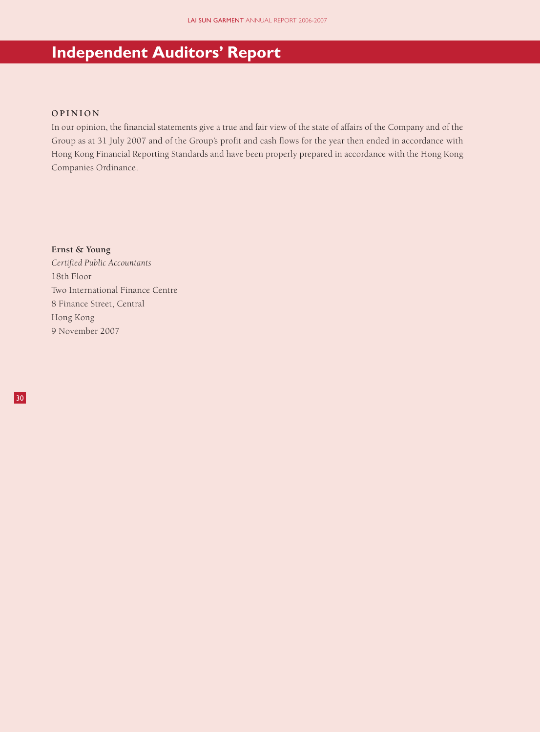## **Independent Auditors' Report**

#### **OPINION**

In our opinion, the financial statements give a true and fair view of the state of affairs of the Company and of the Group as at 31 July 2007 and of the Group's profit and cash flows for the year then ended in accordance with Hong Kong Financial Reporting Standards and have been properly prepared in accordance with the Hong Kong Companies Ordinance.

**Ernst & Young** *Certified Public Accountants* 18th Floor Two International Finance Centre 8 Finance Street, Central Hong Kong 9 November 2007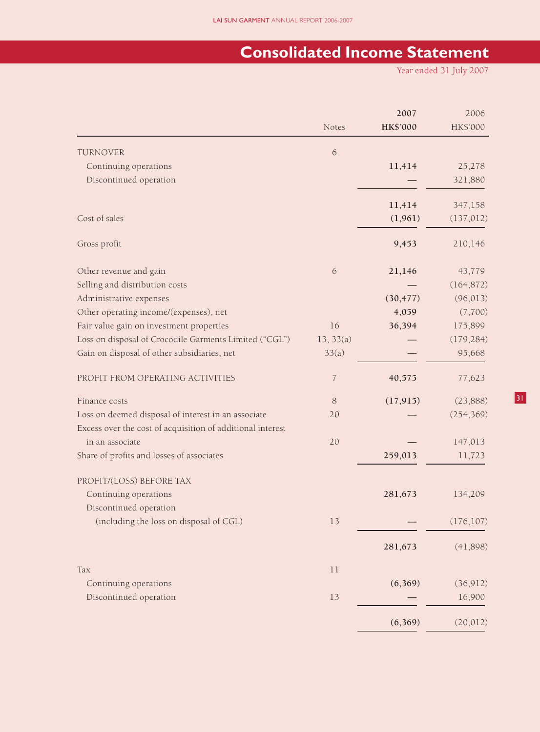## **Consolidated Income Statement**

Year ended 31 July 2007

|                                                            | Notes            | 2007<br><b>HK\$'000</b> | 2006<br>HK\$'000 |
|------------------------------------------------------------|------------------|-------------------------|------------------|
|                                                            |                  |                         |                  |
| TURNOVER                                                   | $\sqrt{6}$       |                         |                  |
| Continuing operations                                      |                  | 11,414                  | 25,278           |
| Discontinued operation                                     |                  |                         | 321,880          |
|                                                            |                  | 11,414                  | 347,158          |
| Cost of sales                                              |                  | (1,961)                 | (137, 012)       |
| Gross profit                                               |                  | 9,453                   | 210,146          |
| Other revenue and gain                                     | $\sqrt{6}$       | 21,146                  | 43,779           |
| Selling and distribution costs                             |                  |                         | (164, 872)       |
| Administrative expenses                                    |                  | (30, 477)               | (96, 013)        |
| Other operating income/(expenses), net                     |                  | 4,059                   | (7,700)          |
| Fair value gain on investment properties                   | 16               | 36,394                  | 175,899          |
| Loss on disposal of Crocodile Garments Limited ("CGL")     | 13, 33(a)        |                         | (179, 284)       |
| Gain on disposal of other subsidiaries, net                | 33(a)            |                         | 95,668           |
| PROFIT FROM OPERATING ACTIVITIES                           | $\boldsymbol{7}$ | 40,575                  | 77,623           |
| Finance costs                                              | $8\,$            | (17, 915)               | (23,888)         |
| Loss on deemed disposal of interest in an associate        | 20               |                         | (254, 369)       |
| Excess over the cost of acquisition of additional interest |                  |                         |                  |
| in an associate                                            | 20               |                         | 147,013          |
| Share of profits and losses of associates                  |                  | 259,013                 | 11,723           |
| PROFIT/(LOSS) BEFORE TAX                                   |                  |                         |                  |
| Continuing operations                                      |                  | 281,673                 | 134,209          |
| Discontinued operation                                     |                  |                         |                  |
| (including the loss on disposal of CGL)                    | 13               |                         | (176, 107)       |
|                                                            |                  | 281,673                 | (41,898)         |
| Tax                                                        | 11               |                         |                  |
| Continuing operations                                      |                  | (6,369)                 | (36, 912)        |
| Discontinued operation                                     | 13               |                         | 16,900           |
|                                                            |                  | (6, 369)                | (20, 012)        |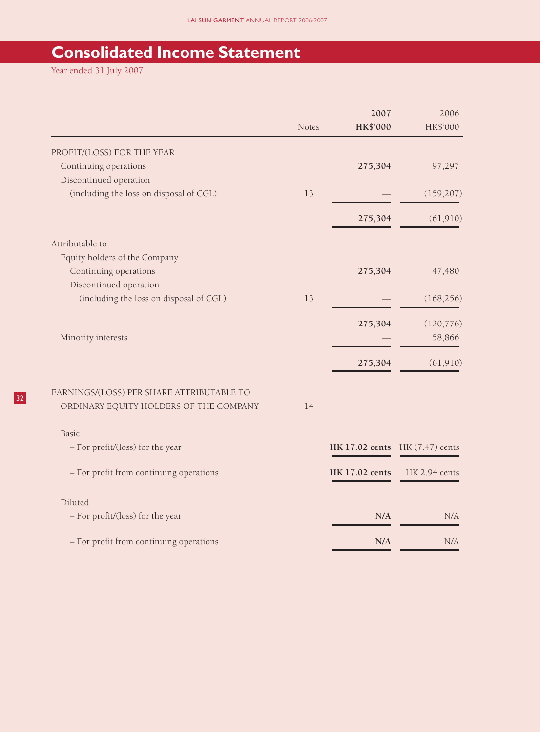# **Consolidated Income Statement**

Year ended 31 July 2007

|                                           | Notes | 2007<br><b>HK\$'000</b> | 2006<br>HK\$'000               |
|-------------------------------------------|-------|-------------------------|--------------------------------|
| PROFIT/(LOSS) FOR THE YEAR                |       |                         |                                |
| Continuing operations                     |       | 275,304                 | 97,297                         |
| Discontinued operation                    |       |                         |                                |
| (including the loss on disposal of CGL)   | 13    |                         | (159, 207)                     |
|                                           |       | 275,304                 | (61, 910)                      |
| Attributable to:                          |       |                         |                                |
| Equity holders of the Company             |       |                         |                                |
| Continuing operations                     |       | 275,304                 | 47,480                         |
| Discontinued operation                    |       |                         |                                |
| (including the loss on disposal of CGL)   | 13    |                         | (168, 256)                     |
|                                           |       | 275,304                 | (120, 776)                     |
| Minority interests                        |       |                         | 58,866                         |
|                                           |       | 275,304                 | (61, 910)                      |
| EARNINGS/(LOSS) PER SHARE ATTRIBUTABLE TO |       |                         |                                |
| ORDINARY EQUITY HOLDERS OF THE COMPANY    | 14    |                         |                                |
| Basic                                     |       |                         |                                |
| - For profit/(loss) for the year          |       |                         | HK 17.02 cents HK (7.47) cents |
| - For profit from continuing operations   |       | HK 17.02 cents          | HK 2.94 cents                  |
| Diluted                                   |       |                         |                                |
| - For profit/(loss) for the year          |       | N/A                     | N/A                            |
| - For profit from continuing operations   |       | N/A                     | N/A                            |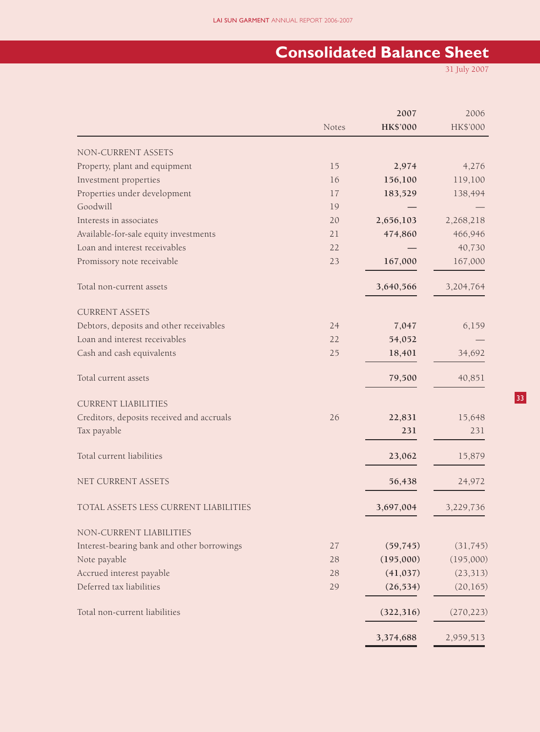# **Consolidated Balance Sheet**

31 July 2007

|                                            |       | 2007            | 2006       |
|--------------------------------------------|-------|-----------------|------------|
|                                            | Notes | <b>HK\$'000</b> | HK\$'000   |
| NON-CURRENT ASSETS                         |       |                 |            |
| Property, plant and equipment              | 15    | 2,974           | 4,276      |
| Investment properties                      | 16    | 156,100         | 119,100    |
| Properties under development               | 17    | 183,529         | 138,494    |
| Goodwill                                   | 19    |                 |            |
| Interests in associates                    | 20    | 2,656,103       | 2,268,218  |
| Available-for-sale equity investments      | 21    | 474,860         | 466,946    |
| Loan and interest receivables              | 22    |                 | 40,730     |
| Promissory note receivable                 | 23    | 167,000         | 167,000    |
| Total non-current assets                   |       | 3,640,566       | 3,204,764  |
| <b>CURRENT ASSETS</b>                      |       |                 |            |
| Debtors, deposits and other receivables    | 24    | 7,047           | 6,159      |
| Loan and interest receivables              | 22    | 54,052          |            |
| Cash and cash equivalents                  | 25    | 18,401          | 34,692     |
| Total current assets                       |       | 79,500          | 40,851     |
| <b>CURRENT LIABILITIES</b>                 |       |                 |            |
| Creditors, deposits received and accruals  | 26    | 22,831          | 15,648     |
| Tax payable                                |       | 231             | 231        |
| Total current liabilities                  |       | 23,062          | 15,879     |
| NET CURRENT ASSETS                         |       | 56,438          | 24,972     |
| TOTAL ASSETS LESS CURRENT LIABILITIES      |       | 3,697,004       | 3,229,736  |
| NON-CURRENT LIABILITIES                    |       |                 |            |
| Interest-bearing bank and other borrowings | 27    | (59, 745)       | (31, 745)  |
| Note payable                               | 28    | (195,000)       | (195,000)  |
| Accrued interest payable                   | 28    | (41, 037)       | (23, 313)  |
| Deferred tax liabilities                   | 29    | (26, 534)       | (20, 165)  |
| Total non-current liabilities              |       | (322, 316)      | (270, 223) |
|                                            |       | 3,374,688       | 2,959,513  |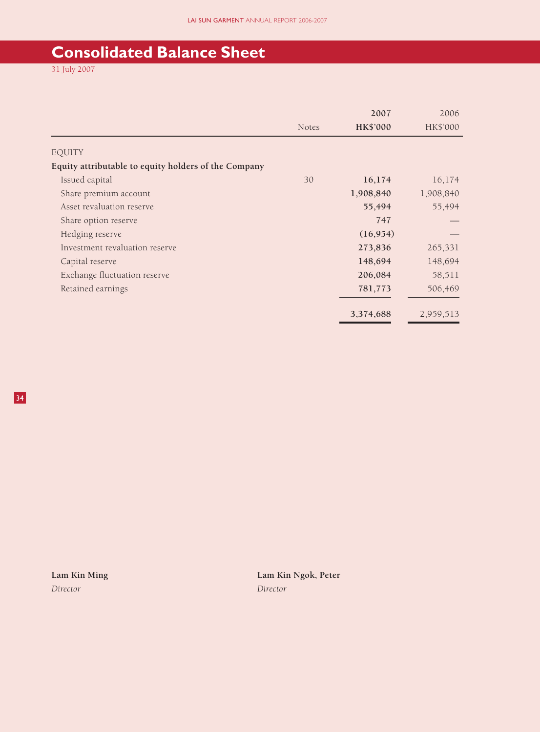# **Consolidated Balance Sheet**

31 July 2007

|                                                      |       | 2007            | 2006      |
|------------------------------------------------------|-------|-----------------|-----------|
|                                                      | Notes | <b>HK\$'000</b> | HK\$'000  |
| <b>EQUITY</b>                                        |       |                 |           |
|                                                      |       |                 |           |
| Equity attributable to equity holders of the Company |       |                 |           |
| Issued capital                                       | 30    | 16,174          | 16,174    |
| Share premium account                                |       | 1,908,840       | 1,908,840 |
| Asset revaluation reserve                            |       | 55,494          | 55,494    |
| Share option reserve                                 |       | 747             |           |
| Hedging reserve                                      |       | (16, 954)       |           |
| Investment revaluation reserve                       |       | 273,836         | 265,331   |
| Capital reserve                                      |       | 148,694         | 148,694   |
| Exchange fluctuation reserve                         |       | 206,084         | 58,511    |
| Retained earnings                                    |       | 781,773         | 506,469   |
|                                                      |       |                 |           |
|                                                      |       | 3,374,688       | 2,959,513 |

*Director Director*

**Lam Kin Ming Lam Kin Ngok, Peter**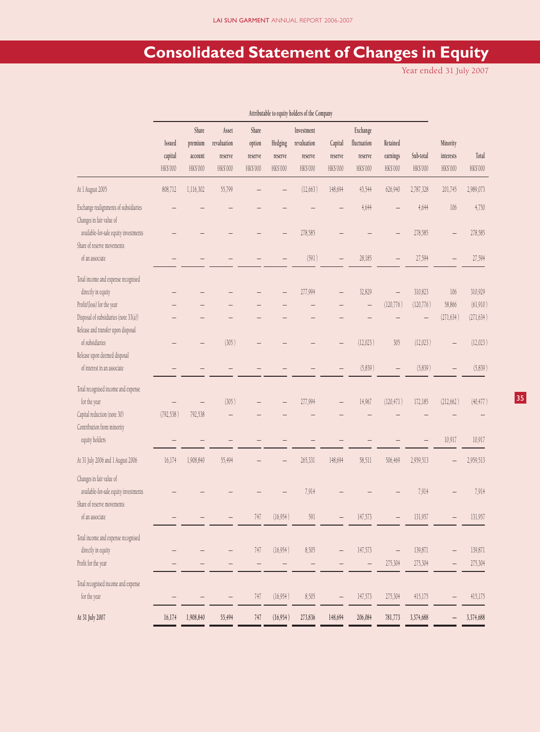# **Consolidated Statement of Changes in Equity**

Year ended 31 July 2007

|                                                                   | Attributable to equity holders of the Company |                                         |                                             |                                        |                                |                                                  |                                |                                                |                                  |                       |                                   |                   |
|-------------------------------------------------------------------|-----------------------------------------------|-----------------------------------------|---------------------------------------------|----------------------------------------|--------------------------------|--------------------------------------------------|--------------------------------|------------------------------------------------|----------------------------------|-----------------------|-----------------------------------|-------------------|
|                                                                   | Issued<br>capital<br>HK\$'000                 | Share<br>premium<br>account<br>HK\$'000 | Asset<br>revaluation<br>reserve<br>HK\$'000 | Share<br>option<br>reserve<br>HK\$'000 | Hedging<br>reserve<br>HK\$'000 | Investment<br>revaluation<br>reserve<br>HK\$'000 | Capital<br>reserve<br>HK\$'000 | Exchange<br>fluctuation<br>reserve<br>HK\$'000 | Retained<br>earnings<br>HK\$'000 | Sub-total<br>HK\$'000 | Minority<br>interests<br>HK\$'000 | Total<br>HK\$'000 |
| At 1 August 2005                                                  | 808,712                                       | 1,116,302                               | 55,799                                      |                                        |                                | (12,663)                                         | 148,694                        | 43,544                                         | 626,940                          | 2,787,328             | 201,745                           | 2,989,073         |
| Exchange realignments of subsidiaries                             |                                               |                                         |                                             |                                        |                                |                                                  |                                | 4,644                                          |                                  | 4,644                 | 106                               | 4,750             |
| Changes in fair value of<br>available-for-sale equity investments |                                               |                                         |                                             |                                        |                                | 278,585                                          |                                |                                                |                                  | 278,585               |                                   | 278,585           |
| Share of reserve movements                                        |                                               |                                         |                                             |                                        |                                |                                                  |                                |                                                |                                  |                       |                                   |                   |
| of an associate                                                   |                                               |                                         |                                             |                                        |                                | (591)                                            |                                | 28,185                                         |                                  | 27,594                |                                   | 27,594            |
| Total income and expense recognised                               |                                               |                                         |                                             |                                        |                                |                                                  |                                |                                                |                                  |                       |                                   |                   |
| directly in equity                                                |                                               |                                         |                                             |                                        |                                | 277,994                                          |                                | 32,829                                         |                                  | 310,823               | 106                               | 310,929           |
| Profit/(loss) for the year                                        |                                               |                                         |                                             |                                        |                                |                                                  |                                |                                                | (120, 776)                       | (120, 776)            | 58,866                            | (61, 910)         |
| Disposal of subsidiaries (note 33(a))                             |                                               |                                         |                                             |                                        |                                |                                                  |                                |                                                |                                  |                       | (271, 634)                        | (271, 634)        |
| Release and transfer upon disposal                                |                                               |                                         |                                             |                                        |                                |                                                  |                                |                                                |                                  |                       |                                   |                   |
| of subsidiaries                                                   |                                               |                                         | (305)                                       |                                        |                                |                                                  |                                | (12,023)                                       | 305                              | (12,023)              |                                   | (12,023)          |
| Release upon deemed disposal                                      |                                               |                                         |                                             |                                        |                                |                                                  |                                |                                                |                                  |                       |                                   |                   |
| of interest in an associate                                       |                                               |                                         |                                             |                                        |                                |                                                  |                                | (5,839)                                        |                                  | (5,839)               |                                   | (5,839)           |
| Total recognised income and expense                               |                                               |                                         |                                             |                                        |                                |                                                  |                                |                                                |                                  |                       |                                   |                   |
| for the year                                                      |                                               |                                         | (305)                                       |                                        |                                | 277,994                                          |                                | 14,967                                         | (120, 471)                       | 172,185               | (212, 662)                        | (40, 477)         |
| Capital reduction (note 30)                                       | (792, 538)                                    | 792,538                                 |                                             |                                        |                                |                                                  |                                |                                                |                                  |                       |                                   |                   |
| Contribution from minority                                        |                                               |                                         |                                             |                                        |                                |                                                  |                                |                                                |                                  |                       |                                   |                   |
| equity holders                                                    |                                               |                                         |                                             |                                        |                                |                                                  |                                |                                                |                                  |                       | 10,917                            | 10,917            |
|                                                                   |                                               |                                         |                                             |                                        |                                |                                                  |                                |                                                |                                  |                       |                                   |                   |
| At 31 July 2006 and 1 August 2006                                 | 16,174                                        | 1,908,840                               | 55,494                                      |                                        |                                | 265,331                                          | 148,694                        | 58,511                                         | 506,469                          | 2,959,513             |                                   | 2,959,513         |
| Changes in fair value of                                          |                                               |                                         |                                             |                                        |                                |                                                  |                                |                                                |                                  |                       |                                   |                   |
| available-for-sale equity investments                             |                                               |                                         |                                             |                                        |                                | 7,914                                            |                                |                                                |                                  | 7,914                 |                                   | 7,914             |
| Share of reserve movements                                        |                                               |                                         |                                             |                                        |                                |                                                  |                                |                                                |                                  |                       |                                   |                   |
| of an associate                                                   |                                               |                                         |                                             | $747$                                  | (16,954)                       | $591\,$                                          |                                | 147,573                                        |                                  | 131,957               |                                   | 131,957           |
|                                                                   |                                               |                                         |                                             |                                        |                                |                                                  |                                |                                                |                                  |                       |                                   |                   |
| Total income and expense recognised                               |                                               |                                         |                                             |                                        | (16,954)                       |                                                  |                                |                                                |                                  |                       |                                   |                   |
| directly in equity                                                |                                               |                                         |                                             | 747                                    |                                | 8,505                                            |                                | 147,573                                        | $\overline{\phantom{0}}$         | 139,871               |                                   | 139,871           |
| Profit for the year                                               |                                               |                                         |                                             |                                        |                                |                                                  |                                |                                                | 275,304                          | 275,304               |                                   | 275,304           |
| Total recognised income and expense                               |                                               |                                         |                                             |                                        |                                |                                                  |                                |                                                |                                  |                       |                                   |                   |
| for the year                                                      |                                               |                                         |                                             | $747$                                  | (16,954)                       | 8,505                                            |                                | 147,573                                        | 275,304                          | 415,175               |                                   | 415,175           |
| At 31 July 2007                                                   | 16,174                                        | 1,908,840                               | 55,494                                      | 747                                    | (16,954)                       | 273,836                                          | 148,694                        | 206,084                                        | 781,773                          | 3,374,688             |                                   | 3,374,688         |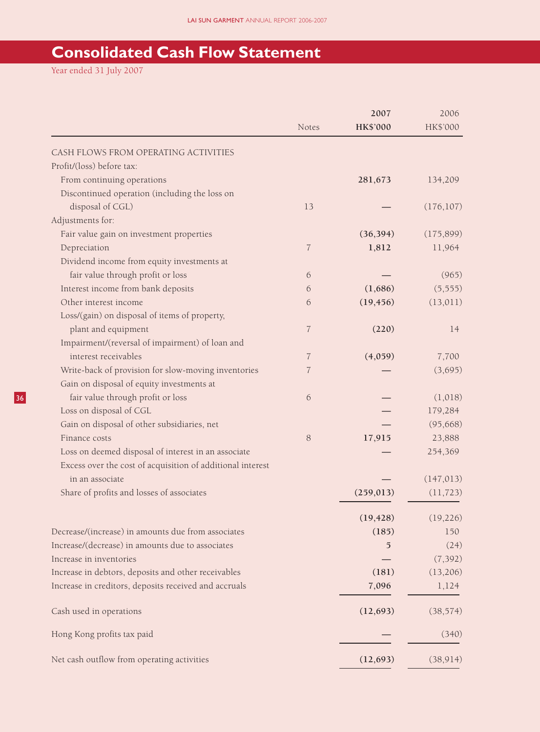# **Consolidated Cash Flow Statement**

Year ended 31 July 2007

|                                                            |       | 2007            | 2006       |
|------------------------------------------------------------|-------|-----------------|------------|
|                                                            | Notes | <b>HK\$'000</b> | HK\$'000   |
| CASH FLOWS FROM OPERATING ACTIVITIES                       |       |                 |            |
| Profit/(loss) before tax:                                  |       |                 |            |
| From continuing operations                                 |       | 281,673         | 134,209    |
| Discontinued operation (including the loss on              |       |                 |            |
| disposal of CGL)                                           | 13    |                 | (176, 107) |
| Adjustments for:                                           |       |                 |            |
| Fair value gain on investment properties                   |       | (36, 394)       | (175, 899) |
| Depreciation                                               | 7     | 1,812           | 11,964     |
| Dividend income from equity investments at                 |       |                 |            |
| fair value through profit or loss                          | 6     |                 | (965)      |
| Interest income from bank deposits                         | 6     | (1,686)         | (5, 555)   |
| Other interest income                                      | 6     | (19, 456)       | (13, 011)  |
| Loss/(gain) on disposal of items of property,              |       |                 |            |
| plant and equipment                                        | 7     | (220)           | 14         |
| Impairment/(reversal of impairment) of loan and            |       |                 |            |
| interest receivables                                       | 7     | (4,059)         | 7,700      |
| Write-back of provision for slow-moving inventories        | 7     |                 | (3,695)    |
| Gain on disposal of equity investments at                  |       |                 |            |
| fair value through profit or loss                          | 6     |                 | (1,018)    |
| Loss on disposal of CGL                                    |       |                 | 179,284    |
| Gain on disposal of other subsidiaries, net                |       |                 | (95, 668)  |
| Finance costs                                              | 8     | 17,915          | 23,888     |
| Loss on deemed disposal of interest in an associate        |       |                 | 254,369    |
| Excess over the cost of acquisition of additional interest |       |                 |            |
| in an associate                                            |       |                 | (147, 013) |
| Share of profits and losses of associates                  |       | (259, 013)      | (11, 723)  |
|                                                            |       |                 |            |
|                                                            |       | (19, 428)       | (19, 226)  |
| Decrease/(increase) in amounts due from associates         |       | (185)           | 150        |
| Increase/(decrease) in amounts due to associates           |       | 5               | (24)       |
| Increase in inventories                                    |       |                 | (7, 392)   |
| Increase in debtors, deposits and other receivables        |       | (181)           | (13,206)   |
| Increase in creditors, deposits received and accruals      |       | 7,096           | 1,124      |
| Cash used in operations                                    |       | (12, 693)       | (38, 574)  |
| Hong Kong profits tax paid                                 |       |                 | (340)      |
| Net cash outflow from operating activities                 |       | (12, 693)       | (38, 914)  |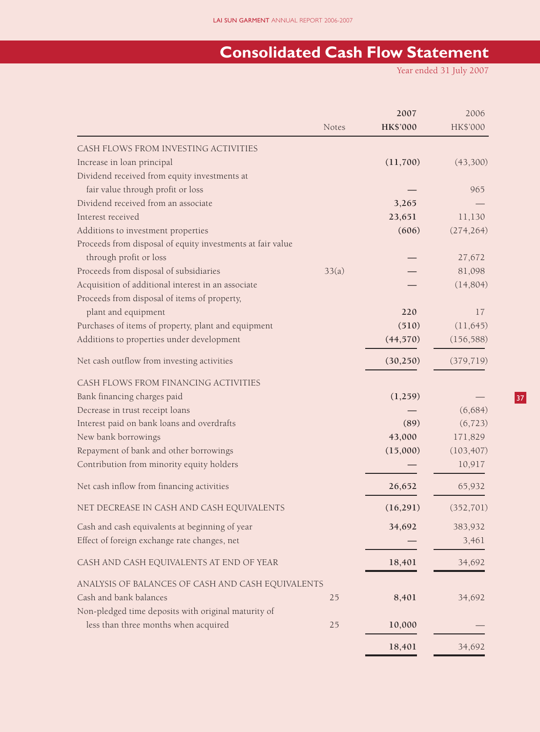# **Consolidated Cash Flow Statement**

Year ended 31 July 2007

|                                                            | Notes | 2007<br><b>HK\$'000</b> | 2006<br>HK\$'000 |
|------------------------------------------------------------|-------|-------------------------|------------------|
| CASH FLOWS FROM INVESTING ACTIVITIES                       |       |                         |                  |
| Increase in loan principal                                 |       | (11,700)                | (43,300)         |
| Dividend received from equity investments at               |       |                         |                  |
| fair value through profit or loss                          |       |                         | 965              |
| Dividend received from an associate                        |       | 3,265                   |                  |
| Interest received                                          |       | 23,651                  | 11,130           |
| Additions to investment properties                         |       | (606)                   | (274, 264)       |
| Proceeds from disposal of equity investments at fair value |       |                         |                  |
| through profit or loss                                     |       |                         | 27,672           |
| Proceeds from disposal of subsidiaries                     | 33(a) |                         | 81,098           |
| Acquisition of additional interest in an associate         |       |                         | (14, 804)        |
| Proceeds from disposal of items of property,               |       |                         |                  |
| plant and equipment                                        |       | 220                     | 17               |
| Purchases of items of property, plant and equipment        |       | (510)                   | (11, 645)        |
| Additions to properties under development                  |       | (44, 570)               | (156, 588)       |
|                                                            |       |                         |                  |
| Net cash outflow from investing activities                 |       | (30, 250)               | (379, 719)       |
| CASH FLOWS FROM FINANCING ACTIVITIES                       |       |                         |                  |
| Bank financing charges paid                                |       | (1,259)                 |                  |
| Decrease in trust receipt loans                            |       |                         | (6,684)          |
| Interest paid on bank loans and overdrafts                 |       | (89)                    | (6, 723)         |
| New bank borrowings                                        |       | 43,000                  | 171,829          |
| Repayment of bank and other borrowings                     |       | (15,000)                | (103, 407)       |
| Contribution from minority equity holders                  |       |                         | 10,917           |
| Net cash inflow from financing activities                  |       | 26,652                  | 65,932           |
| NET DECREASE IN CASH AND CASH EQUIVALENTS                  |       | (16,291)                | (352, 701)       |
|                                                            |       |                         |                  |
| Cash and cash equivalents at beginning of year             |       | 34,692                  | 383,932          |
| Effect of foreign exchange rate changes, net               |       |                         | 3,461            |
| CASH AND CASH EQUIVALENTS AT END OF YEAR                   |       | 18,401                  | 34,692           |
| ANALYSIS OF BALANCES OF CASH AND CASH EQUIVALENTS          |       |                         |                  |
| Cash and bank balances                                     | 25    | 8,401                   | 34,692           |
| Non-pledged time deposits with original maturity of        |       |                         |                  |
| less than three months when acquired                       | 25    | 10,000                  |                  |
|                                                            |       | 18,401                  | 34,692           |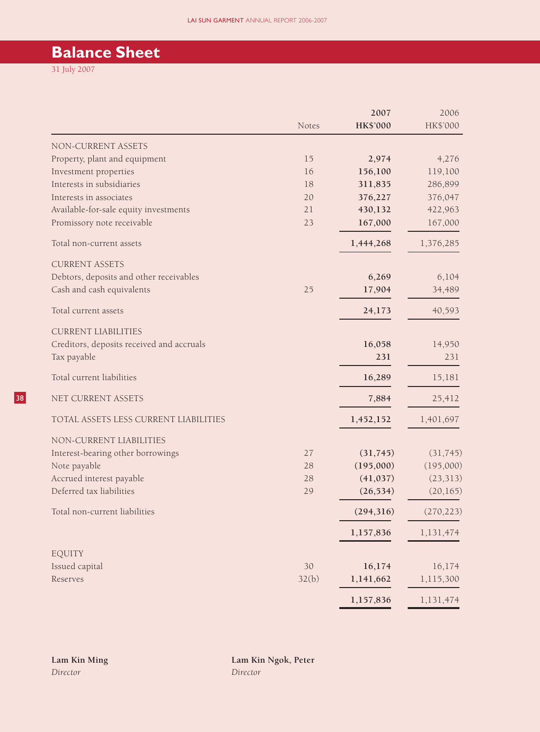# **Balance Sheet**

31 July 2007

|                                           |       | 2007            | 2006       |
|-------------------------------------------|-------|-----------------|------------|
|                                           | Notes | <b>HK\$'000</b> | HK\$'000   |
| NON-CURRENT ASSETS                        |       |                 |            |
| Property, plant and equipment             | 15    | 2,974           | 4,276      |
| Investment properties                     | 16    | 156,100         | 119,100    |
| Interests in subsidiaries                 | 18    | 311,835         | 286,899    |
| Interests in associates                   | 20    | 376,227         | 376,047    |
| Available-for-sale equity investments     | 21    | 430,132         | 422,963    |
| Promissory note receivable                | 23    | 167,000         | 167,000    |
| Total non-current assets                  |       | 1,444,268       | 1,376,285  |
| <b>CURRENT ASSETS</b>                     |       |                 |            |
| Debtors, deposits and other receivables   |       | 6,269           | 6,104      |
| Cash and cash equivalents                 | 25    | 17,904          | 34,489     |
| Total current assets                      |       | 24,173          | 40,593     |
| <b>CURRENT LIABILITIES</b>                |       |                 |            |
| Creditors, deposits received and accruals |       | 16,058          | 14,950     |
| Tax payable                               |       | 231             | 231        |
| Total current liabilities                 |       | 16,289          | 15,181     |
| NET CURRENT ASSETS                        |       | 7,884           | 25,412     |
| TOTAL ASSETS LESS CURRENT LIABILITIES     |       | 1,452,152       | 1,401,697  |
| NON-CURRENT LIABILITIES                   |       |                 |            |
| Interest-bearing other borrowings         | 27    | (31,745)        | (31, 745)  |
| Note payable                              | 28    | (195,000)       | (195,000)  |
| Accrued interest payable                  | 28    | (41, 037)       | (23, 313)  |
| Deferred tax liabilities                  | 29    | (26, 534)       | (20, 165)  |
| Total non-current liabilities             |       | (294,316)       | (270, 223) |
|                                           |       | 1,157,836       | 1,131,474  |
| <b>EQUITY</b>                             |       |                 |            |
| Issued capital                            | 30    | 16,174          | 16,174     |
| Reserves                                  | 32(b) | 1,141,662       | 1,115,300  |
|                                           |       | 1,157,836       | 1,131,474  |

**Lam Kin Ming Lam Kin Ngok, Peter**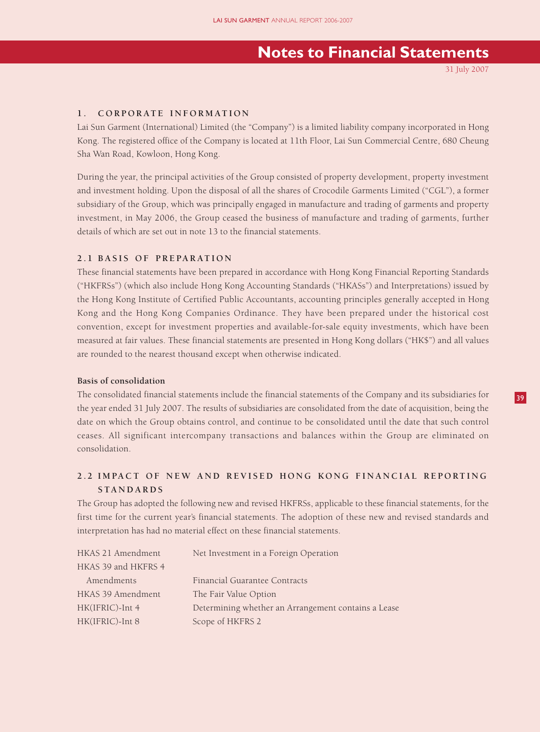31 July 2007

## **1. CORPORATE INFORMATION**

Lai Sun Garment (International) Limited (the "Company") is a limited liability company incorporated in Hong Kong. The registered office of the Company is located at 11th Floor, Lai Sun Commercial Centre, 680 Cheung Sha Wan Road, Kowloon, Hong Kong.

During the year, the principal activities of the Group consisted of property development, property investment and investment holding. Upon the disposal of all the shares of Crocodile Garments Limited ("CGL"), a former subsidiary of the Group, which was principally engaged in manufacture and trading of garments and property investment, in May 2006, the Group ceased the business of manufacture and trading of garments, further details of which are set out in note 13 to the financial statements.

### **2.1 BASIS OF PREPARATION**

These financial statements have been prepared in accordance with Hong Kong Financial Reporting Standards ("HKFRSs") (which also include Hong Kong Accounting Standards ("HKASs") and Interpretations) issued by the Hong Kong Institute of Certified Public Accountants, accounting principles generally accepted in Hong Kong and the Hong Kong Companies Ordinance. They have been prepared under the historical cost convention, except for investment properties and available-for-sale equity investments, which have been measured at fair values. These financial statements are presented in Hong Kong dollars ("HK\$") and all values are rounded to the nearest thousand except when otherwise indicated.

### **Basis of consolidation**

The consolidated financial statements include the financial statements of the Company and its subsidiaries for the year ended 31 July 2007. The results of subsidiaries are consolidated from the date of acquisition, being the date on which the Group obtains control, and continue to be consolidated until the date that such control ceases. All significant intercompany transactions and balances within the Group are eliminated on consolidation.

# **2.2 IMPACT OF NEW AND REVISED HONG KONG FINANCIAL REPORTING STANDARDS**

The Group has adopted the following new and revised HKFRSs, applicable to these financial statements, for the first time for the current year's financial statements. The adoption of these new and revised standards and interpretation has had no material effect on these financial statements.

| HKAS 21 Amendment   | Net Investment in a Foreign Operation               |
|---------------------|-----------------------------------------------------|
| HKAS 39 and HKFRS 4 |                                                     |
| Amendments          | Financial Guarantee Contracts                       |
| HKAS 39 Amendment   | The Fair Value Option                               |
| HK(IFRIC)-Int 4     | Determining whether an Arrangement contains a Lease |
| HK(IFRIC)-Int 8     | Scope of HKFRS 2                                    |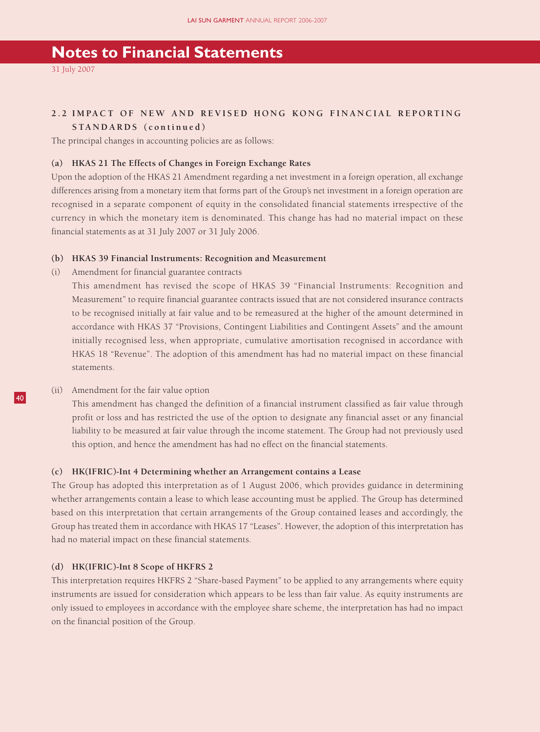31 July 2007

## **2.2 IMPACT OF NEW AND REVISED HONG KONG FINANCIAL REPORTING STANDARDS (continued)**

The principal changes in accounting policies are as follows:

#### **(a) HKAS 21 The Effects of Changes in Foreign Exchange Rates**

Upon the adoption of the HKAS 21 Amendment regarding a net investment in a foreign operation, all exchange differences arising from a monetary item that forms part of the Group's net investment in a foreign operation are recognised in a separate component of equity in the consolidated financial statements irrespective of the currency in which the monetary item is denominated. This change has had no material impact on these financial statements as at 31 July 2007 or 31 July 2006.

#### **(b) HKAS 39 Financial Instruments: Recognition and Measurement**

(i) Amendment for financial guarantee contracts

This amendment has revised the scope of HKAS 39 "Financial Instruments: Recognition and Measurement" to require financial guarantee contracts issued that are not considered insurance contracts to be recognised initially at fair value and to be remeasured at the higher of the amount determined in accordance with HKAS 37 "Provisions, Contingent Liabilities and Contingent Assets" and the amount initially recognised less, when appropriate, cumulative amortisation recognised in accordance with HKAS 18 "Revenue". The adoption of this amendment has had no material impact on these financial statements.

#### (ii) Amendment for the fair value option

This amendment has changed the definition of a financial instrument classified as fair value through profit or loss and has restricted the use of the option to designate any financial asset or any financial liability to be measured at fair value through the income statement. The Group had not previously used this option, and hence the amendment has had no effect on the financial statements.

### **(c) HK(IFRIC)-Int 4 Determining whether an Arrangement contains a Lease**

The Group has adopted this interpretation as of 1 August 2006, which provides guidance in determining whether arrangements contain a lease to which lease accounting must be applied. The Group has determined based on this interpretation that certain arrangements of the Group contained leases and accordingly, the Group has treated them in accordance with HKAS 17 "Leases". However, the adoption of this interpretation has had no material impact on these financial statements.

#### **(d) HK(IFRIC)-Int 8 Scope of HKFRS 2**

This interpretation requires HKFRS 2 "Share-based Payment" to be applied to any arrangements where equity instruments are issued for consideration which appears to be less than fair value. As equity instruments are only issued to employees in accordance with the employee share scheme, the interpretation has had no impact on the financial position of the Group.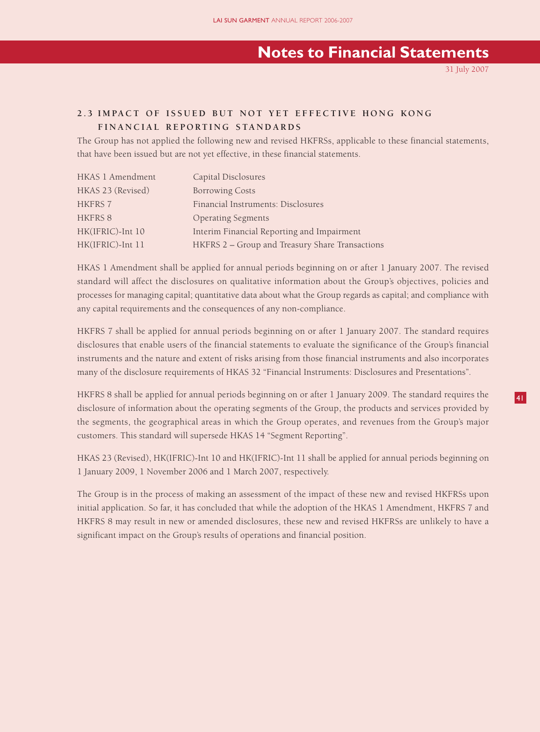31 July 2007

# **2.3 IMPACT OF ISSUED BUT NOT YET EFFECTIVE HONG KONG FINANCIAL REPORTING STANDARDS**

The Group has not applied the following new and revised HKFRSs, applicable to these financial statements, that have been issued but are not yet effective, in these financial statements.

| HKAS 1 Amendment  | Capital Disclosures                             |
|-------------------|-------------------------------------------------|
| HKAS 23 (Revised) | <b>Borrowing Costs</b>                          |
| HKFRS 7           | Financial Instruments: Disclosures              |
| HKFRS 8           | <b>Operating Segments</b>                       |
| HK(IFRIC)-Int 10  | Interim Financial Reporting and Impairment      |
| HK(IFRIC)-Int 11  | HKFRS 2 - Group and Treasury Share Transactions |

HKAS 1 Amendment shall be applied for annual periods beginning on or after 1 January 2007. The revised standard will affect the disclosures on qualitative information about the Group's objectives, policies and processes for managing capital; quantitative data about what the Group regards as capital; and compliance with any capital requirements and the consequences of any non-compliance.

HKFRS 7 shall be applied for annual periods beginning on or after 1 January 2007. The standard requires disclosures that enable users of the financial statements to evaluate the significance of the Group's financial instruments and the nature and extent of risks arising from those financial instruments and also incorporates many of the disclosure requirements of HKAS 32 "Financial Instruments: Disclosures and Presentations"*.*

HKFRS 8 shall be applied for annual periods beginning on or after 1 January 2009. The standard requires the disclosure of information about the operating segments of the Group, the products and services provided by the segments, the geographical areas in which the Group operates, and revenues from the Group's major customers. This standard will supersede HKAS 14 "Segment Reporting".

HKAS 23 (Revised), HK(IFRIC)-Int 10 and HK(IFRIC)-Int 11 shall be applied for annual periods beginning on 1 January 2009, 1 November 2006 and 1 March 2007, respectively.

The Group is in the process of making an assessment of the impact of these new and revised HKFRSs upon initial application. So far, it has concluded that while the adoption of the HKAS 1 Amendment, HKFRS 7 and HKFRS 8 may result in new or amended disclosures, these new and revised HKFRSs are unlikely to have a significant impact on the Group's results of operations and financial position.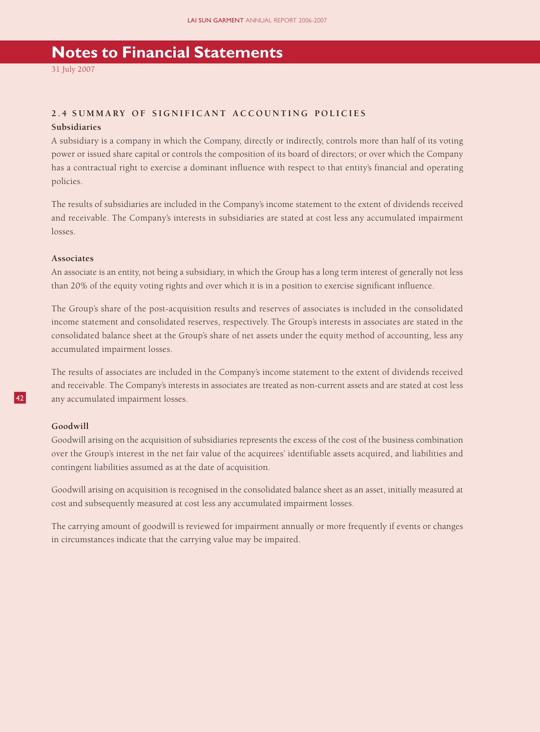31 July 2007

## **2.4 SUMMARY OF SIGNIFICANT ACCOUNTING POLICIES**

#### **Subsidiaries**

A subsidiary is a company in which the Company, directly or indirectly, controls more than half of its voting power or issued share capital or controls the composition of its board of directors; or over which the Company has a contractual right to exercise a dominant influence with respect to that entity's financial and operating policies.

The results of subsidiaries are included in the Company's income statement to the extent of dividends received and receivable. The Company's interests in subsidiaries are stated at cost less any accumulated impairment losses.

#### **Associates**

An associate is an entity, not being a subsidiary, in which the Group has a long term interest of generally not less than 20% of the equity voting rights and over which it is in a position to exercise significant influence.

The Group's share of the post-acquisition results and reserves of associates is included in the consolidated income statement and consolidated reserves, respectively. The Group's interests in associates are stated in the consolidated balance sheet at the Group's share of net assets under the equity method of accounting, less any accumulated impairment losses.

The results of associates are included in the Company's income statement to the extent of dividends received and receivable. The Company's interests in associates are treated as non-current assets and are stated at cost less any accumulated impairment losses.

#### **Goodwill**

Goodwill arising on the acquisition of subsidiaries represents the excess of the cost of the business combination over the Group's interest in the net fair value of the acquirees' identifiable assets acquired, and liabilities and contingent liabilities assumed as at the date of acquisition.

Goodwill arising on acquisition is recognised in the consolidated balance sheet as an asset, initially measured at cost and subsequently measured at cost less any accumulated impairment losses.

The carrying amount of goodwill is reviewed for impairment annually or more frequently if events or changes in circumstances indicate that the carrying value may be impaired.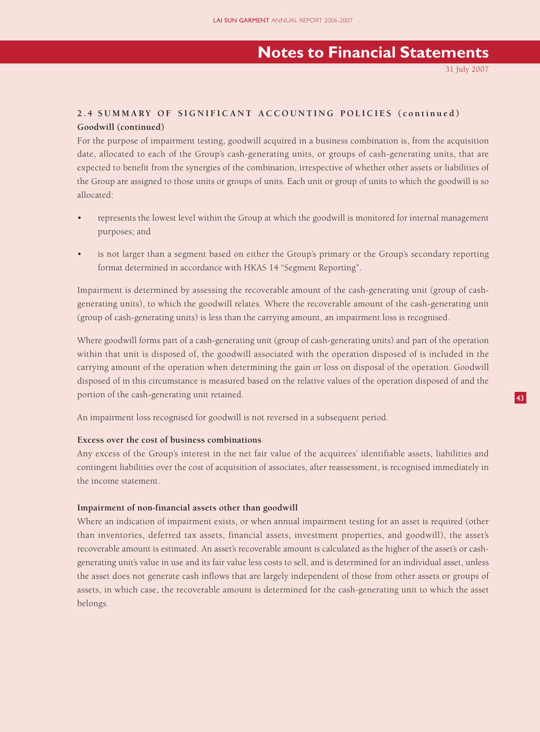31 July 2007

# **2.4 SUMMARY OF SIGNIFICANT ACCOUNTING POLICIES (continued) Goodwill (continued)**

For the purpose of impairment testing, goodwill acquired in a business combination is, from the acquisition date, allocated to each of the Group's cash-generating units, or groups of cash-generating units, that are expected to benefit from the synergies of the combination, irrespective of whether other assets or liabilities of the Group are assigned to those units or groups of units. Each unit or group of units to which the goodwill is so allocated:

- represents the lowest level within the Group at which the goodwill is monitored for internal management purposes; and
- is not larger than a segment based on either the Group's primary or the Group's secondary reporting format determined in accordance with HKAS 14 "Segment Reporting".

Impairment is determined by assessing the recoverable amount of the cash-generating unit (group of cashgenerating units), to which the goodwill relates. Where the recoverable amount of the cash-generating unit (group of cash-generating units) is less than the carrying amount, an impairment loss is recognised.

Where goodwill forms part of a cash-generating unit (group of cash-generating units) and part of the operation within that unit is disposed of, the goodwill associated with the operation disposed of is included in the carrying amount of the operation when determining the gain or loss on disposal of the operation. Goodwill disposed of in this circumstance is measured based on the relative values of the operation disposed of and the portion of the cash-generating unit retained.

An impairment loss recognised for goodwill is not reversed in a subsequent period.

#### **Excess over the cost of business combinations**

Any excess of the Group's interest in the net fair value of the acquirees' identifiable assets, liabilities and contingent liabilities over the cost of acquisition of associates, after reassessment, is recognised immediately in the income statement.

### **Impairment of non-financial assets other than goodwill**

Where an indication of impairment exists, or when annual impairment testing for an asset is required (other than inventories, deferred tax assets, financial assets, investment properties, and goodwill), the asset's recoverable amount is estimated. An asset's recoverable amount is calculated as the higher of the asset's or cashgenerating unit's value in use and its fair value less costs to sell, and is determined for an individual asset, unless the asset does not generate cash inflows that are largely independent of those from other assets or groups of assets, in which case, the recoverable amount is determined for the cash-generating unit to which the asset belongs.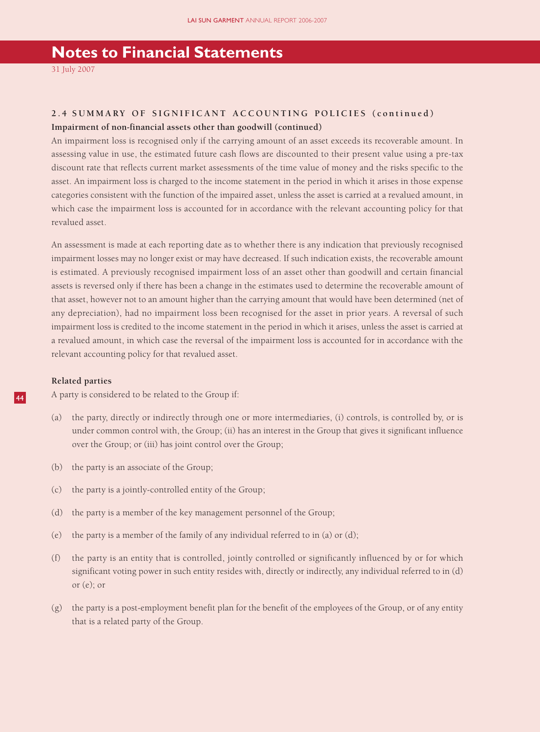31 July 2007

# **2.4 SUMMARY OF SIGNIFICANT ACCOUNTING POLICIES (continued) Impairment of non-financial assets other than goodwill (continued)**

An impairment loss is recognised only if the carrying amount of an asset exceeds its recoverable amount. In assessing value in use, the estimated future cash flows are discounted to their present value using a pre-tax discount rate that reflects current market assessments of the time value of money and the risks specific to the asset. An impairment loss is charged to the income statement in the period in which it arises in those expense categories consistent with the function of the impaired asset, unless the asset is carried at a revalued amount, in which case the impairment loss is accounted for in accordance with the relevant accounting policy for that revalued asset.

An assessment is made at each reporting date as to whether there is any indication that previously recognised impairment losses may no longer exist or may have decreased. If such indication exists, the recoverable amount is estimated. A previously recognised impairment loss of an asset other than goodwill and certain financial assets is reversed only if there has been a change in the estimates used to determine the recoverable amount of that asset, however not to an amount higher than the carrying amount that would have been determined (net of any depreciation), had no impairment loss been recognised for the asset in prior years. A reversal of such impairment loss is credited to the income statement in the period in which it arises, unless the asset is carried at a revalued amount, in which case the reversal of the impairment loss is accounted for in accordance with the relevant accounting policy for that revalued asset.

#### **Related parties**

A party is considered to be related to the Group if:

- (a) the party, directly or indirectly through one or more intermediaries, (i) controls, is controlled by, or is under common control with, the Group; (ii) has an interest in the Group that gives it significant influence over the Group; or (iii) has joint control over the Group;
- (b) the party is an associate of the Group;
- (c) the party is a jointly-controlled entity of the Group;
- (d) the party is a member of the key management personnel of the Group;
- (e) the party is a member of the family of any individual referred to in (a) or (d);
- (f) the party is an entity that is controlled, jointly controlled or significantly influenced by or for which significant voting power in such entity resides with, directly or indirectly, any individual referred to in (d) or (e); or
- (g) the party is a post-employment benefit plan for the benefit of the employees of the Group, or of any entity that is a related party of the Group.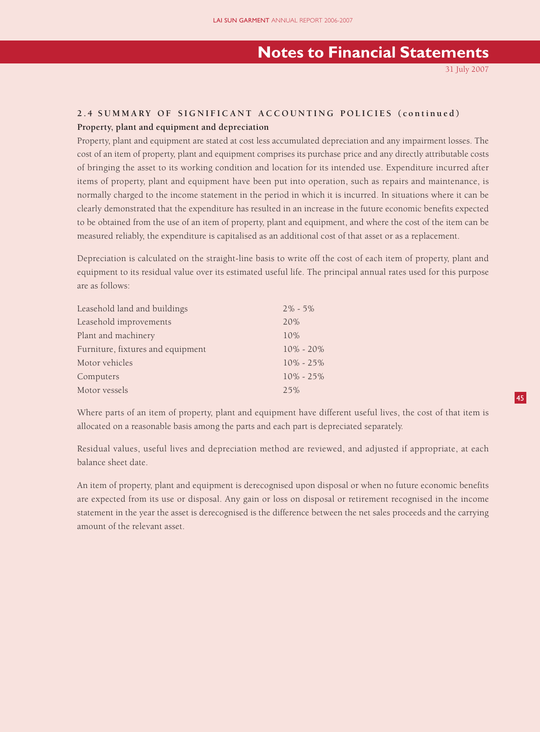31 July 2007

# **2.4 SUMMARY OF SIGNIFICANT ACCOUNTING POLICIES (continued) Property, plant and equipment and depreciation**

Property, plant and equipment are stated at cost less accumulated depreciation and any impairment losses. The cost of an item of property, plant and equipment comprises its purchase price and any directly attributable costs of bringing the asset to its working condition and location for its intended use. Expenditure incurred after items of property, plant and equipment have been put into operation, such as repairs and maintenance, is normally charged to the income statement in the period in which it is incurred. In situations where it can be clearly demonstrated that the expenditure has resulted in an increase in the future economic benefits expected to be obtained from the use of an item of property, plant and equipment, and where the cost of the item can be measured reliably, the expenditure is capitalised as an additional cost of that asset or as a replacement.

Depreciation is calculated on the straight-line basis to write off the cost of each item of property, plant and equipment to its residual value over its estimated useful life. The principal annual rates used for this purpose are as follows:

| Leasehold land and buildings      | $2\% - 5\%$   |
|-----------------------------------|---------------|
| Leasehold improvements            | 20%           |
| Plant and machinery               | 10%           |
| Furniture, fixtures and equipment | $10\% - 20\%$ |
| Motor vehicles                    | $10\% - 25\%$ |
| Computers                         | $10\% - 25\%$ |
| Motor vessels                     | 25%           |

Where parts of an item of property, plant and equipment have different useful lives, the cost of that item is allocated on a reasonable basis among the parts and each part is depreciated separately.

Residual values, useful lives and depreciation method are reviewed, and adjusted if appropriate, at each balance sheet date.

An item of property, plant and equipment is derecognised upon disposal or when no future economic benefits are expected from its use or disposal. Any gain or loss on disposal or retirement recognised in the income statement in the year the asset is derecognised is the difference between the net sales proceeds and the carrying amount of the relevant asset.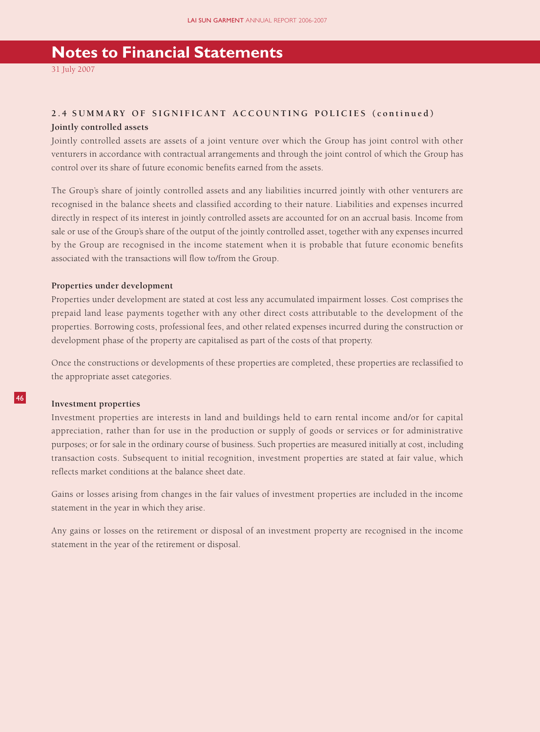31 July 2007

## **2.4 SUMMARY OF SIGNIFICANT ACCOUNTING POLICIES (continued) Jointly controlled assets**

Jointly controlled assets are assets of a joint venture over which the Group has joint control with other venturers in accordance with contractual arrangements and through the joint control of which the Group has control over its share of future economic benefits earned from the assets.

The Group's share of jointly controlled assets and any liabilities incurred jointly with other venturers are recognised in the balance sheets and classified according to their nature. Liabilities and expenses incurred directly in respect of its interest in jointly controlled assets are accounted for on an accrual basis. Income from sale or use of the Group's share of the output of the jointly controlled asset, together with any expenses incurred by the Group are recognised in the income statement when it is probable that future economic benefits associated with the transactions will flow to/from the Group.

#### **Properties under development**

Properties under development are stated at cost less any accumulated impairment losses. Cost comprises the prepaid land lease payments together with any other direct costs attributable to the development of the properties. Borrowing costs, professional fees, and other related expenses incurred during the construction or development phase of the property are capitalised as part of the costs of that property.

Once the constructions or developments of these properties are completed, these properties are reclassified to the appropriate asset categories.

#### **Investment properties**

Investment properties are interests in land and buildings held to earn rental income and/or for capital appreciation, rather than for use in the production or supply of goods or services or for administrative purposes; or for sale in the ordinary course of business. Such properties are measured initially at cost, including transaction costs. Subsequent to initial recognition, investment properties are stated at fair value, which reflects market conditions at the balance sheet date.

Gains or losses arising from changes in the fair values of investment properties are included in the income statement in the year in which they arise.

Any gains or losses on the retirement or disposal of an investment property are recognised in the income statement in the year of the retirement or disposal.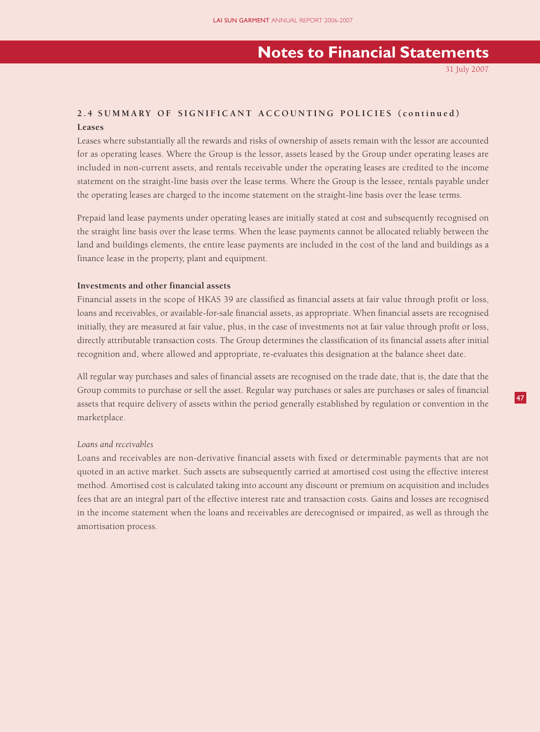31 July 2007

# **2.4 SUMMARY OF SIGNIFICANT ACCOUNTING POLICIES (continued) Leases**

Leases where substantially all the rewards and risks of ownership of assets remain with the lessor are accounted for as operating leases. Where the Group is the lessor, assets leased by the Group under operating leases are included in non-current assets, and rentals receivable under the operating leases are credited to the income statement on the straight-line basis over the lease terms. Where the Group is the lessee, rentals payable under the operating leases are charged to the income statement on the straight-line basis over the lease terms.

Prepaid land lease payments under operating leases are initially stated at cost and subsequently recognised on the straight line basis over the lease terms. When the lease payments cannot be allocated reliably between the land and buildings elements, the entire lease payments are included in the cost of the land and buildings as a finance lease in the property, plant and equipment.

### **Investments and other financial assets**

Financial assets in the scope of HKAS 39 are classified as financial assets at fair value through profit or loss, loans and receivables, or available-for-sale financial assets, as appropriate. When financial assets are recognised initially, they are measured at fair value, plus, in the case of investments not at fair value through profit or loss, directly attributable transaction costs. The Group determines the classification of its financial assets after initial recognition and, where allowed and appropriate, re-evaluates this designation at the balance sheet date.

All regular way purchases and sales of financial assets are recognised on the trade date, that is, the date that the Group commits to purchase or sell the asset. Regular way purchases or sales are purchases or sales of financial assets that require delivery of assets within the period generally established by regulation or convention in the marketplace.

#### *Loans and receivables*

Loans and receivables are non-derivative financial assets with fixed or determinable payments that are not quoted in an active market. Such assets are subsequently carried at amortised cost using the effective interest method. Amortised cost is calculated taking into account any discount or premium on acquisition and includes fees that are an integral part of the effective interest rate and transaction costs. Gains and losses are recognised in the income statement when the loans and receivables are derecognised or impaired, as well as through the amortisation process.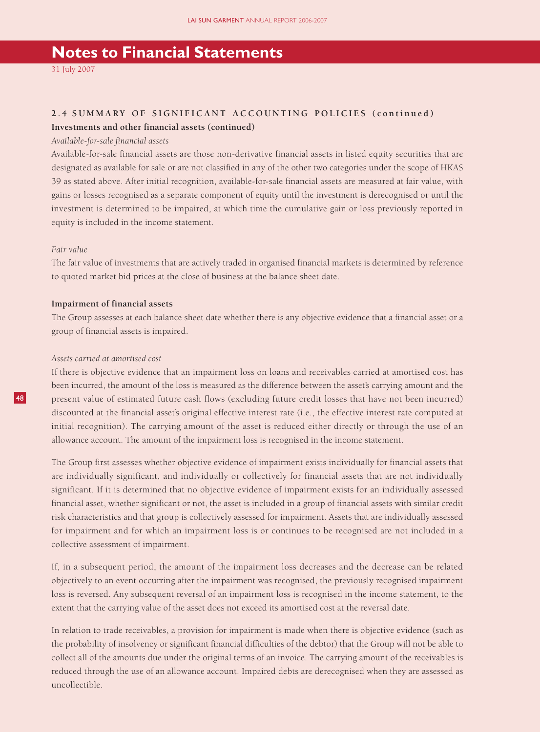31 July 2007

# **2.4 SUMMARY OF SIGNIFICANT ACCOUNTING POLICIES (continued) Investments and other financial assets (continued)**

#### *Available-for-sale financial assets*

Available-for-sale financial assets are those non-derivative financial assets in listed equity securities that are designated as available for sale or are not classified in any of the other two categories under the scope of HKAS 39 as stated above. After initial recognition, available-for-sale financial assets are measured at fair value, with gains or losses recognised as a separate component of equity until the investment is derecognised or until the investment is determined to be impaired, at which time the cumulative gain or loss previously reported in equity is included in the income statement.

#### *Fair value*

The fair value of investments that are actively traded in organised financial markets is determined by reference to quoted market bid prices at the close of business at the balance sheet date.

#### **Impairment of financial assets**

The Group assesses at each balance sheet date whether there is any objective evidence that a financial asset or a group of financial assets is impaired.

#### *Assets carried at amortised cost*

If there is objective evidence that an impairment loss on loans and receivables carried at amortised cost has been incurred, the amount of the loss is measured as the difference between the asset's carrying amount and the present value of estimated future cash flows (excluding future credit losses that have not been incurred) discounted at the financial asset's original effective interest rate (i.e., the effective interest rate computed at initial recognition). The carrying amount of the asset is reduced either directly or through the use of an allowance account. The amount of the impairment loss is recognised in the income statement.

The Group first assesses whether objective evidence of impairment exists individually for financial assets that are individually significant, and individually or collectively for financial assets that are not individually significant. If it is determined that no objective evidence of impairment exists for an individually assessed financial asset, whether significant or not, the asset is included in a group of financial assets with similar credit risk characteristics and that group is collectively assessed for impairment. Assets that are individually assessed for impairment and for which an impairment loss is or continues to be recognised are not included in a collective assessment of impairment.

If, in a subsequent period, the amount of the impairment loss decreases and the decrease can be related objectively to an event occurring after the impairment was recognised, the previously recognised impairment loss is reversed. Any subsequent reversal of an impairment loss is recognised in the income statement, to the extent that the carrying value of the asset does not exceed its amortised cost at the reversal date.

In relation to trade receivables, a provision for impairment is made when there is objective evidence (such as the probability of insolvency or significant financial difficulties of the debtor) that the Group will not be able to collect all of the amounts due under the original terms of an invoice. The carrying amount of the receivables is reduced through the use of an allowance account. Impaired debts are derecognised when they are assessed as uncollectible.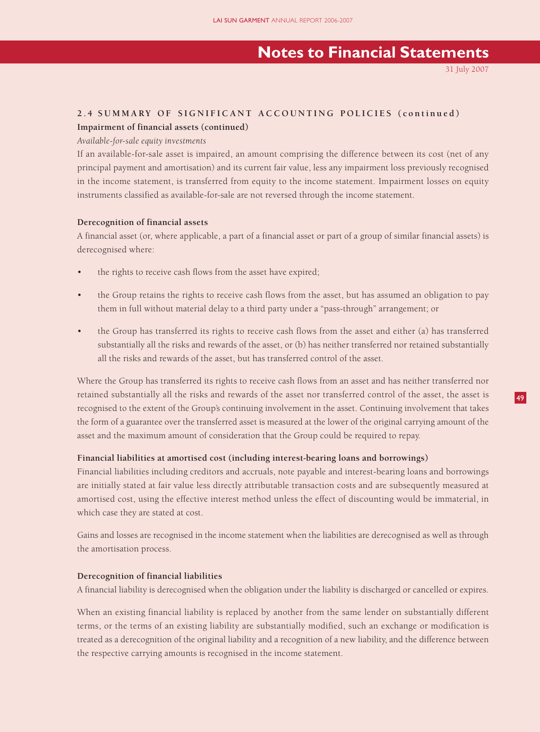31 July 2007

# **2.4 SUMMARY OF SIGNIFICANT ACCOUNTING POLICIES (continued) Impairment of financial assets (continued)**

*Available-for-sale equity investments*

If an available-for-sale asset is impaired, an amount comprising the difference between its cost (net of any principal payment and amortisation) and its current fair value, less any impairment loss previously recognised in the income statement, is transferred from equity to the income statement. Impairment losses on equity instruments classified as available-for-sale are not reversed through the income statement.

#### **Derecognition of financial assets**

A financial asset (or, where applicable, a part of a financial asset or part of a group of similar financial assets) is derecognised where:

- the rights to receive cash flows from the asset have expired;
- the Group retains the rights to receive cash flows from the asset, but has assumed an obligation to pay them in full without material delay to a third party under a "pass-through" arrangement; or
- the Group has transferred its rights to receive cash flows from the asset and either (a) has transferred substantially all the risks and rewards of the asset, or (b) has neither transferred nor retained substantially all the risks and rewards of the asset, but has transferred control of the asset.

Where the Group has transferred its rights to receive cash flows from an asset and has neither transferred nor retained substantially all the risks and rewards of the asset nor transferred control of the asset, the asset is recognised to the extent of the Group's continuing involvement in the asset. Continuing involvement that takes the form of a guarantee over the transferred asset is measured at the lower of the original carrying amount of the asset and the maximum amount of consideration that the Group could be required to repay.

#### **Financial liabilities at amortised cost (including interest-bearing loans and borrowings)**

Financial liabilities including creditors and accruals, note payable and interest-bearing loans and borrowings are initially stated at fair value less directly attributable transaction costs and are subsequently measured at amortised cost, using the effective interest method unless the effect of discounting would be immaterial, in which case they are stated at cost.

Gains and losses are recognised in the income statement when the liabilities are derecognised as well as through the amortisation process.

#### **Derecognition of financial liabilities**

A financial liability is derecognised when the obligation under the liability is discharged or cancelled or expires.

When an existing financial liability is replaced by another from the same lender on substantially different terms, or the terms of an existing liability are substantially modified, such an exchange or modification is treated as a derecognition of the original liability and a recognition of a new liability, and the difference between the respective carrying amounts is recognised in the income statement.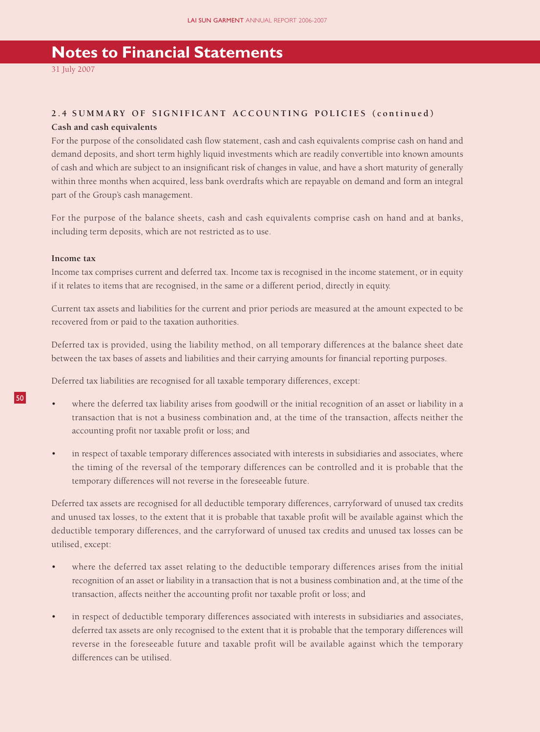31 July 2007

## **2.4 SUMMARY OF SIGNIFICANT ACCOUNTING POLICIES (continued) Cash and cash equivalents**

For the purpose of the consolidated cash flow statement, cash and cash equivalents comprise cash on hand and demand deposits, and short term highly liquid investments which are readily convertible into known amounts of cash and which are subject to an insignificant risk of changes in value, and have a short maturity of generally within three months when acquired, less bank overdrafts which are repayable on demand and form an integral part of the Group's cash management.

For the purpose of the balance sheets, cash and cash equivalents comprise cash on hand and at banks, including term deposits, which are not restricted as to use.

#### **Income tax**

Income tax comprises current and deferred tax. Income tax is recognised in the income statement, or in equity if it relates to items that are recognised, in the same or a different period, directly in equity.

Current tax assets and liabilities for the current and prior periods are measured at the amount expected to be recovered from or paid to the taxation authorities.

Deferred tax is provided, using the liability method, on all temporary differences at the balance sheet date between the tax bases of assets and liabilities and their carrying amounts for financial reporting purposes.

Deferred tax liabilities are recognised for all taxable temporary differences, except:

- where the deferred tax liability arises from goodwill or the initial recognition of an asset or liability in a transaction that is not a business combination and, at the time of the transaction, affects neither the accounting profit nor taxable profit or loss; and
- in respect of taxable temporary differences associated with interests in subsidiaries and associates, where the timing of the reversal of the temporary differences can be controlled and it is probable that the temporary differences will not reverse in the foreseeable future.

Deferred tax assets are recognised for all deductible temporary differences, carryforward of unused tax credits and unused tax losses, to the extent that it is probable that taxable profit will be available against which the deductible temporary differences, and the carryforward of unused tax credits and unused tax losses can be utilised, except:

- where the deferred tax asset relating to the deductible temporary differences arises from the initial recognition of an asset or liability in a transaction that is not a business combination and, at the time of the transaction, affects neither the accounting profit nor taxable profit or loss; and
- in respect of deductible temporary differences associated with interests in subsidiaries and associates, deferred tax assets are only recognised to the extent that it is probable that the temporary differences will reverse in the foreseeable future and taxable profit will be available against which the temporary differences can be utilised.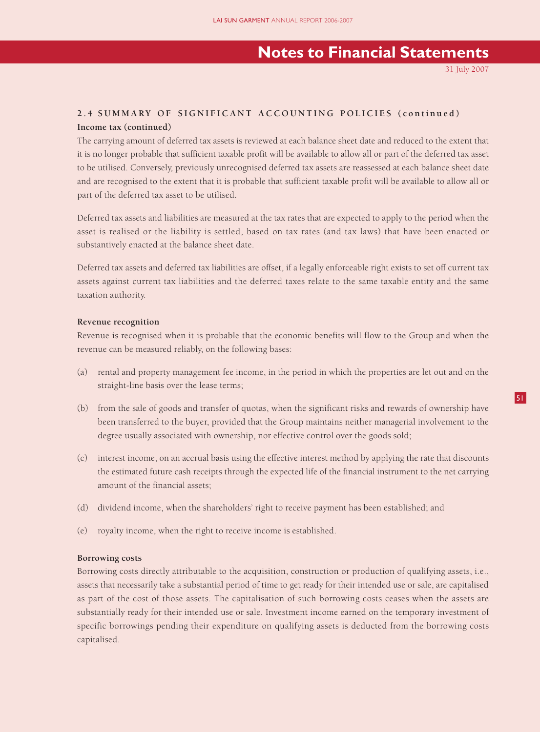31 July 2007

# **2.4 SUMMARY OF SIGNIFICANT ACCOUNTING POLICIES (continued) Income tax (continued)**

The carrying amount of deferred tax assets is reviewed at each balance sheet date and reduced to the extent that it is no longer probable that sufficient taxable profit will be available to allow all or part of the deferred tax asset to be utilised. Conversely, previously unrecognised deferred tax assets are reassessed at each balance sheet date and are recognised to the extent that it is probable that sufficient taxable profit will be available to allow all or part of the deferred tax asset to be utilised.

Deferred tax assets and liabilities are measured at the tax rates that are expected to apply to the period when the asset is realised or the liability is settled, based on tax rates (and tax laws) that have been enacted or substantively enacted at the balance sheet date.

Deferred tax assets and deferred tax liabilities are offset, if a legally enforceable right exists to set off current tax assets against current tax liabilities and the deferred taxes relate to the same taxable entity and the same taxation authority.

#### **Revenue recognition**

Revenue is recognised when it is probable that the economic benefits will flow to the Group and when the revenue can be measured reliably, on the following bases:

- (a) rental and property management fee income, in the period in which the properties are let out and on the straight-line basis over the lease terms;
- (b) from the sale of goods and transfer of quotas, when the significant risks and rewards of ownership have been transferred to the buyer, provided that the Group maintains neither managerial involvement to the degree usually associated with ownership, nor effective control over the goods sold;
- (c) interest income, on an accrual basis using the effective interest method by applying the rate that discounts the estimated future cash receipts through the expected life of the financial instrument to the net carrying amount of the financial assets;
- (d) dividend income, when the shareholders' right to receive payment has been established; and
- (e) royalty income, when the right to receive income is established.

#### **Borrowing costs**

Borrowing costs directly attributable to the acquisition, construction or production of qualifying assets, i.e., assets that necessarily take a substantial period of time to get ready for their intended use or sale, are capitalised as part of the cost of those assets. The capitalisation of such borrowing costs ceases when the assets are substantially ready for their intended use or sale. Investment income earned on the temporary investment of specific borrowings pending their expenditure on qualifying assets is deducted from the borrowing costs capitalised.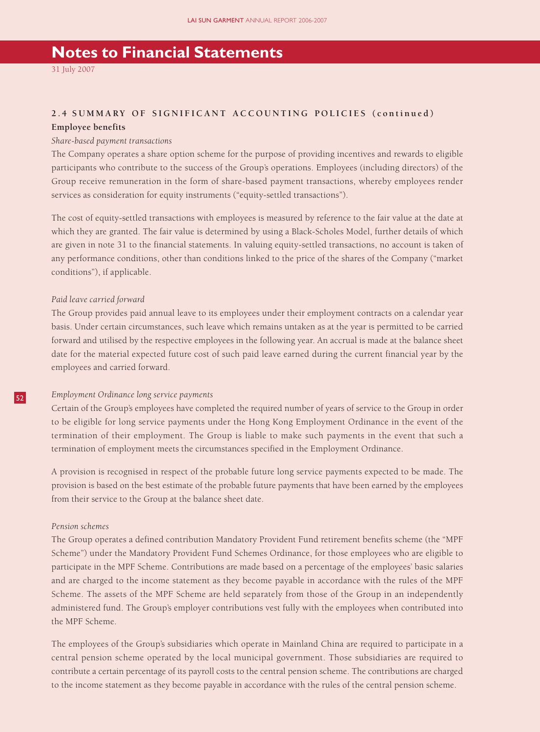31 July 2007

# **2.4 SUMMARY OF SIGNIFICANT ACCOUNTING POLICIES (continued)**

### **Employee benefits**

#### *Share-based payment transactions*

The Company operates a share option scheme for the purpose of providing incentives and rewards to eligible participants who contribute to the success of the Group's operations. Employees (including directors) of the Group receive remuneration in the form of share-based payment transactions, whereby employees render services as consideration for equity instruments ("equity-settled transactions").

The cost of equity-settled transactions with employees is measured by reference to the fair value at the date at which they are granted. The fair value is determined by using a Black-Scholes Model, further details of which are given in note 31 to the financial statements. In valuing equity-settled transactions, no account is taken of any performance conditions, other than conditions linked to the price of the shares of the Company ("market conditions"), if applicable.

#### *Paid leave carried forward*

The Group provides paid annual leave to its employees under their employment contracts on a calendar year basis. Under certain circumstances, such leave which remains untaken as at the year is permitted to be carried forward and utilised by the respective employees in the following year. An accrual is made at the balance sheet date for the material expected future cost of such paid leave earned during the current financial year by the employees and carried forward.

#### *Employment Ordinance long service payments*

Certain of the Group's employees have completed the required number of years of service to the Group in order to be eligible for long service payments under the Hong Kong Employment Ordinance in the event of the termination of their employment. The Group is liable to make such payments in the event that such a termination of employment meets the circumstances specified in the Employment Ordinance.

A provision is recognised in respect of the probable future long service payments expected to be made. The provision is based on the best estimate of the probable future payments that have been earned by the employees from their service to the Group at the balance sheet date.

#### *Pension schemes*

The Group operates a defined contribution Mandatory Provident Fund retirement benefits scheme (the "MPF Scheme") under the Mandatory Provident Fund Schemes Ordinance, for those employees who are eligible to participate in the MPF Scheme. Contributions are made based on a percentage of the employees' basic salaries and are charged to the income statement as they become payable in accordance with the rules of the MPF Scheme. The assets of the MPF Scheme are held separately from those of the Group in an independently administered fund. The Group's employer contributions vest fully with the employees when contributed into the MPF Scheme.

The employees of the Group's subsidiaries which operate in Mainland China are required to participate in a central pension scheme operated by the local municipal government. Those subsidiaries are required to contribute a certain percentage of its payroll costs to the central pension scheme. The contributions are charged to the income statement as they become payable in accordance with the rules of the central pension scheme.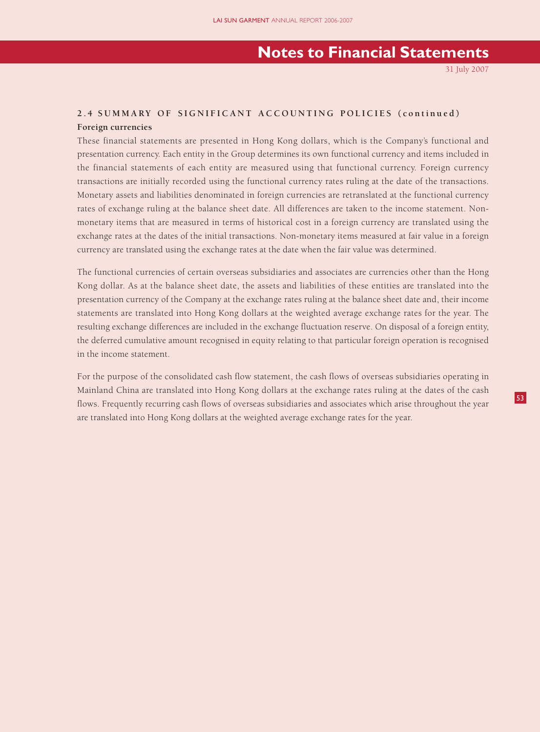31 July 2007

# **2.4 SUMMARY OF SIGNIFICANT ACCOUNTING POLICIES (continued) Foreign currencies**

These financial statements are presented in Hong Kong dollars, which is the Company's functional and presentation currency. Each entity in the Group determines its own functional currency and items included in the financial statements of each entity are measured using that functional currency. Foreign currency transactions are initially recorded using the functional currency rates ruling at the date of the transactions. Monetary assets and liabilities denominated in foreign currencies are retranslated at the functional currency rates of exchange ruling at the balance sheet date. All differences are taken to the income statement. Nonmonetary items that are measured in terms of historical cost in a foreign currency are translated using the exchange rates at the dates of the initial transactions. Non-monetary items measured at fair value in a foreign currency are translated using the exchange rates at the date when the fair value was determined.

The functional currencies of certain overseas subsidiaries and associates are currencies other than the Hong Kong dollar. As at the balance sheet date, the assets and liabilities of these entities are translated into the presentation currency of the Company at the exchange rates ruling at the balance sheet date and, their income statements are translated into Hong Kong dollars at the weighted average exchange rates for the year. The resulting exchange differences are included in the exchange fluctuation reserve. On disposal of a foreign entity, the deferred cumulative amount recognised in equity relating to that particular foreign operation is recognised in the income statement.

For the purpose of the consolidated cash flow statement, the cash flows of overseas subsidiaries operating in Mainland China are translated into Hong Kong dollars at the exchange rates ruling at the dates of the cash flows. Frequently recurring cash flows of overseas subsidiaries and associates which arise throughout the year are translated into Hong Kong dollars at the weighted average exchange rates for the year.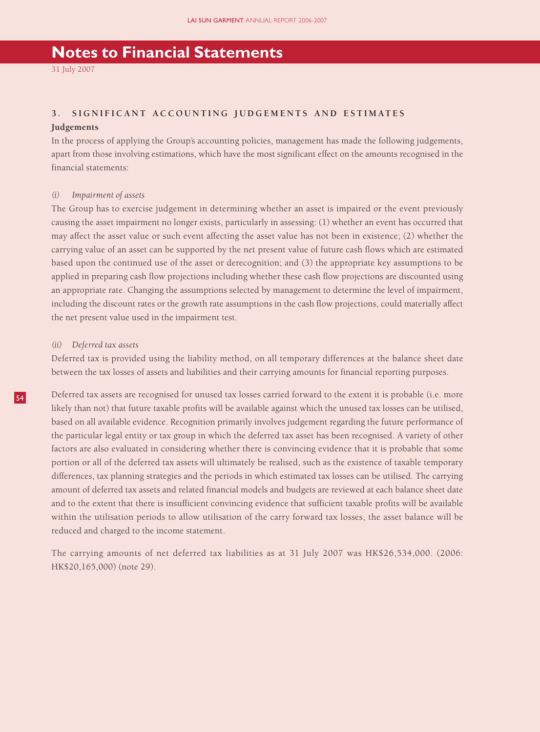31 July 2007

# **3. SIGNIFICANT ACCOUNTING JUDGEMENTS AND ESTIMATES**

## **Judgements**

In the process of applying the Group's accounting policies, management has made the following judgements, apart from those involving estimations, which have the most significant effect on the amounts recognised in the financial statements:

#### *(i) Impairment of assets*

The Group has to exercise judgement in determining whether an asset is impaired or the event previously causing the asset impairment no longer exists, particularly in assessing: (1) whether an event has occurred that may affect the asset value or such event affecting the asset value has not been in existence; (2) whether the carrying value of an asset can be supported by the net present value of future cash flows which are estimated based upon the continued use of the asset or derecognition; and (3) the appropriate key assumptions to be applied in preparing cash flow projections including whether these cash flow projections are discounted using an appropriate rate. Changing the assumptions selected by management to determine the level of impairment, including the discount rates or the growth rate assumptions in the cash flow projections, could materially affect the net present value used in the impairment test.

#### *(ii) Deferred tax assets*

Deferred tax is provided using the liability method, on all temporary differences at the balance sheet date between the tax losses of assets and liabilities and their carrying amounts for financial reporting purposes.

Deferred tax assets are recognised for unused tax losses carried forward to the extent it is probable (i.e. more likely than not) that future taxable profits will be available against which the unused tax losses can be utilised, based on all available evidence. Recognition primarily involves judgement regarding the future performance of the particular legal entity or tax group in which the deferred tax asset has been recognised. A variety of other factors are also evaluated in considering whether there is convincing evidence that it is probable that some portion or all of the deferred tax assets will ultimately be realised, such as the existence of taxable temporary differences, tax planning strategies and the periods in which estimated tax losses can be utilised. The carrying amount of deferred tax assets and related financial models and budgets are reviewed at each balance sheet date and to the extent that there is insufficient convincing evidence that sufficient taxable profits will be available within the utilisation periods to allow utilisation of the carry forward tax losses, the asset balance will be reduced and charged to the income statement.

The carrying amounts of net deferred tax liabilities as at 31 July 2007 was HK\$26,534,000. (2006: HK\$20,165,000) (note 29).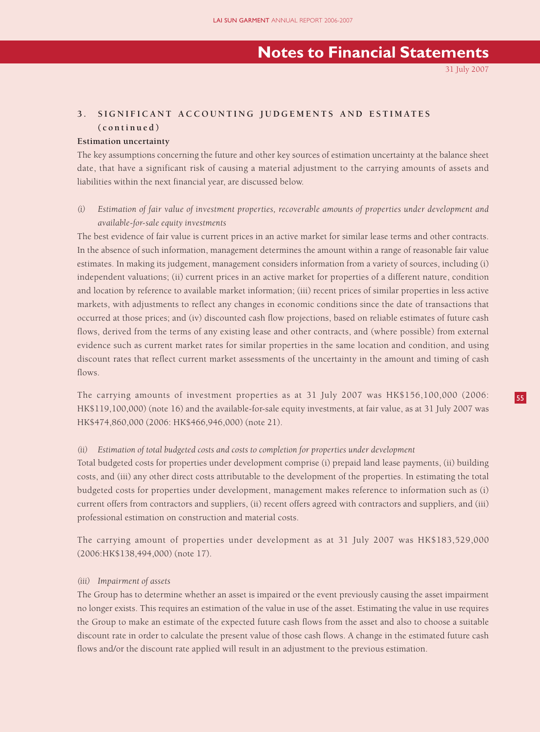31 July 2007

# **3. SIGNIFICANT ACCOUNTING JUDGEMENTS AND ESTIMATES (continued)**

#### **Estimation uncertainty**

The key assumptions concerning the future and other key sources of estimation uncertainty at the balance sheet date, that have a significant risk of causing a material adjustment to the carrying amounts of assets and liabilities within the next financial year, are discussed below.

*(i) Estimation of fair value of investment properties, recoverable amounts of properties under development and available-for-sale equity investments*

The best evidence of fair value is current prices in an active market for similar lease terms and other contracts. In the absence of such information, management determines the amount within a range of reasonable fair value estimates. In making its judgement, management considers information from a variety of sources, including (i) independent valuations; (ii) current prices in an active market for properties of a different nature, condition and location by reference to available market information; (iii) recent prices of similar properties in less active markets, with adjustments to reflect any changes in economic conditions since the date of transactions that occurred at those prices; and (iv) discounted cash flow projections, based on reliable estimates of future cash flows, derived from the terms of any existing lease and other contracts, and (where possible) from external evidence such as current market rates for similar properties in the same location and condition, and using discount rates that reflect current market assessments of the uncertainty in the amount and timing of cash flows.

The carrying amounts of investment properties as at 31 July 2007 was HK\$156,100,000 (2006: HK\$119,100,000) (note 16) and the available-for-sale equity investments, at fair value, as at 31 July 2007 was HK\$474,860,000 (2006: HK\$466,946,000) (note 21).

### *(ii) Estimation of total budgeted costs and costs to completion for properties under development*

Total budgeted costs for properties under development comprise (i) prepaid land lease payments, (ii) building costs, and (iii) any other direct costs attributable to the development of the properties. In estimating the total budgeted costs for properties under development, management makes reference to information such as (i) current offers from contractors and suppliers, (ii) recent offers agreed with contractors and suppliers, and (iii) professional estimation on construction and material costs.

The carrying amount of properties under development as at 31 July 2007 was HK\$183,529,000 (2006:HK\$138,494,000) (note 17).

#### *(iii) Impairment of assets*

The Group has to determine whether an asset is impaired or the event previously causing the asset impairment no longer exists. This requires an estimation of the value in use of the asset. Estimating the value in use requires the Group to make an estimate of the expected future cash flows from the asset and also to choose a suitable discount rate in order to calculate the present value of those cash flows. A change in the estimated future cash flows and/or the discount rate applied will result in an adjustment to the previous estimation.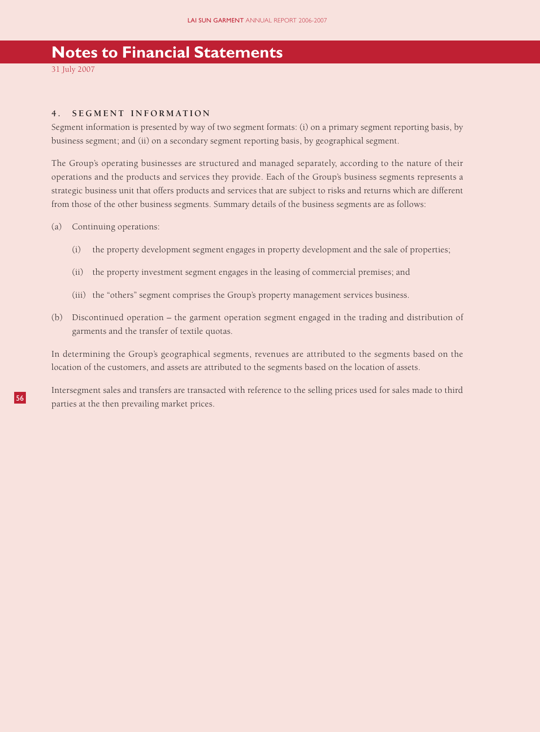31 July 2007

### **4. SEGMENT INFORMATION**

Segment information is presented by way of two segment formats: (i) on a primary segment reporting basis, by business segment; and (ii) on a secondary segment reporting basis, by geographical segment.

The Group's operating businesses are structured and managed separately, according to the nature of their operations and the products and services they provide. Each of the Group's business segments represents a strategic business unit that offers products and services that are subject to risks and returns which are different from those of the other business segments. Summary details of the business segments are as follows:

- (a) Continuing operations:
	- (i) the property development segment engages in property development and the sale of properties;
	- (ii) the property investment segment engages in the leasing of commercial premises; and
	- (iii) the "others" segment comprises the Group's property management services business.
- (b) Discontinued operation the garment operation segment engaged in the trading and distribution of garments and the transfer of textile quotas.

In determining the Group's geographical segments, revenues are attributed to the segments based on the location of the customers, and assets are attributed to the segments based on the location of assets.

Intersegment sales and transfers are transacted with reference to the selling prices used for sales made to third parties at the then prevailing market prices.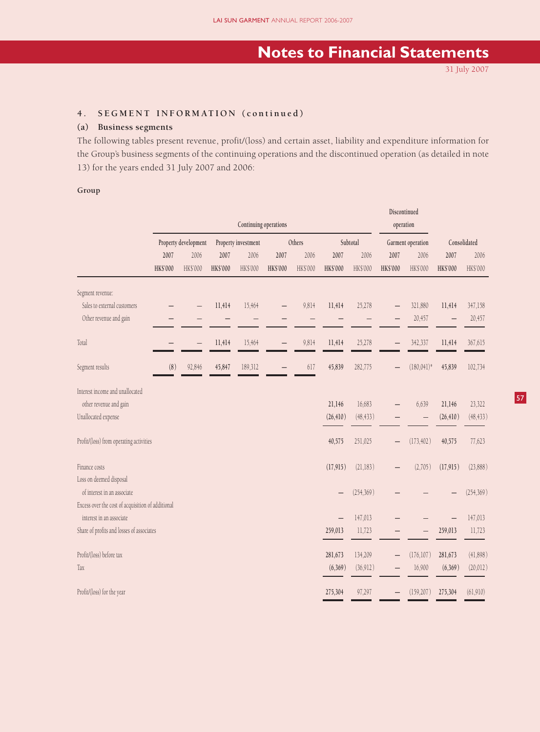31 July 2007

## **4. SEGMENT INFORMATION (continued)**

### **(a) Business segments**

The following tables present revenue, profit/(loss) and certain asset, liability and expenditure information for the Group's business segments of the continuing operations and the discontinued operation (as detailed in note 13) for the years ended 31 July 2007 and 2006:

#### **Group**

|                                                   | Continuing operations |                      |                  |                     |                  |                  |                  | Discontinued<br>operation |                         |                  |                          |                  |
|---------------------------------------------------|-----------------------|----------------------|------------------|---------------------|------------------|------------------|------------------|---------------------------|-------------------------|------------------|--------------------------|------------------|
|                                                   |                       | Property development |                  | Property investment |                  | Others           |                  | Subtotal                  | Garment operation       |                  |                          | Consolidated     |
|                                                   | 2007<br>HK\$'000      | 2006<br>HK\$'000     | 2007<br>HK\$'000 | 2006<br>HK\$'000    | 2007<br>HK\$'000 | 2006<br>HK\$'000 | 2007<br>HK\$'000 | 2006<br>HK\$'000          | 2007<br><b>HK\$'000</b> | 2006<br>HK\$'000 | 2007<br>HK\$'000         | 2006<br>HK\$'000 |
| Segment revenue:                                  |                       |                      |                  |                     |                  |                  |                  |                           |                         |                  |                          |                  |
| Sales to external customers                       |                       |                      | 11,414           | 15,464              |                  | 9,814            | 11,414           | 25,278                    |                         | 321,880          | 11,414                   | 347,158          |
| Other revenue and gain                            |                       |                      |                  |                     |                  |                  |                  |                           |                         | 20,457           | $\overline{\phantom{0}}$ | 20,457           |
| Total                                             |                       | $\qquad \qquad -$    | 11,414           | 15,464              |                  | 9,814            | 11,414           | 25,278                    | $\qquad \qquad$         | 342,337          | 11,414                   | 367,615          |
| Segment results                                   | (8)                   | 92,846               | 45,847           | 189,312             |                  | 617              | 45,839           | 282,775                   | —                       | $(180,041)*$     | 45,839                   | 102,734          |
| Interest income and unallocated                   |                       |                      |                  |                     |                  |                  |                  |                           |                         |                  |                          |                  |
| other revenue and gain                            |                       |                      |                  |                     |                  |                  | 21,146           | 16,683                    |                         | 6,639            | 21,146                   | 23,322           |
| Unallocated expense                               |                       |                      |                  |                     |                  |                  | (26, 410)        | (48, 433)                 |                         |                  | (26, 410)                | (48, 433)        |
| Profit/(loss) from operating activities           |                       |                      |                  |                     |                  |                  | 40,575           | 251,025                   | —                       | (173, 402)       | 40,575                   | 77,623           |
| Finance costs                                     |                       |                      |                  |                     |                  |                  | (17, 915)        | (21, 183)                 |                         | (2,705)          | (17, 915)                | (23,888)         |
| Loss on deemed disposal                           |                       |                      |                  |                     |                  |                  |                  |                           |                         |                  |                          |                  |
| of interest in an associate                       |                       |                      |                  |                     |                  |                  |                  | (254, 369)                |                         |                  | -                        | (254, 369)       |
| Excess over the cost of acquisition of additional |                       |                      |                  |                     |                  |                  |                  |                           |                         |                  |                          |                  |
| interest in an associate                          |                       |                      |                  |                     |                  |                  |                  | 147,013                   |                         |                  |                          | 147,013          |
| Share of profits and losses of associates         |                       |                      |                  |                     |                  |                  | 259,013          | 11,723                    |                         |                  | 259,013                  | 11,723           |
| Profit/(loss) before tax                          |                       |                      |                  |                     |                  |                  | 281,673          | 134,209                   | —                       | (176, 107)       | 281,673                  | (41,898)         |
| Tax                                               |                       |                      |                  |                     |                  |                  | (6,369)          | (36, 912)                 | —                       | 16,900           | (6,369)                  | (20, 012)        |
| Profit/(loss) for the year                        |                       |                      |                  |                     |                  |                  | 275,304          | 97,297                    |                         | (159, 207)       | 275,304                  | (61, 910)        |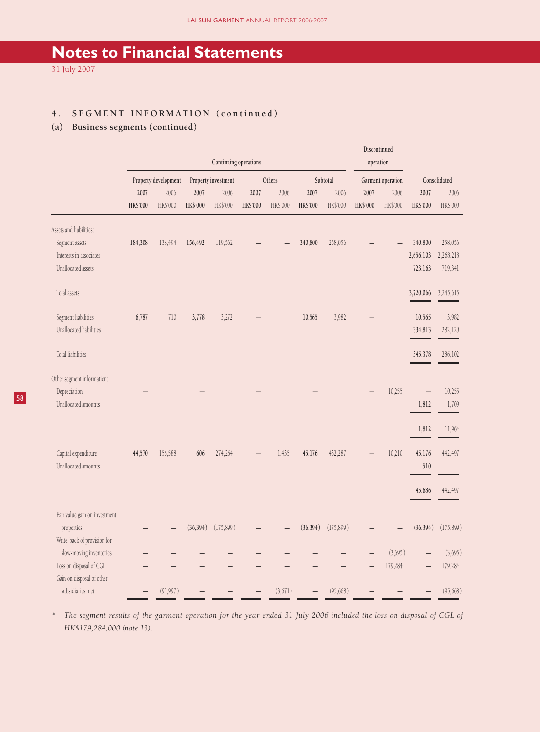31 July 2007

### **4. SEGMENT INFORMATION (continued)**

## **(a) Business segments (continued)**

|                                                        | Continuing operations   |                      |                               |                  |                        |                  |                         | Discontinued<br>operation |                         |                  |                         |                  |
|--------------------------------------------------------|-------------------------|----------------------|-------------------------------|------------------|------------------------|------------------|-------------------------|---------------------------|-------------------------|------------------|-------------------------|------------------|
|                                                        |                         | Property development | Others<br>Property investment |                  | Subtotal               |                  | Garment operation       |                           | Consolidated            |                  |                         |                  |
|                                                        | 2007<br><b>HK\$'000</b> | 2006<br>HK\$'000     | 2007<br><b>HK\$'000</b>       | 2006<br>HK\$'000 | 2007<br><b>HKS'000</b> | 2006<br>HK\$'000 | 2007<br><b>HK\$'000</b> | 2006<br>HK\$'000          | 2007<br><b>HK\$'000</b> | 2006<br>HK\$'000 | 2007<br><b>HK\$'000</b> | 2006<br>HK\$'000 |
|                                                        |                         |                      |                               |                  |                        |                  |                         |                           |                         |                  |                         |                  |
| Assets and liabilities:                                | 184,308                 | 138,494              | 156,492                       | 119,562          |                        |                  | 340,800                 | 258,056                   |                         |                  | 340,800                 | 258,056          |
| Segment assets<br>Interests in associates              |                         |                      |                               |                  |                        |                  |                         |                           |                         |                  | 2,656,103               | 2,268,218        |
| Unallocated assets                                     |                         |                      |                               |                  |                        |                  |                         |                           |                         |                  | 723,163                 | 719,341          |
| Total assets                                           |                         |                      |                               |                  |                        |                  |                         |                           |                         |                  | 3,720,066               | 3,245,615        |
| Segment liabilities                                    | 6,787                   | $710$                | 3,778                         | 3,272            |                        |                  | 10,565                  | 3,982                     |                         |                  | 10,565                  | 3,982            |
| Unallocated liabilities                                |                         |                      |                               |                  |                        |                  |                         |                           |                         |                  | 334,813                 | 282,120          |
| Total liabilities                                      |                         |                      |                               |                  |                        |                  |                         |                           |                         |                  | 345,378                 | 286,102          |
| Other segment information:                             |                         |                      |                               |                  |                        |                  |                         |                           |                         |                  |                         |                  |
| Depreciation                                           |                         |                      |                               |                  |                        |                  |                         |                           |                         | 10,255           |                         | 10,255           |
| Unallocated amounts                                    |                         |                      |                               |                  |                        |                  |                         |                           |                         |                  | 1,812                   | 1,709            |
|                                                        |                         |                      |                               |                  |                        |                  |                         |                           |                         |                  | 1,812                   | 11,964           |
| Capital expenditure                                    | 44,570                  | 156,588              | 606                           | 274,264          |                        | 1,435            | 45,176                  | 432,287                   |                         | 10,210           | 45,176                  | 442,497          |
| Unallocated amounts                                    |                         |                      |                               |                  |                        |                  |                         |                           |                         |                  | 510                     |                  |
|                                                        |                         |                      |                               |                  |                        |                  |                         |                           |                         |                  | 45,686                  | 442,497          |
| Fair value gain on investment                          |                         |                      |                               |                  |                        |                  |                         |                           |                         |                  |                         |                  |
| properties                                             |                         |                      | (36, 394)                     | (175, 899)       |                        |                  | (36, 394)               | (175, 899)                |                         |                  | (36, 394)               | (175, 899)       |
| Write-back of provision for<br>slow-moving inventories |                         |                      |                               |                  |                        |                  |                         |                           |                         | (3,695)          |                         | (3,695)          |
| Loss on disposal of CGL                                |                         |                      |                               |                  |                        |                  |                         |                           |                         | 179,284          | -                       | 179,284          |
| Gain on disposal of other                              |                         |                      |                               |                  |                        |                  |                         |                           |                         |                  |                         |                  |
| subsidiaries, net                                      |                         | (91, 997)            |                               |                  |                        | (3,671)          |                         | (95,668)                  |                         |                  |                         | (95,668)         |

*\* The segment results of the garment operation for the year ended 31 July 2006 included the loss on disposal of CGL of HK\$179,284,000 (note 13).*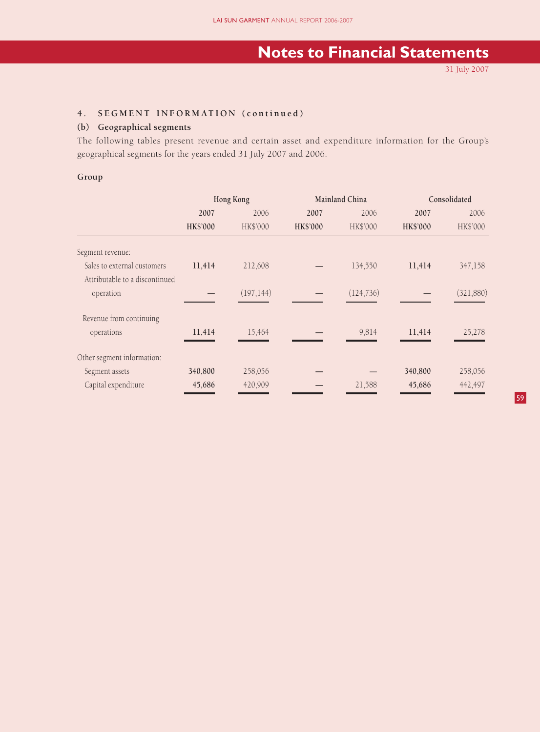31 July 2007

## **4. SEGMENT INFORMATION (continued)**

## **(b) Geographical segments**

The following tables present revenue and certain asset and expenditure information for the Group's geographical segments for the years ended 31 July 2007 and 2006.

## **Group**

|                                | Hong Kong       |            |                 | Mainland China | Consolidated    |            |  |
|--------------------------------|-----------------|------------|-----------------|----------------|-----------------|------------|--|
|                                | 2007            | 2006       | 2007            | 2006           | 2007            | 2006       |  |
|                                | <b>HK\$'000</b> | HK\$'000   | <b>HK\$'000</b> | HK\$'000       | <b>HK\$'000</b> | HK\$'000   |  |
| Segment revenue:               |                 |            |                 |                |                 |            |  |
| Sales to external customers    | 11,414          | 212,608    |                 | 134,550        | 11,414          | 347,158    |  |
| Attributable to a discontinued |                 |            |                 |                |                 |            |  |
| operation                      |                 | (197, 144) |                 | (124, 736)     |                 | (321, 880) |  |
|                                |                 |            |                 |                |                 |            |  |
| Revenue from continuing        |                 |            |                 |                |                 |            |  |
| operations                     | 11,414          | 15,464     |                 | 9,814          | 11,414          | 25,278     |  |
| Other segment information:     |                 |            |                 |                |                 |            |  |
| Segment assets                 | 340,800         | 258,056    |                 |                | 340,800         | 258,056    |  |
| Capital expenditure            | 45,686          | 420,909    |                 | 21,588         | 45,686          | 442,497    |  |
|                                |                 |            |                 |                |                 |            |  |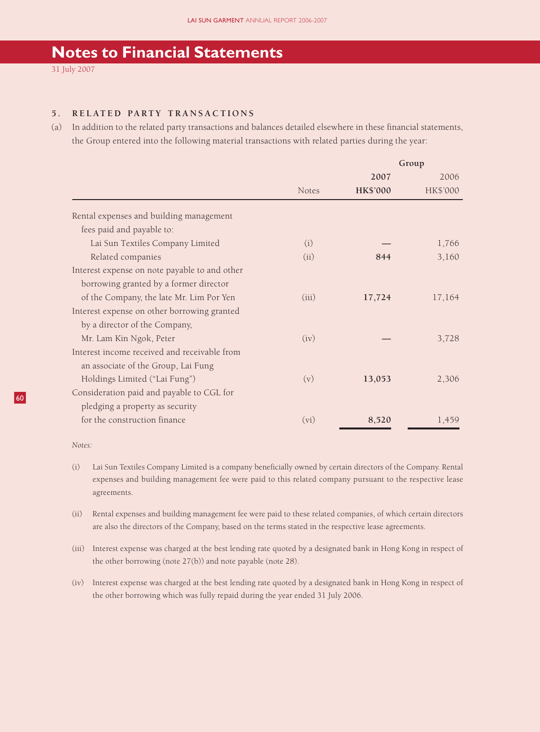31 July 2007

## **5. RELATED PARTY TRANSACTIONS**

(a) In addition to the related party transactions and balances detailed elsewhere in these financial statements, the Group entered into the following material transactions with related parties during the year:

|                                               |              | Group           |          |
|-----------------------------------------------|--------------|-----------------|----------|
|                                               |              | 2007            | 2006     |
|                                               | <b>Notes</b> | <b>HK\$'000</b> | HK\$'000 |
| Rental expenses and building management       |              |                 |          |
| fees paid and payable to:                     |              |                 |          |
| Lai Sun Textiles Company Limited              | (i)          |                 | 1,766    |
| Related companies                             | (ii)         | 844             | 3,160    |
| Interest expense on note payable to and other |              |                 |          |
| borrowing granted by a former director        |              |                 |          |
| of the Company, the late Mr. Lim Por Yen      | (iii)        | 17,724          | 17,164   |
| Interest expense on other borrowing granted   |              |                 |          |
| by a director of the Company,                 |              |                 |          |
| Mr. Lam Kin Ngok, Peter                       | (iv)         |                 | 3,728    |
| Interest income received and receivable from  |              |                 |          |
| an associate of the Group, Lai Fung           |              |                 |          |
| Holdings Limited ("Lai Fung")                 | (v)          | 13,053          | 2,306    |
| Consideration paid and payable to CGL for     |              |                 |          |
| pledging a property as security               |              |                 |          |
| for the construction finance                  | (vi)         | 8,520           | 1,459    |

*Notes:*

- (i) Lai Sun Textiles Company Limited is a company beneficially owned by certain directors of the Company. Rental expenses and building management fee were paid to this related company pursuant to the respective lease agreements.
- (ii) Rental expenses and building management fee were paid to these related companies, of which certain directors are also the directors of the Company, based on the terms stated in the respective lease agreements.
- (iii) Interest expense was charged at the best lending rate quoted by a designated bank in Hong Kong in respect of the other borrowing (note 27(b)) and note payable (note 28).
- (iv) Interest expense was charged at the best lending rate quoted by a designated bank in Hong Kong in respect of the other borrowing which was fully repaid during the year ended 31 July 2006.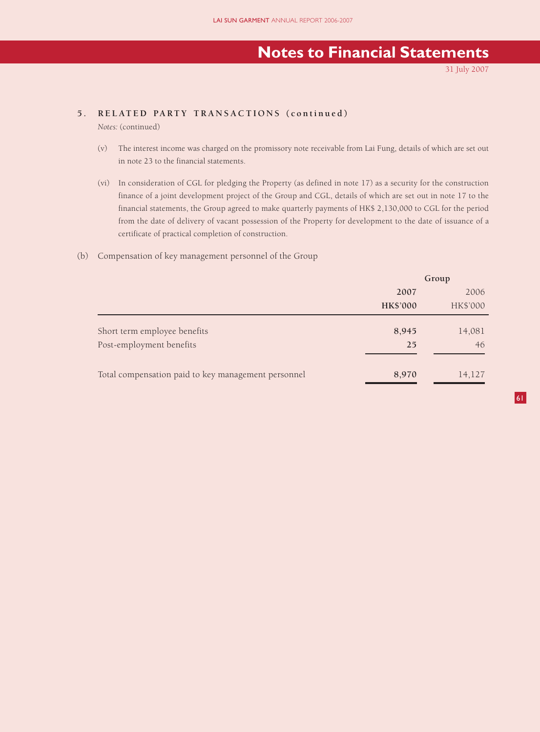31 July 2007

### **5. RELATED PARTY TRANSACTIONS (continued)**

*Notes:* (continued)

- (v) The interest income was charged on the promissory note receivable from Lai Fung, details of which are set out in note 23 to the financial statements.
- (vi) In consideration of CGL for pledging the Property (as defined in note 17) as a security for the construction finance of a joint development project of the Group and CGL, details of which are set out in note 17 to the financial statements, the Group agreed to make quarterly payments of HK\$ 2,130,000 to CGL for the period from the date of delivery of vacant possession of the Property for development to the date of issuance of a certificate of practical completion of construction.
- (b) Compensation of key management personnel of the Group

|                                                     | Group           |          |  |  |
|-----------------------------------------------------|-----------------|----------|--|--|
|                                                     | 2007<br>2006    |          |  |  |
|                                                     | <b>HK\$'000</b> | HK\$'000 |  |  |
| Short term employee benefits                        | 8,945           | 14,081   |  |  |
| Post-employment benefits                            | 25              | 46       |  |  |
| Total compensation paid to key management personnel | 8,970           | 14,127   |  |  |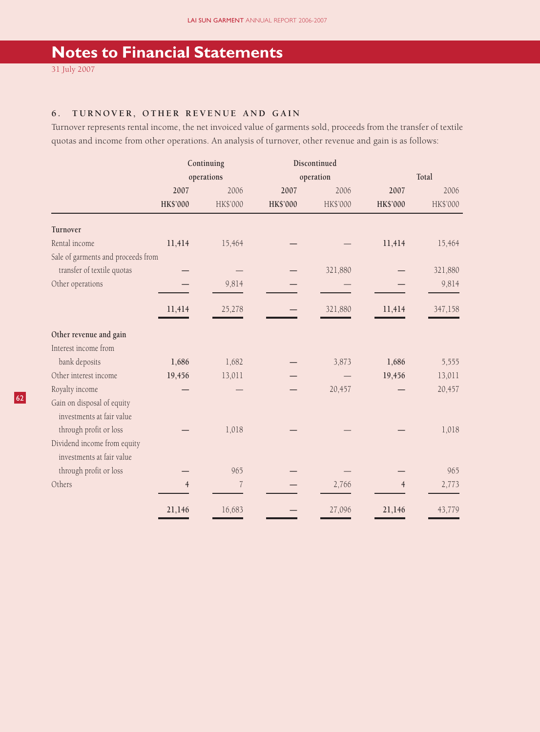31 July 2007

## **6. TURNOVER, OTHER REVENUE AND GAIN**

Turnover represents rental income, the net invoiced value of garments sold, proceeds from the transfer of textile quotas and income from other operations. An analysis of turnover, other revenue and gain is as follows:

|                                                          |                 | Continuing       |                 | Discontinued |                 |          |  |
|----------------------------------------------------------|-----------------|------------------|-----------------|--------------|-----------------|----------|--|
|                                                          |                 | operations       |                 | operation    | Total           |          |  |
|                                                          | 2007            | 2006             | 2007            | 2006         | 2007            | 2006     |  |
|                                                          | <b>HK\$'000</b> | HK\$'000         | <b>HK\$'000</b> | HK\$'000     | <b>HK\$'000</b> | HK\$'000 |  |
| Turnover                                                 |                 |                  |                 |              |                 |          |  |
| Rental income                                            | 11,414          | 15,464           |                 |              | 11,414          | 15,464   |  |
| Sale of garments and proceeds from                       |                 |                  |                 |              |                 |          |  |
| transfer of textile quotas                               |                 |                  |                 | 321,880      |                 | 321,880  |  |
| Other operations                                         |                 | 9,814            |                 |              |                 | 9,814    |  |
|                                                          | 11,414          | 25,278           |                 | 321,880      | 11,414          | 347,158  |  |
| Other revenue and gain                                   |                 |                  |                 |              |                 |          |  |
| Interest income from                                     |                 |                  |                 |              |                 |          |  |
| bank deposits                                            | 1,686           | 1,682            |                 | 3,873        | 1,686           | 5,555    |  |
| Other interest income                                    | 19,456          | 13,011           |                 |              | 19,456          | 13,011   |  |
| Royalty income                                           |                 |                  |                 | 20,457       |                 | 20,457   |  |
| Gain on disposal of equity<br>investments at fair value  |                 |                  |                 |              |                 |          |  |
| through profit or loss                                   |                 | 1,018            |                 |              |                 | 1,018    |  |
| Dividend income from equity<br>investments at fair value |                 |                  |                 |              |                 |          |  |
| through profit or loss                                   |                 | 965              |                 |              |                 | 965      |  |
| Others                                                   | $\overline{4}$  | $\boldsymbol{7}$ |                 | 2,766        | 4               | 2,773    |  |
|                                                          | 21,146          | 16,683           |                 | 27,096       | 21,146          | 43,779   |  |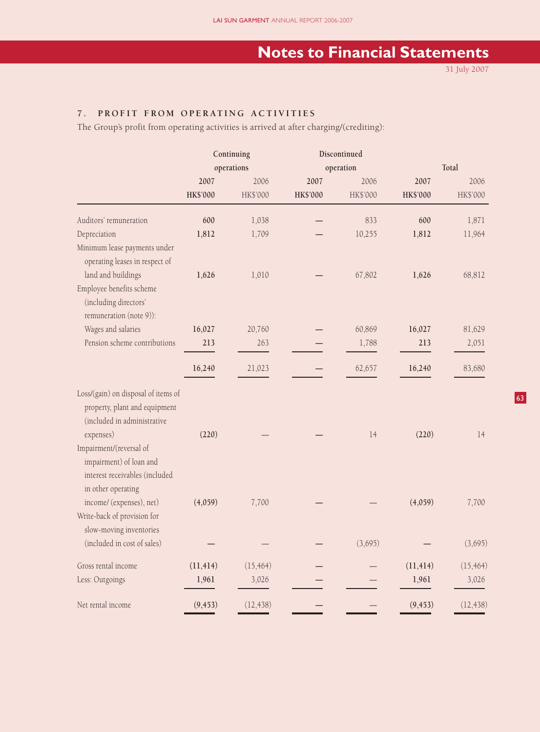31 July 2007

# **7. PROFIT FROM OPERATING ACTIVITIES**

The Group's profit from operating activities is arrived at after charging/(crediting):

|                                                                                                                  | Continuing<br>operations |           | Discontinued<br>operation |          | Total           |           |
|------------------------------------------------------------------------------------------------------------------|--------------------------|-----------|---------------------------|----------|-----------------|-----------|
|                                                                                                                  |                          |           |                           |          |                 |           |
|                                                                                                                  | 2007                     | 2006      | 2007                      | 2006     | 2007            | 2006      |
|                                                                                                                  | <b>HK\$'000</b>          | HK\$'000  | <b>HK\$'000</b>           | HK\$'000 | <b>HK\$'000</b> | HK\$'000  |
| Auditors' remuneration                                                                                           | 600                      | 1,038     |                           | 833      | 600             | 1,871     |
| Depreciation                                                                                                     | 1,812                    | 1,709     |                           | 10,255   | 1,812           | 11,964    |
| Minimum lease payments under<br>operating leases in respect of                                                   |                          |           |                           |          |                 |           |
| land and buildings                                                                                               | 1,626                    | 1,010     |                           | 67,802   | 1,626           | 68,812    |
| Employee benefits scheme<br>(including directors'<br>remuneration (note 9)):                                     |                          |           |                           |          |                 |           |
| Wages and salaries                                                                                               | 16,027                   | 20,760    |                           | 60,869   | 16,027          | 81,629    |
| Pension scheme contributions                                                                                     | 213                      | 263       |                           | 1,788    | 213             | 2,051     |
|                                                                                                                  | 16,240                   | 21,023    |                           | 62,657   | 16,240          | 83,680    |
| Loss/(gain) on disposal of items of<br>property, plant and equipment<br>(included in administrative<br>expenses) | (220)                    |           |                           | 14       | (220)           | 14        |
| Impairment/(reversal of<br>impairment) of loan and<br>interest receivables (included<br>in other operating       |                          |           |                           |          |                 |           |
| income/ (expenses), net)<br>Write-back of provision for<br>slow-moving inventories                               | (4,059)                  | 7,700     |                           |          | (4,059)         | 7,700     |
| (included in cost of sales)                                                                                      |                          |           |                           | (3,695)  |                 | (3,695)   |
| Gross rental income                                                                                              | (11, 414)                | (15, 464) |                           |          | (11, 414)       | (15, 464) |
| Less: Outgoings                                                                                                  | 1,961                    | 3,026     |                           |          | 1,961           | 3,026     |
| Net rental income                                                                                                | (9, 453)                 | (12, 438) |                           |          | (9, 453)        | (12, 438) |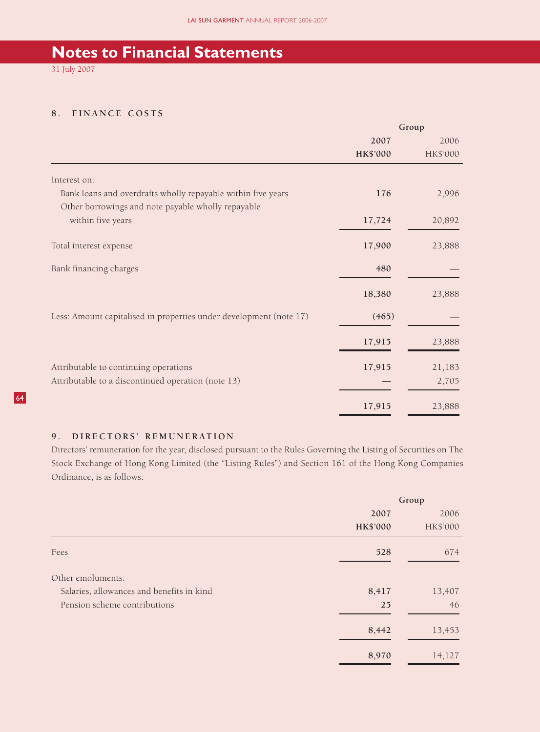31 July 2007

## **8. FINANCE COSTS**

|                                                                    | Group           |          |
|--------------------------------------------------------------------|-----------------|----------|
|                                                                    | 2007            | 2006     |
|                                                                    | <b>HK\$'000</b> | HK\$'000 |
| Interest on:                                                       |                 |          |
| Bank loans and overdrafts wholly repayable within five years       | 176             | 2,996    |
| Other borrowings and note payable wholly repayable                 |                 |          |
| within five years                                                  | 17,724          | 20,892   |
| Total interest expense                                             | 17,900          | 23,888   |
| Bank financing charges                                             | 480             |          |
|                                                                    | 18,380          | 23,888   |
| Less: Amount capitalised in properties under development (note 17) | (465)           |          |
|                                                                    | 17,915          | 23,888   |
| Attributable to continuing operations                              | 17,915          | 21,183   |
| Attributable to a discontinued operation (note 13)                 |                 | 2,705    |
|                                                                    | 17,915          | 23,888   |

# **9. DIRECTORS ' REMUNERATION**

Directors' remuneration for the year, disclosed pursuant to the Rules Governing the Listing of Securities on The Stock Exchange of Hong Kong Limited (the "Listing Rules") and Section 161 of the Hong Kong Companies Ordinance, is as follows:

|                                           | Group           |          |
|-------------------------------------------|-----------------|----------|
|                                           | 2007            | 2006     |
|                                           | <b>HK\$'000</b> | HK\$'000 |
| Fees                                      | 528             | 674      |
| Other emoluments:                         |                 |          |
| Salaries, allowances and benefits in kind | 8,417           | 13,407   |
| Pension scheme contributions              | 25              | 46       |
|                                           | 8,442           | 13,453   |
|                                           | 8,970           | 14,127   |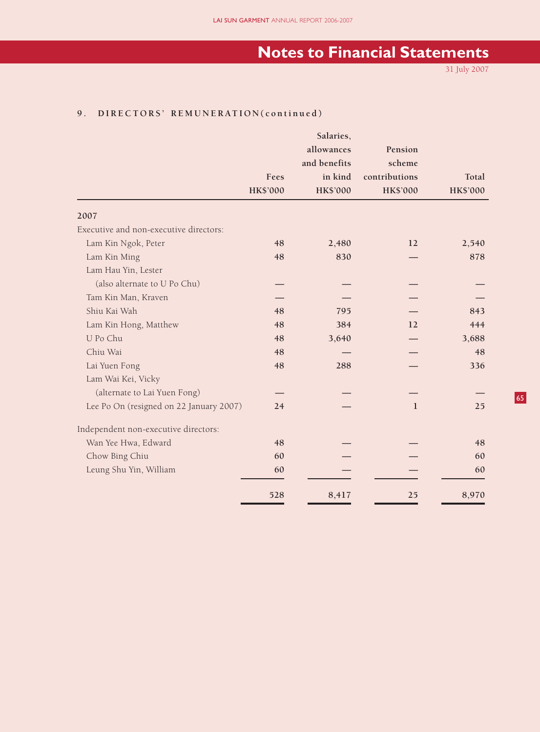31 July 2007

# **Salaries, allowances Pension and benefits scheme Fees in kind contributions Total HK\$'000 HK\$'000 HK\$'000 HK\$'000 2007** Executive and non-executive directors: Lam Kin Ngok, Peter **48 2,480 12 2,540** Lam Kin Ming **48 830 — 878** Lam Hau Yin, Lester (also alternate to U Po Chu) Tam Kin Man, Kraven Shiu Kai Wah **48 795 — 843** Lam Kin Hong, Matthew **48 384 12 444** U Po Chu **48 3,640 — 3,688** Chiu Wai **48 — — 48** Lai Yuen Fong **48 288 — 336** Lam Wai Kei, Vicky (alternate to Lai Yuen Fong) Lee Po On (resigned on 22 January 2007) **24 — 1 25** Independent non-executive directors: Wan Yee Hwa, Edward **48 — — 48** Chow Bing Chiu **60 — — 60** Leung Shu Yin, William **60 — — 60 528 8,417 25 8,970**

## **9. DIRECTORS ' REMUNERATION(continued)**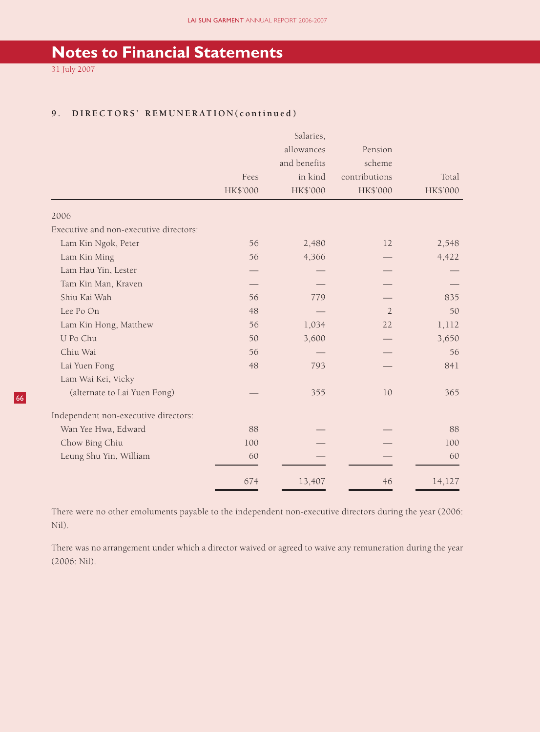31 July 2007

# **9. DIRECTORS ' REMUNERATION(continued)**

|                                        |          | Salaries,    |                |          |
|----------------------------------------|----------|--------------|----------------|----------|
|                                        |          | allowances   | Pension        |          |
|                                        |          | and benefits | scheme         |          |
|                                        | Fees     | in kind      | contributions  | Total    |
|                                        | HK\$'000 | HK\$'000     | HK\$'000       | HK\$'000 |
| 2006                                   |          |              |                |          |
| Executive and non-executive directors: |          |              |                |          |
| Lam Kin Ngok, Peter                    | 56       | 2,480        | 12             | 2,548    |
| Lam Kin Ming                           | 56       | 4,366        |                | 4,422    |
| Lam Hau Yin, Lester                    |          |              |                |          |
| Tam Kin Man, Kraven                    |          |              |                |          |
| Shiu Kai Wah                           | 56       | 779          |                | 835      |
| Lee Po On                              | 48       |              | $\overline{2}$ | 50       |
| Lam Kin Hong, Matthew                  | 56       | 1,034        | 22             | 1,112    |
| U Po Chu                               | 50       | 3,600        |                | 3,650    |
| Chiu Wai                               | 56       |              |                | 56       |
| Lai Yuen Fong                          | 48       | 793          |                | 841      |
| Lam Wai Kei, Vicky                     |          |              |                |          |
| (alternate to Lai Yuen Fong)           |          | 355          | 10             | 365      |
| Independent non-executive directors:   |          |              |                |          |
| Wan Yee Hwa, Edward                    | 88       |              |                | 88       |
| Chow Bing Chiu                         | 100      |              |                | 100      |
| Leung Shu Yin, William                 | 60       |              |                | 60       |
|                                        | 674      | 13,407       | 46             | 14,127   |

There were no other emoluments payable to the independent non-executive directors during the year (2006: Nil).

There was no arrangement under which a director waived or agreed to waive any remuneration during the year (2006: Nil).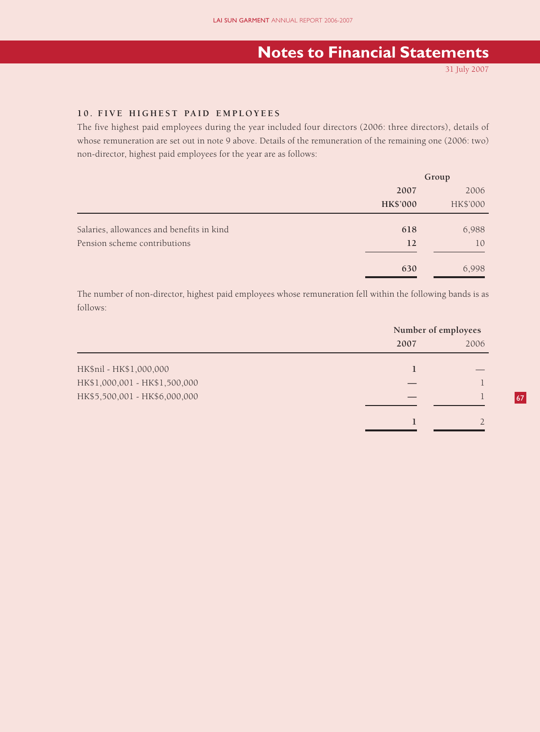31 July 2007

## **10. FIVE HIGHEST PAID EMPLOYEES**

The five highest paid employees during the year included four directors (2006: three directors), details of whose remuneration are set out in note 9 above. Details of the remuneration of the remaining one (2006: two) non-director, highest paid employees for the year are as follows:

|                                           | Group           |          |
|-------------------------------------------|-----------------|----------|
|                                           | 2007            | 2006     |
|                                           | <b>HK\$'000</b> | HK\$'000 |
|                                           |                 |          |
| Salaries, allowances and benefits in kind | 618             | 6,988    |
| Pension scheme contributions              | 12              | 10       |
|                                           |                 |          |
|                                           | 630             | 6,998    |

The number of non-director, highest paid employees whose remuneration fell within the following bands is as follows:

|                               |      | Number of employees |  |
|-------------------------------|------|---------------------|--|
|                               | 2007 | 2006                |  |
|                               |      |                     |  |
| HK\$nil - HK\$1,000,000       |      |                     |  |
| HK\$1,000,001 - HK\$1,500,000 |      |                     |  |
| HK\$5,500,001 - HK\$6,000,000 |      |                     |  |
|                               |      |                     |  |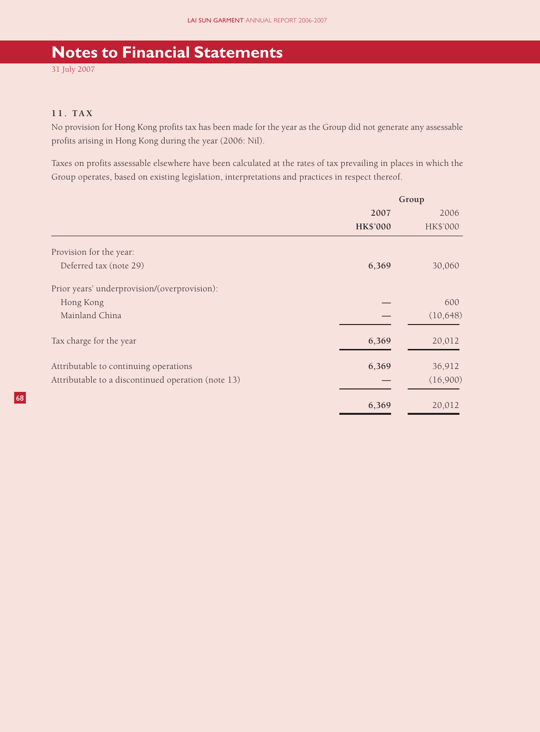31 July 2007

## **11. TAX**

No provision for Hong Kong profits tax has been made for the year as the Group did not generate any assessable profits arising in Hong Kong during the year (2006: Nil).

Taxes on profits assessable elsewhere have been calculated at the rates of tax prevailing in places in which the Group operates, based on existing legislation, interpretations and practices in respect thereof.

|                                                    | Group           |           |
|----------------------------------------------------|-----------------|-----------|
|                                                    | 2007            | 2006      |
|                                                    | <b>HK\$'000</b> | HK\$'000  |
| Provision for the year:                            |                 |           |
| Deferred tax (note 29)                             | 6,369           | 30,060    |
| Prior years' underprovision/(overprovision):       |                 |           |
| Hong Kong                                          |                 | 600       |
| Mainland China                                     |                 | (10, 648) |
| Tax charge for the year                            | 6,369           | 20,012    |
| Attributable to continuing operations              | 6,369           | 36,912    |
| Attributable to a discontinued operation (note 13) |                 | (16,900)  |
|                                                    | 6,369           | 20,012    |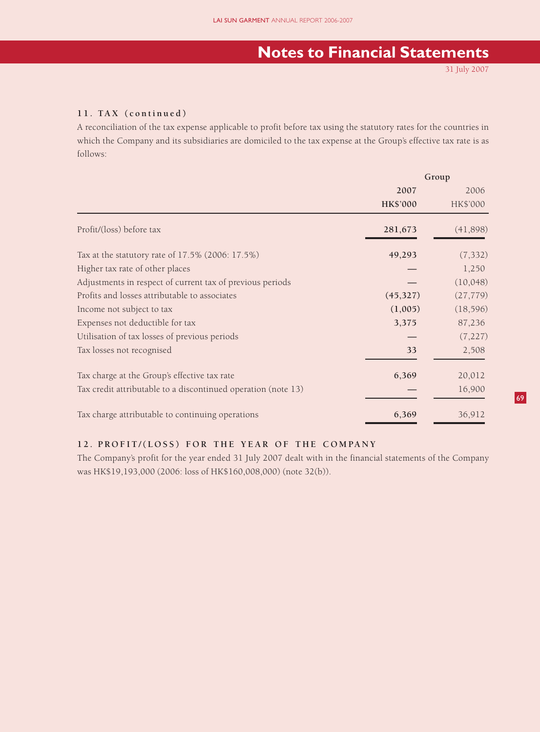31 July 2007

## **11. TAX (continued)**

A reconciliation of the tax expense applicable to profit before tax using the statutory rates for the countries in which the Company and its subsidiaries are domiciled to the tax expense at the Group's effective tax rate is as follows:

|                                                               | Group           |           |
|---------------------------------------------------------------|-----------------|-----------|
|                                                               | 2007            | 2006      |
|                                                               | <b>HK\$'000</b> | HK\$'000  |
| Profit/(loss) before tax                                      | 281,673         | (41,898)  |
| Tax at the statutory rate of 17.5% (2006: 17.5%)              | 49,293          | (7, 332)  |
| Higher tax rate of other places                               |                 | 1,250     |
| Adjustments in respect of current tax of previous periods     |                 | (10,048)  |
| Profits and losses attributable to associates                 | (45, 327)       | (27, 779) |
| Income not subject to tax                                     | (1,005)         | (18, 596) |
| Expenses not deductible for tax                               | 3,375           | 87,236    |
| Utilisation of tax losses of previous periods                 |                 | (7, 227)  |
| Tax losses not recognised                                     | 33              | 2,508     |
| Tax charge at the Group's effective tax rate                  | 6,369           | 20,012    |
| Tax credit attributable to a discontinued operation (note 13) |                 | 16,900    |
| Tax charge attributable to continuing operations              | 6,369           | 36,912    |

## **12. PROFIT/(LOSS) FOR THE YEAR OF THE COMPANY**

The Company's profit for the year ended 31 July 2007 dealt with in the financial statements of the Company was HK\$19,193,000 (2006: loss of HK\$160,008,000) (note 32(b)).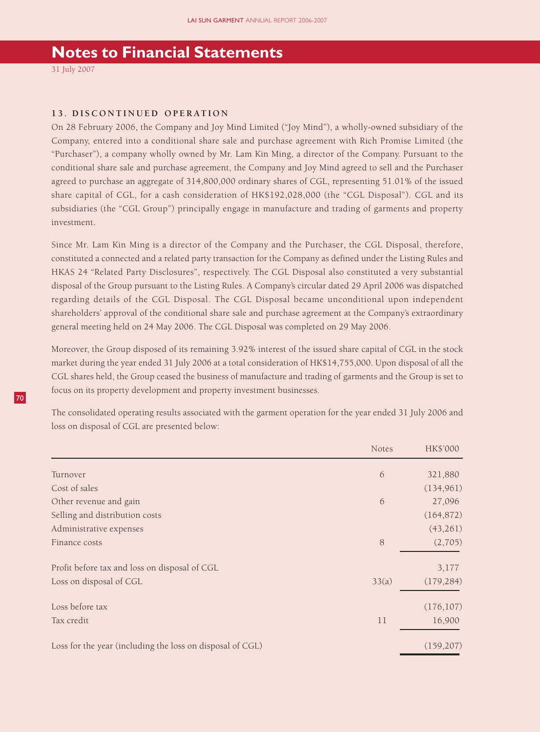31 July 2007

### **13. DISCONTINUED OPERATION**

On 28 February 2006, the Company and Joy Mind Limited ("Joy Mind"), a wholly-owned subsidiary of the Company, entered into a conditional share sale and purchase agreement with Rich Promise Limited (the "Purchaser"), a company wholly owned by Mr. Lam Kin Ming, a director of the Company. Pursuant to the conditional share sale and purchase agreement, the Company and Joy Mind agreed to sell and the Purchaser agreed to purchase an aggregate of 314,800,000 ordinary shares of CGL, representing 51.01% of the issued share capital of CGL, for a cash consideration of HK\$192,028,000 (the "CGL Disposal"). CGL and its subsidiaries (the "CGL Group") principally engage in manufacture and trading of garments and property investment.

Since Mr. Lam Kin Ming is a director of the Company and the Purchaser, the CGL Disposal, therefore, constituted a connected and a related party transaction for the Company as defined under the Listing Rules and HKAS 24 "Related Party Disclosures", respectively. The CGL Disposal also constituted a very substantial disposal of the Group pursuant to the Listing Rules. A Company's circular dated 29 April 2006 was dispatched regarding details of the CGL Disposal. The CGL Disposal became unconditional upon independent shareholders' approval of the conditional share sale and purchase agreement at the Company's extraordinary general meeting held on 24 May 2006. The CGL Disposal was completed on 29 May 2006.

Moreover, the Group disposed of its remaining 3.92% interest of the issued share capital of CGL in the stock market during the year ended 31 July 2006 at a total consideration of HK\$14,755,000. Upon disposal of all the CGL shares held, the Group ceased the business of manufacture and trading of garments and the Group is set to focus on its property development and property investment businesses.

|                                                           | Notes | HK\$'000   |
|-----------------------------------------------------------|-------|------------|
| Turnover                                                  | 6     | 321,880    |
| Cost of sales                                             |       | (134,961)  |
| Other revenue and gain                                    | 6     | 27,096     |
| Selling and distribution costs                            |       | (164, 872) |
| Administrative expenses                                   |       | (43,261)   |
| Finance costs                                             | 8     | (2,705)    |
| Profit before tax and loss on disposal of CGL             |       | 3,177      |
| Loss on disposal of CGL                                   | 33(a) | (179, 284) |
| Loss before tax                                           |       | (176, 107) |
| Tax credit                                                | 11    | 16,900     |
| Loss for the year (including the loss on disposal of CGL) |       | (159, 207) |

The consolidated operating results associated with the garment operation for the year ended 31 July 2006 and loss on disposal of CGL are presented below: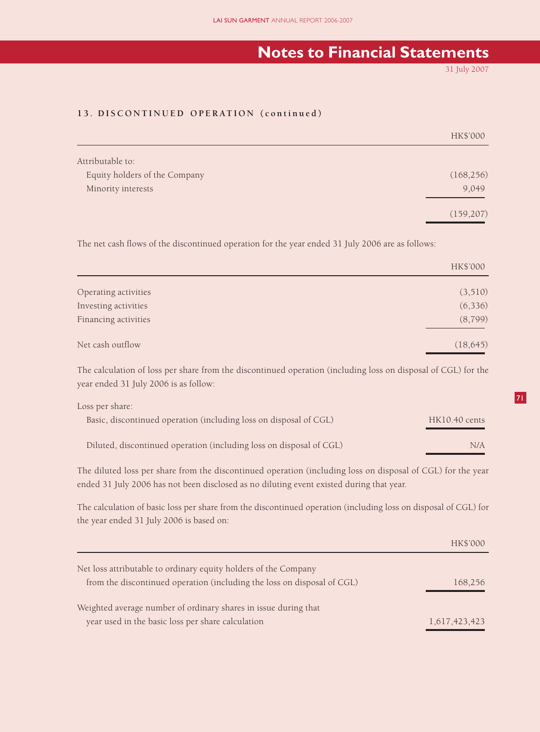31 July 2007

## **13. DISCONTINUED OPERATION (continued)**

|                               | HK\$'000   |
|-------------------------------|------------|
| Attributable to:              |            |
| Equity holders of the Company | (168, 256) |
| Minority interests            | 9,049      |
|                               | (159, 207) |

The net cash flows of the discontinued operation for the year ended 31 July 2006 are as follows:

|                      | HK\$'000  |
|----------------------|-----------|
|                      |           |
| Operating activities | (3,510)   |
| Investing activities | (6,336)   |
| Financing activities | (8,799)   |
|                      |           |
| Net cash outflow     | (18, 645) |

The calculation of loss per share from the discontinued operation (including loss on disposal of CGL) for the year ended 31 July 2006 is as follow:

| Loss per share:                                                     |               |
|---------------------------------------------------------------------|---------------|
| Basic, discontinued operation (including loss on disposal of CGL)   | HK10.40 cents |
|                                                                     |               |
| Diluted, discontinued operation (including loss on disposal of CGL) | N/A           |

The diluted loss per share from the discontinued operation (including loss on disposal of CGL) for the year ended 31 July 2006 has not been disclosed as no diluting event existed during that year.

The calculation of basic loss per share from the discontinued operation (including loss on disposal of CGL) for the year ended 31 July 2006 is based on:

|                                                                         | HK\$'000      |
|-------------------------------------------------------------------------|---------------|
| Net loss attributable to ordinary equity holders of the Company         |               |
| from the discontinued operation (including the loss on disposal of CGL) | 168,256       |
| Weighted average number of ordinary shares in issue during that         |               |
| year used in the basic loss per share calculation                       | 1,617,423,423 |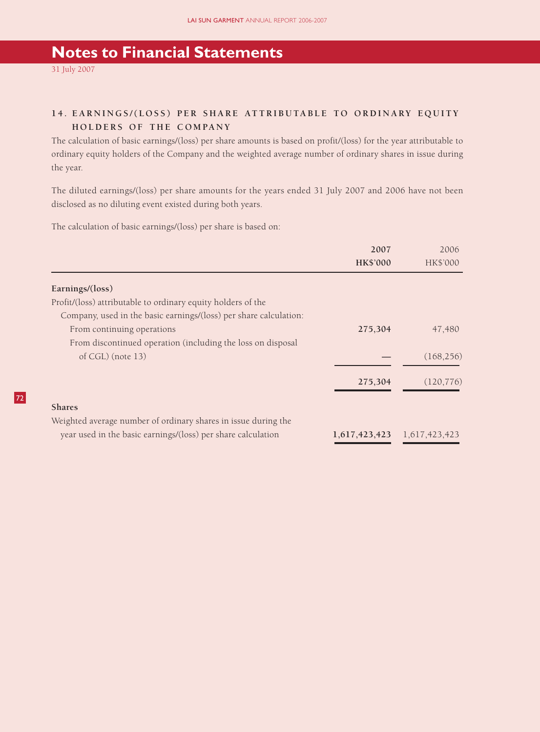31 July 2007

### **14. EARNINGS/(LOSS) PER SHARE ATTRIBUTABLE TO ORDINARY EQUITY HOLDERS OF THE COMPANY**

The calculation of basic earnings/(loss) per share amounts is based on profit/(loss) for the year attributable to ordinary equity holders of the Company and the weighted average number of ordinary shares in issue during the year.

The diluted earnings/(loss) per share amounts for the years ended 31 July 2007 and 2006 have not been disclosed as no diluting event existed during both years.

The calculation of basic earnings/(loss) per share is based on:

|                                                                   | 2007            | 2006          |
|-------------------------------------------------------------------|-----------------|---------------|
|                                                                   | <b>HK\$'000</b> | HK\$'000      |
| Earnings/(loss)                                                   |                 |               |
| Profit/(loss) attributable to ordinary equity holders of the      |                 |               |
| Company, used in the basic earnings/(loss) per share calculation: |                 |               |
| From continuing operations                                        | 275,304         | 47,480        |
| From discontinued operation (including the loss on disposal       |                 |               |
| of $CGL$ ) (note 13)                                              |                 | (168, 256)    |
|                                                                   |                 |               |
|                                                                   | 275,304         | (120, 776)    |
| <b>Shares</b>                                                     |                 |               |
| Weighted average number of ordinary shares in issue during the    |                 |               |
| year used in the basic earnings/(loss) per share calculation      | 1,617,423,423   | 1,617,423,423 |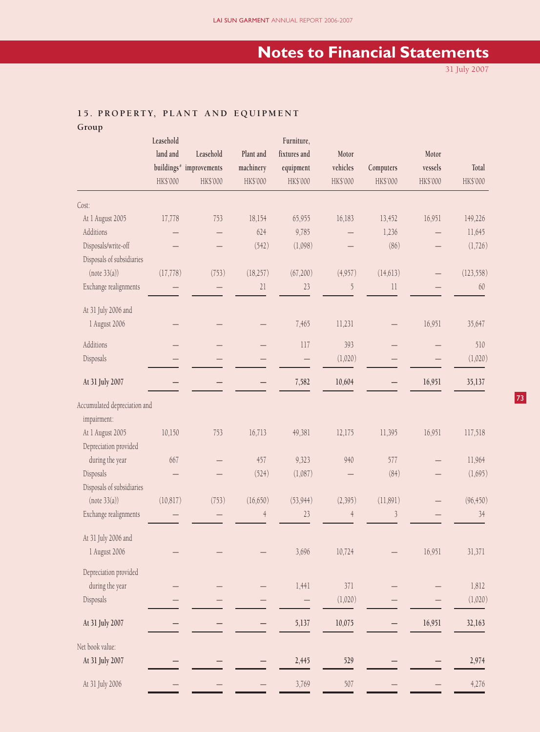31 July 2007

### **15. PROPERTY, PLANT AND EQUIPMENT Group**

|                              | Leasehold<br>Furniture, |                                     |                                    |           |                      |            |                          |            |  |
|------------------------------|-------------------------|-------------------------------------|------------------------------------|-----------|----------------------|------------|--------------------------|------------|--|
|                              | land and<br>Leasehold   |                                     | Plant and<br>fixtures and<br>Motor |           |                      |            | Motor                    |            |  |
|                              |                         | buildings <sup>#</sup> improvements | machinery                          | equipment | vehicles             | Computers  | vessels                  | Total      |  |
|                              | HK\$'000                | HK\$'000                            | HK\$'000                           | HK\$'000  | HK\$'000             | HK\$'000   | HK\$'000                 | HK\$'000   |  |
| Cost:                        |                         |                                     |                                    |           |                      |            |                          |            |  |
| At 1 August 2005             | 17,778                  | 753                                 | 18,154                             | 65,955    | 16,183               | 13,452     | 16,951                   | 149,226    |  |
| Additions                    |                         |                                     | 624                                | 9,785     |                      | 1,236      |                          | 11,645     |  |
| Disposals/write-off          |                         |                                     | (542)                              | (1,098)   |                      | (86)       |                          | (1,726)    |  |
| Disposals of subsidiaries    |                         |                                     |                                    |           |                      |            |                          |            |  |
| (note 33(a))                 | (17, 778)               | (753)                               | (18, 257)                          | (67,200)  | (4,957)              | (14,613)   | $\overline{\phantom{0}}$ | (123, 558) |  |
| Exchange realignments        |                         | $\overline{\phantom{0}}$            | 21                                 | $23\,$    | $5\,$                | $11\,$     |                          | 60         |  |
| At 31 July 2006 and          |                         |                                     |                                    |           |                      |            |                          |            |  |
| 1 August 2006                |                         |                                     |                                    | 7,465     | 11,231               |            | 16,951                   | 35,647     |  |
| Additions                    |                         |                                     |                                    | 117       | 393                  |            |                          | 510        |  |
| Disposals                    |                         |                                     |                                    |           | (1,020)              |            |                          | (1,020)    |  |
| At 31 July 2007              |                         |                                     |                                    | 7,582     | 10,604               |            | 16,951                   | 35,137     |  |
| Accumulated depreciation and |                         |                                     |                                    |           |                      |            |                          |            |  |
| impairment:                  |                         |                                     |                                    |           |                      |            |                          |            |  |
| At 1 August 2005             | 10,150                  | 753                                 | 16,713                             | 49,381    | 12,175               | 11,395     | 16,951                   | 117,518    |  |
| Depreciation provided        |                         |                                     |                                    |           |                      |            |                          |            |  |
| during the year              | 667                     |                                     | 457                                | 9,323     | 940                  | 577        |                          | 11,964     |  |
| Disposals                    |                         |                                     | (524)                              | (1,087)   |                      | (84)       |                          | (1,695)    |  |
| Disposals of subsidiaries    |                         |                                     |                                    |           |                      |            |                          |            |  |
| (note 33(a))                 | (10, 817)               | (753)                               | (16,650)                           | (53, 944) | (2,395)              | (11,891)   |                          | (96, 450)  |  |
| Exchange realignments        |                         |                                     | $\ddot{\mathcal{A}}$               | $23\,$    | $\ddot{\mathcal{A}}$ | $\sqrt{3}$ |                          | 34         |  |
| At 31 July 2006 and          |                         |                                     |                                    |           |                      |            |                          |            |  |
| 1 August 2006                |                         |                                     |                                    | 3,696     | 10,724               |            | 16,951                   | 31,371     |  |
| Depreciation provided        |                         |                                     |                                    |           |                      |            |                          |            |  |
| during the year              |                         |                                     |                                    | 1,441     | $371\,$              |            |                          | 1,812      |  |
| Disposals                    |                         |                                     |                                    |           | (1,020)              |            |                          | (1,020)    |  |
| At 31 July 2007              |                         |                                     |                                    | 5,137     | 10,075               |            | 16,951                   | 32,163     |  |
| Net book value:              |                         |                                     |                                    |           |                      |            |                          |            |  |
| At 31 July 2007              |                         |                                     |                                    | 2,445     | 529                  |            |                          | 2,974      |  |
| At 31 July 2006              |                         |                                     |                                    | 3,769     | $507\,$              |            |                          | 4,276      |  |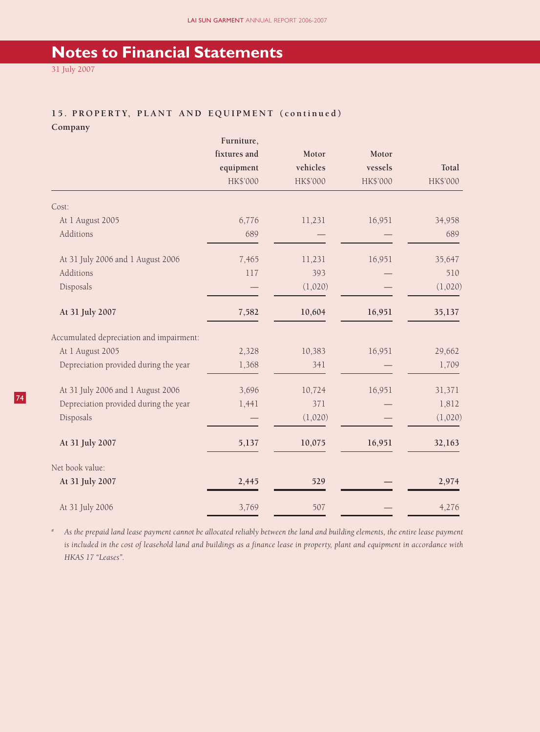31 July 2007

### **15. PROPERTY, PLANT AND EQUIPMENT (continued) Company**

|                                          | Furniture,   |          |          |          |
|------------------------------------------|--------------|----------|----------|----------|
|                                          | fixtures and | Motor    | Motor    |          |
|                                          | equipment    | vehicles | vessels  | Total    |
|                                          | HK\$'000     | HK\$'000 | HK\$'000 | HK\$'000 |
| Cost:                                    |              |          |          |          |
| At 1 August 2005                         | 6,776        | 11,231   | 16,951   | 34,958   |
| Additions                                | 689          |          |          | 689      |
| At 31 July 2006 and 1 August 2006        | 7,465        | 11,231   | 16,951   | 35,647   |
| Additions                                | 117          | 393      |          | 510      |
| Disposals                                |              | (1,020)  |          | (1,020)  |
| At 31 July 2007                          | 7,582        | 10,604   | 16,951   | 35,137   |
| Accumulated depreciation and impairment: |              |          |          |          |
| At 1 August 2005                         | 2,328        | 10,383   | 16,951   | 29,662   |
| Depreciation provided during the year    | 1,368        | 341      |          | 1,709    |
| At 31 July 2006 and 1 August 2006        | 3,696        | 10,724   | 16,951   | 31,371   |
| Depreciation provided during the year    | 1,441        | 371      |          | 1,812    |
| Disposals                                |              | (1,020)  |          | (1,020)  |
| At 31 July 2007                          | 5,137        | 10,075   | 16,951   | 32,163   |
| Net book value:                          |              |          |          |          |
| At 31 July 2007                          | 2,445        | 529      |          | 2,974    |
| At 31 July 2006                          | 3,769        | 507      |          | 4,276    |

*# As the prepaid land lease payment cannot be allocated reliably between the land and building elements, the entire lease payment is included in the cost of leasehold land and buildings as a finance lease in property, plant and equipment in accordance with HKAS 17 "Leases".*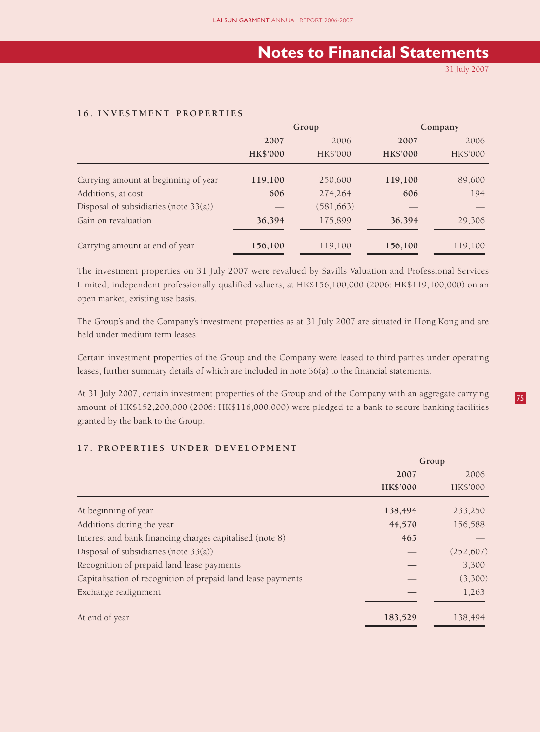31 July 2007

|                                       | Group           |            |                 | Company  |
|---------------------------------------|-----------------|------------|-----------------|----------|
|                                       | 2007            | 2006       | 2007            | 2006     |
|                                       | <b>HK\$'000</b> | HK\$'000   | <b>HK\$'000</b> | HK\$'000 |
|                                       |                 |            |                 |          |
| Carrying amount at beginning of year  | 119,100         | 250,600    | 119,100         | 89,600   |
| Additions, at cost                    | 606             | 274,264    | 606             | 194      |
| Disposal of subsidiaries (note 33(a)) |                 | (581, 663) |                 |          |
| Gain on revaluation                   | 36,394          | 175,899    | 36,394          | 29,306   |
| Carrying amount at end of year        | 156,100         | 119,100    | 156,100         | 119,100  |
|                                       |                 |            |                 |          |

### **16. INVESTMENT PROPERTIES**

The investment properties on 31 July 2007 were revalued by Savills Valuation and Professional Services Limited, independent professionally qualified valuers, at HK\$156,100,000 (2006: HK\$119,100,000) on an open market, existing use basis.

The Group's and the Company's investment properties as at 31 July 2007 are situated in Hong Kong and are held under medium term leases.

Certain investment properties of the Group and the Company were leased to third parties under operating leases, further summary details of which are included in note 36(a) to the financial statements.

At 31 July 2007, certain investment properties of the Group and of the Company with an aggregate carrying amount of HK\$152,200,000 (2006: HK\$116,000,000) were pledged to a bank to secure banking facilities granted by the bank to the Group.

### **17. PROPERTIES UNDER DEVELOPMENT**

|                                                              | Group           |            |
|--------------------------------------------------------------|-----------------|------------|
|                                                              | 2007            | 2006       |
|                                                              | <b>HK\$'000</b> | HK\$'000   |
| At beginning of year                                         | 138,494         | 233,250    |
| Additions during the year                                    | 44,570          | 156,588    |
| Interest and bank financing charges capitalised (note 8)     | 465             |            |
| Disposal of subsidiaries (note 33(a))                        |                 | (252, 607) |
| Recognition of prepaid land lease payments                   |                 | 3,300      |
| Capitalisation of recognition of prepaid land lease payments |                 | (3,300)    |
| Exchange realignment                                         |                 | 1,263      |
| At end of year                                               | 183,529         | 138,494    |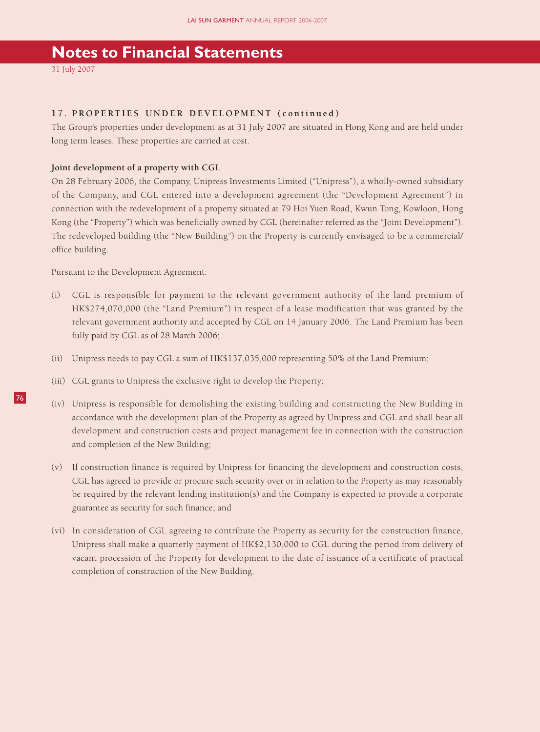31 July 2007

### **17. PROPERTIES UNDER DEVELOPMENT (continued)**

The Group's properties under development as at 31 July 2007 are situated in Hong Kong and are held under long term leases. These properties are carried at cost.

#### **Joint development of a property with CGL**

On 28 February 2006, the Company, Unipress Investments Limited ("Unipress"), a wholly-owned subsidiary of the Company, and CGL entered into a development agreement (the "Development Agreement") in connection with the redevelopment of a property situated at 79 Hoi Yuen Road, Kwun Tong, Kowloon, Hong Kong (the "Property") which was beneficially owned by CGL (hereinafter referred as the "Joint Development"). The redeveloped building (the "New Building") on the Property is currently envisaged to be a commercial/ office building.

Pursuant to the Development Agreement:

- (i) CGL is responsible for payment to the relevant government authority of the land premium of HK\$274,070,000 (the "Land Premium") in respect of a lease modification that was granted by the relevant government authority and accepted by CGL on 14 January 2006. The Land Premium has been fully paid by CGL as of 28 March 2006;
- (ii) Unipress needs to pay CGL a sum of HK\$137,035,000 representing 50% of the Land Premium;
- (iii) CGL grants to Unipress the exclusive right to develop the Property;
- (iv) Unipress is responsible for demolishing the existing building and constructing the New Building in accordance with the development plan of the Property as agreed by Unipress and CGL and shall bear all development and construction costs and project management fee in connection with the construction and completion of the New Building;
- (v) If construction finance is required by Unipress for financing the development and construction costs, CGL has agreed to provide or procure such security over or in relation to the Property as may reasonably be required by the relevant lending institution(s) and the Company is expected to provide a corporate guarantee as security for such finance; and
- (vi) In consideration of CGL agreeing to contribute the Property as security for the construction finance, Unipress shall make a quarterly payment of HK\$2,130,000 to CGL during the period from delivery of vacant procession of the Property for development to the date of issuance of a certificate of practical completion of construction of the New Building.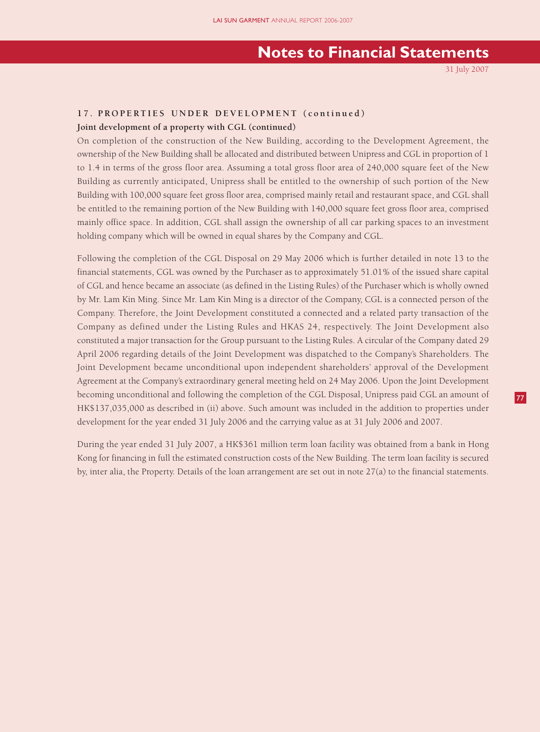31 July 2007

### **17. PROPERTIES UNDER DEVELOPMENT (continued) Joint development of a property with CGL (continued)**

On completion of the construction of the New Building, according to the Development Agreement, the ownership of the New Building shall be allocated and distributed between Unipress and CGL in proportion of 1 to 1.4 in terms of the gross floor area. Assuming a total gross floor area of 240,000 square feet of the New Building as currently anticipated, Unipress shall be entitled to the ownership of such portion of the New Building with 100,000 square feet gross floor area, comprised mainly retail and restaurant space, and CGL shall be entitled to the remaining portion of the New Building with 140,000 square feet gross floor area, comprised mainly office space. In addition, CGL shall assign the ownership of all car parking spaces to an investment holding company which will be owned in equal shares by the Company and CGL.

Following the completion of the CGL Disposal on 29 May 2006 which is further detailed in note 13 to the financial statements, CGL was owned by the Purchaser as to approximately 51.01% of the issued share capital of CGL and hence became an associate (as defined in the Listing Rules) of the Purchaser which is wholly owned by Mr. Lam Kin Ming. Since Mr. Lam Kin Ming is a director of the Company, CGL is a connected person of the Company. Therefore, the Joint Development constituted a connected and a related party transaction of the Company as defined under the Listing Rules and HKAS 24, respectively. The Joint Development also constituted a major transaction for the Group pursuant to the Listing Rules. A circular of the Company dated 29 April 2006 regarding details of the Joint Development was dispatched to the Company's Shareholders. The Joint Development became unconditional upon independent shareholders' approval of the Development Agreement at the Company's extraordinary general meeting held on 24 May 2006. Upon the Joint Development becoming unconditional and following the completion of the CGL Disposal, Unipress paid CGL an amount of HK\$137,035,000 as described in (ii) above. Such amount was included in the addition to properties under development for the year ended 31 July 2006 and the carrying value as at 31 July 2006 and 2007.

During the year ended 31 July 2007, a HK\$361 million term loan facility was obtained from a bank in Hong Kong for financing in full the estimated construction costs of the New Building. The term loan facility is secured by, inter alia, the Property. Details of the loan arrangement are set out in note 27(a) to the financial statements.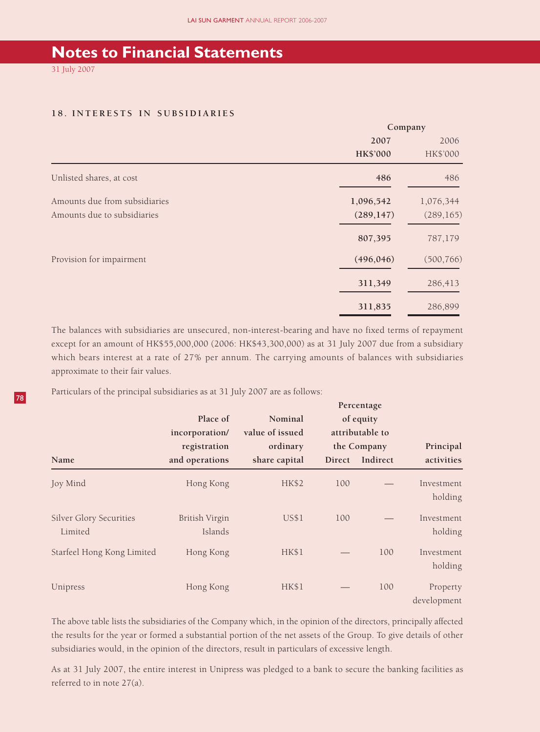31 July 2007

### **18. INTERESTS IN SUBSIDIARIES**

|                               | Company         |            |  |
|-------------------------------|-----------------|------------|--|
|                               | 2007            | 2006       |  |
|                               | <b>HK\$'000</b> | HK\$'000   |  |
| Unlisted shares, at cost      | 486             | 486        |  |
| Amounts due from subsidiaries | 1,096,542       | 1,076,344  |  |
| Amounts due to subsidiaries   | (289, 147)      | (289, 165) |  |
|                               | 807,395         | 787,179    |  |
| Provision for impairment      | (496, 046)      | (500, 766) |  |
|                               | 311,349         | 286,413    |  |
|                               | 311,835         | 286,899    |  |

The balances with subsidiaries are unsecured, non-interest-bearing and have no fixed terms of repayment except for an amount of HK\$55,000,000 (2006: HK\$43,300,000) as at 31 July 2007 due from a subsidiary which bears interest at a rate of 27% per annum. The carrying amounts of balances with subsidiaries approximate to their fair values.

Particulars of the principal subsidiaries as at 31 July 2007 are as follows:

| Name                               | Place of<br>incorporation/<br>registration<br>and operations | Nominal<br>value of issued<br>ordinary<br>share capital | Direct | Percentage<br>of equity<br>attributable to<br>the Company<br>Indirect | Principal<br>activities |
|------------------------------------|--------------------------------------------------------------|---------------------------------------------------------|--------|-----------------------------------------------------------------------|-------------------------|
| Joy Mind                           | Hong Kong                                                    | <b>HK\$2</b>                                            | 100    |                                                                       | Investment<br>holding   |
| Silver Glory Securities<br>Limited | British Virgin<br>Islands                                    | US\$1                                                   | 100    |                                                                       | Investment<br>holding   |
| Starfeel Hong Kong Limited         | Hong Kong                                                    | HK\$1                                                   |        | 100                                                                   | Investment<br>holding   |
| Unipress                           | Hong Kong                                                    | HK\$1                                                   |        | 100                                                                   | Property<br>development |

The above table lists the subsidiaries of the Company which, in the opinion of the directors, principally affected the results for the year or formed a substantial portion of the net assets of the Group. To give details of other subsidiaries would, in the opinion of the directors, result in particulars of excessive length.

As at 31 July 2007, the entire interest in Unipress was pledged to a bank to secure the banking facilities as referred to in note 27(a).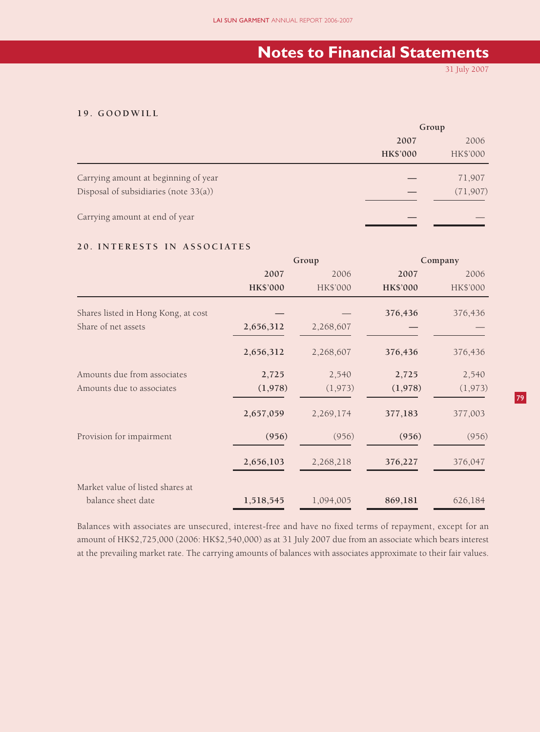31 July 2007

### **19. GOODWILL**

|                                       | Group           |           |  |
|---------------------------------------|-----------------|-----------|--|
|                                       | 2007            | 2006      |  |
|                                       | <b>HK\$'000</b> | HK\$'000  |  |
| Carrying amount at beginning of year  |                 | 71,907    |  |
| Disposal of subsidiaries (note 33(a)) |                 | (71, 907) |  |
| Carrying amount at end of year        |                 |           |  |

### **20. INTERESTS IN ASSOCIATES**

|                                     |                 | Group     |                 | Company  |  |
|-------------------------------------|-----------------|-----------|-----------------|----------|--|
|                                     | 2007            | 2006      | 2007            | 2006     |  |
|                                     | <b>HK\$'000</b> | HK\$'000  | <b>HK\$'000</b> | HK\$'000 |  |
| Shares listed in Hong Kong, at cost |                 |           | 376,436         | 376,436  |  |
| Share of net assets                 | 2,656,312       | 2,268,607 |                 |          |  |
|                                     | 2,656,312       | 2,268,607 | 376,436         | 376,436  |  |
| Amounts due from associates         | 2,725           | 2,540     | 2,725           | 2,540    |  |
| Amounts due to associates           | (1,978)         | (1, 973)  | (1,978)         | (1, 973) |  |
|                                     | 2,657,059       | 2,269,174 | 377,183         | 377,003  |  |
| Provision for impairment            | (956)           | (956)     | (956)           | (956)    |  |
|                                     | 2,656,103       | 2,268,218 | 376,227         | 376,047  |  |
| Market value of listed shares at    |                 |           |                 |          |  |
| balance sheet date                  | 1,518,545       | 1,094,005 | 869,181         | 626,184  |  |

Balances with associates are unsecured, interest-free and have no fixed terms of repayment, except for an amount of HK\$2,725,000 (2006: HK\$2,540,000) as at 31 July 2007 due from an associate which bears interest at the prevailing market rate. The carrying amounts of balances with associates approximate to their fair values.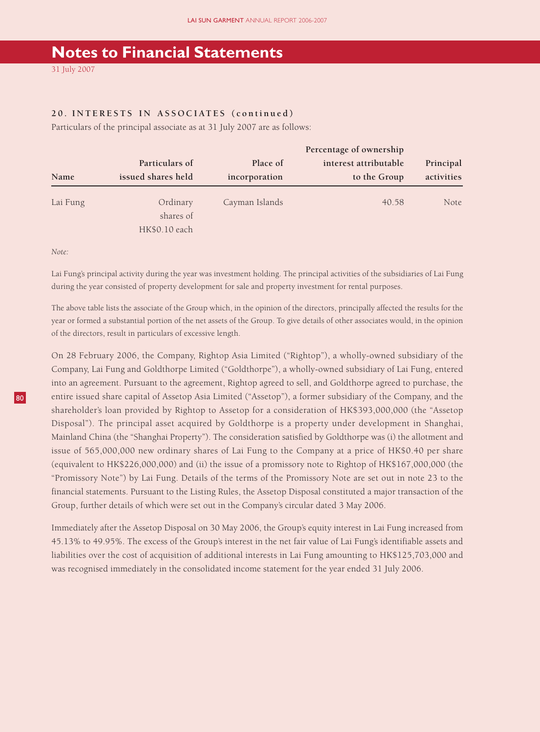31 July 2007

### **20. INTERESTS IN ASSOCIATES (continued)**

Particulars of the principal associate as at 31 July 2007 are as follows:

|          |                                        |                | Percentage of ownership |             |
|----------|----------------------------------------|----------------|-------------------------|-------------|
|          | Particulars of                         | Place of       | interest attributable   | Principal   |
| Name     | issued shares held                     | incorporation  | to the Group            | activities  |
| Lai Fung | Ordinary<br>shares of<br>HK\$0.10 each | Cayman Islands | 40.58                   | <b>Note</b> |

*Note:*

Lai Fung's principal activity during the year was investment holding. The principal activities of the subsidiaries of Lai Fung during the year consisted of property development for sale and property investment for rental purposes.

The above table lists the associate of the Group which, in the opinion of the directors, principally affected the results for the year or formed a substantial portion of the net assets of the Group. To give details of other associates would, in the opinion of the directors, result in particulars of excessive length.

On 28 February 2006, the Company, Rightop Asia Limited ("Rightop"), a wholly-owned subsidiary of the Company, Lai Fung and Goldthorpe Limited ("Goldthorpe"), a wholly-owned subsidiary of Lai Fung, entered into an agreement. Pursuant to the agreement, Rightop agreed to sell, and Goldthorpe agreed to purchase, the entire issued share capital of Assetop Asia Limited ("Assetop"), a former subsidiary of the Company, and the shareholder's loan provided by Rightop to Assetop for a consideration of HK\$393,000,000 (the "Assetop Disposal"). The principal asset acquired by Goldthorpe is a property under development in Shanghai, Mainland China (the "Shanghai Property"). The consideration satisfied by Goldthorpe was (i) the allotment and issue of 565,000,000 new ordinary shares of Lai Fung to the Company at a price of HK\$0.40 per share (equivalent to HK\$226,000,000) and (ii) the issue of a promissory note to Rightop of HK\$167,000,000 (the "Promissory Note") by Lai Fung. Details of the terms of the Promissory Note are set out in note 23 to the financial statements. Pursuant to the Listing Rules, the Assetop Disposal constituted a major transaction of the Group, further details of which were set out in the Company's circular dated 3 May 2006.

Immediately after the Assetop Disposal on 30 May 2006, the Group's equity interest in Lai Fung increased from 45.13% to 49.95%. The excess of the Group's interest in the net fair value of Lai Fung's identifiable assets and liabilities over the cost of acquisition of additional interests in Lai Fung amounting to HK\$125,703,000 and was recognised immediately in the consolidated income statement for the year ended 31 July 2006.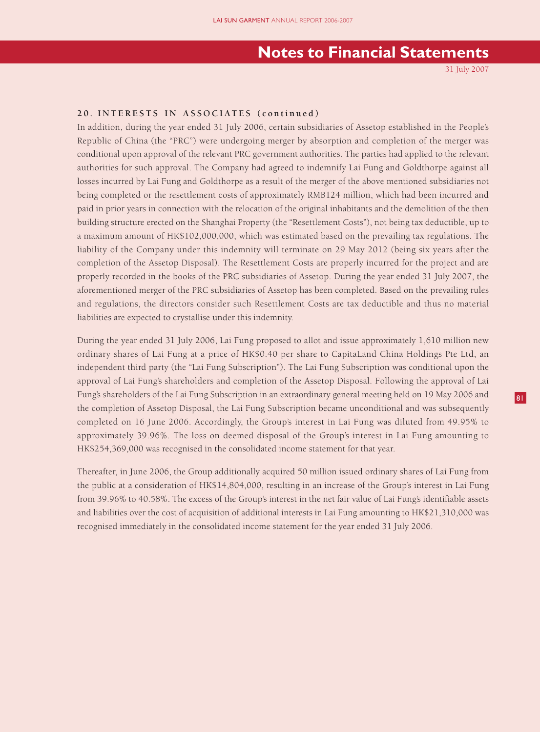31 July 2007

### **20. INTERESTS IN ASSOCIATES (continued)**

In addition, during the year ended 31 July 2006, certain subsidiaries of Assetop established in the People's Republic of China (the "PRC") were undergoing merger by absorption and completion of the merger was conditional upon approval of the relevant PRC government authorities. The parties had applied to the relevant authorities for such approval. The Company had agreed to indemnify Lai Fung and Goldthorpe against all losses incurred by Lai Fung and Goldthorpe as a result of the merger of the above mentioned subsidiaries not being completed or the resettlement costs of approximately RMB124 million, which had been incurred and paid in prior years in connection with the relocation of the original inhabitants and the demolition of the then building structure erected on the Shanghai Property (the "Resettlement Costs"), not being tax deductible, up to a maximum amount of HK\$102,000,000, which was estimated based on the prevailing tax regulations. The liability of the Company under this indemnity will terminate on 29 May 2012 (being six years after the completion of the Assetop Disposal). The Resettlement Costs are properly incurred for the project and are properly recorded in the books of the PRC subsidiaries of Assetop. During the year ended 31 July 2007, the aforementioned merger of the PRC subsidiaries of Assetop has been completed. Based on the prevailing rules and regulations, the directors consider such Resettlement Costs are tax deductible and thus no material liabilities are expected to crystallise under this indemnity.

During the year ended 31 July 2006, Lai Fung proposed to allot and issue approximately 1,610 million new ordinary shares of Lai Fung at a price of HK\$0.40 per share to CapitaLand China Holdings Pte Ltd, an independent third party (the "Lai Fung Subscription"). The Lai Fung Subscription was conditional upon the approval of Lai Fung's shareholders and completion of the Assetop Disposal. Following the approval of Lai Fung's shareholders of the Lai Fung Subscription in an extraordinary general meeting held on 19 May 2006 and the completion of Assetop Disposal, the Lai Fung Subscription became unconditional and was subsequently completed on 16 June 2006. Accordingly, the Group's interest in Lai Fung was diluted from 49.95% to approximately 39.96%. The loss on deemed disposal of the Group's interest in Lai Fung amounting to HK\$254,369,000 was recognised in the consolidated income statement for that year.

Thereafter, in June 2006, the Group additionally acquired 50 million issued ordinary shares of Lai Fung from the public at a consideration of HK\$14,804,000, resulting in an increase of the Group's interest in Lai Fung from 39.96% to 40.58%. The excess of the Group's interest in the net fair value of Lai Fung's identifiable assets and liabilities over the cost of acquisition of additional interests in Lai Fung amounting to HK\$21,310,000 was recognised immediately in the consolidated income statement for the year ended 31 July 2006.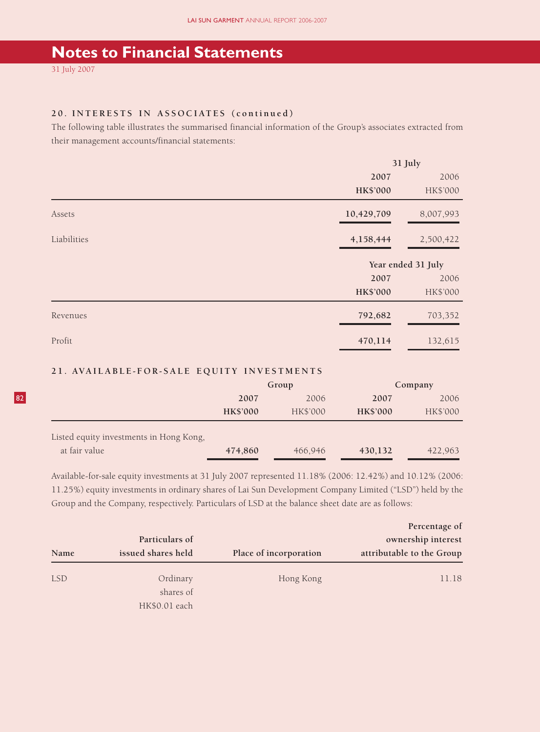31 July 2007

### **20. INTERESTS IN ASSOCIATES (continued)**

The following table illustrates the summarised financial information of the Group's associates extracted from their management accounts/financial statements:

|             |                 | 31 July            |  |  |
|-------------|-----------------|--------------------|--|--|
|             | 2007            | 2006               |  |  |
|             | <b>HK\$'000</b> | HK\$'000           |  |  |
| Assets      | 10,429,709      | 8,007,993          |  |  |
| Liabilities | 4,158,444       | 2,500,422          |  |  |
|             |                 | Year ended 31 July |  |  |
|             | 2007            | 2006               |  |  |
|             | <b>HK\$'000</b> | HK\$'000           |  |  |
| Revenues    | 792,682         | 703,352            |  |  |
| Profit      | 470,114         | 132,615            |  |  |

### **21. AVAILABLE-FOR-SALE EQUITY INVESTMENTS**

|                                                          | Group           |          | Company         |          |
|----------------------------------------------------------|-----------------|----------|-----------------|----------|
|                                                          | 2007            | 2006     | 2007            | 2006     |
|                                                          | <b>HK\$'000</b> | HK\$'000 | <b>HK\$'000</b> | HK\$'000 |
| Listed equity investments in Hong Kong,<br>at fair value | 474,860         | 466,946  | 430,132         | 422,963  |

Available-for-sale equity investments at 31 July 2007 represented 11.18% (2006: 12.42%) and 10.12% (2006: 11.25%) equity investments in ordinary shares of Lai Sun Development Company Limited ("LSD") held by the Group and the Company, respectively. Particulars of LSD at the balance sheet date are as follows:

|            |                       |                        | Percentage of             |
|------------|-----------------------|------------------------|---------------------------|
|            | Particulars of        |                        | ownership interest        |
| Name       | issued shares held    | Place of incorporation | attributable to the Group |
| <b>LSD</b> | Ordinary<br>shares of | Hong Kong              | 11.18                     |
|            | HK\$0.01 each         |                        |                           |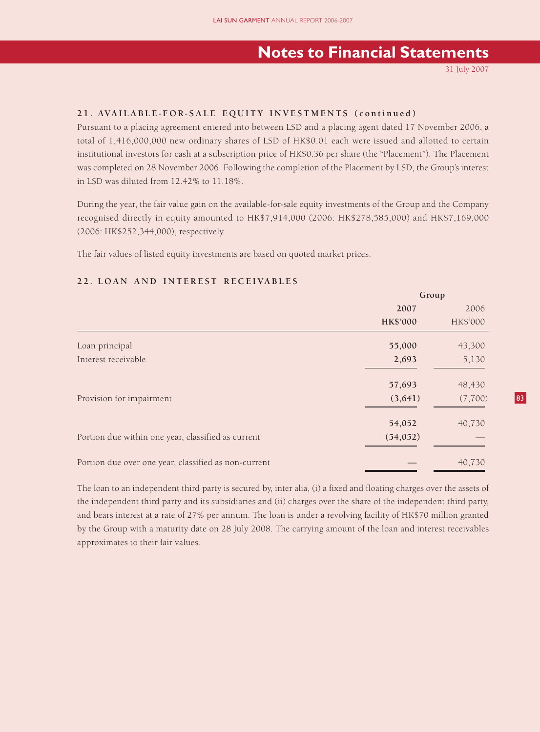31 July 2007

### **21. AVAILABLE-FOR-SALE EQUITY INVESTMENTS (continued)**

Pursuant to a placing agreement entered into between LSD and a placing agent dated 17 November 2006, a total of 1,416,000,000 new ordinary shares of LSD of HK\$0.01 each were issued and allotted to certain institutional investors for cash at a subscription price of HK\$0.36 per share (the "Placement"). The Placement was completed on 28 November 2006. Following the completion of the Placement by LSD, the Group's interest in LSD was diluted from 12.42% to 11.18%.

During the year, the fair value gain on the available-for-sale equity investments of the Group and the Company recognised directly in equity amounted to HK\$7,914,000 (2006: HK\$278,585,000) and HK\$7,169,000 (2006: HK\$252,344,000), respectively.

The fair values of listed equity investments are based on quoted market prices.

### **22. LOAN AND INTEREST RECEIVABLES**

|                                                      |                 | Group    |
|------------------------------------------------------|-----------------|----------|
|                                                      | 2007            | 2006     |
|                                                      | <b>HK\$'000</b> | HK\$'000 |
| Loan principal                                       | 55,000          | 43,300   |
| Interest receivable                                  | 2,693           | 5,130    |
|                                                      | 57,693          | 48,430   |
| Provision for impairment                             | (3,641)         | (7,700)  |
|                                                      | 54,052          | 40,730   |
| Portion due within one year, classified as current   | (54, 052)       |          |
| Portion due over one year, classified as non-current |                 | 40,730   |

The loan to an independent third party is secured by, inter alia, (i) a fixed and floating charges over the assets of the independent third party and its subsidiaries and (ii) charges over the share of the independent third party, and bears interest at a rate of 27% per annum. The loan is under a revolving facility of HK\$70 million granted by the Group with a maturity date on 28 July 2008. The carrying amount of the loan and interest receivables approximates to their fair values.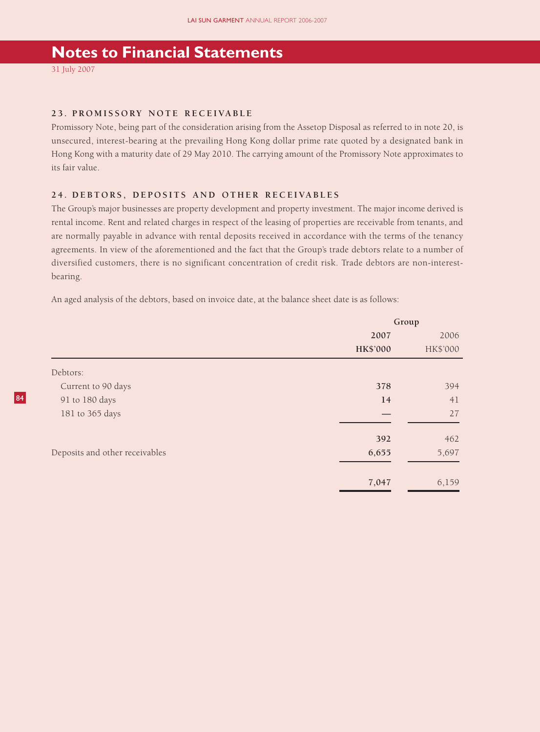31 July 2007

### **23. PROMISSORY NOTE RECEIVABLE**

Promissory Note, being part of the consideration arising from the Assetop Disposal as referred to in note 20, is unsecured, interest-bearing at the prevailing Hong Kong dollar prime rate quoted by a designated bank in Hong Kong with a maturity date of 29 May 2010. The carrying amount of the Promissory Note approximates to its fair value.

### **24. DEBTORS, DEPOSITS AND OTHER RECEIVABLES**

The Group's major businesses are property development and property investment. The major income derived is rental income. Rent and related charges in respect of the leasing of properties are receivable from tenants, and are normally payable in advance with rental deposits received in accordance with the terms of the tenancy agreements. In view of the aforementioned and the fact that the Group's trade debtors relate to a number of diversified customers, there is no significant concentration of credit risk. Trade debtors are non-interestbearing.

An aged analysis of the debtors, based on invoice date, at the balance sheet date is as follows:

|                                | Group           |          |
|--------------------------------|-----------------|----------|
|                                | 2007            | 2006     |
|                                | <b>HK\$'000</b> | HK\$'000 |
| Debtors:                       |                 |          |
| Current to 90 days             | 378             | 394      |
| 91 to 180 days                 | 14              | 41       |
| 181 to 365 days                |                 | 27       |
|                                | 392             | 462      |
| Deposits and other receivables | 6,655           | 5,697    |
|                                |                 |          |
|                                | 7,047           | 6,159    |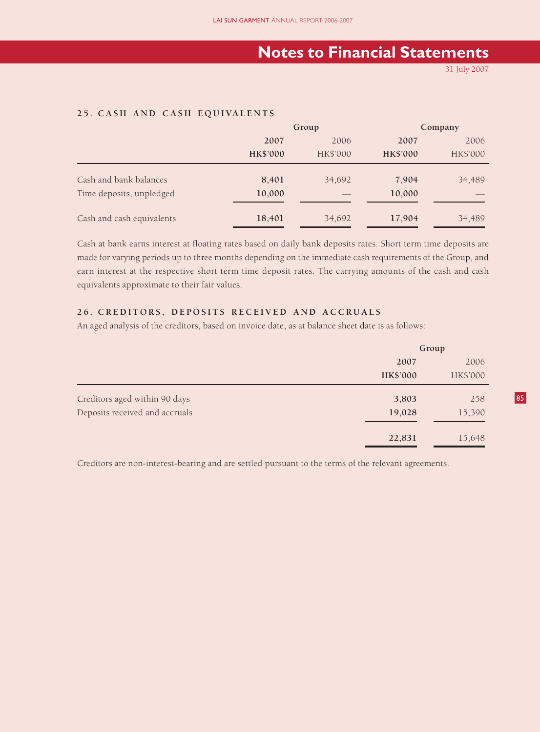31 July 2007

|                           |                 | Group    |                 | Company  |  |
|---------------------------|-----------------|----------|-----------------|----------|--|
|                           | 2007            | 2006     |                 | 2006     |  |
|                           | <b>HK\$'000</b> | HK\$'000 | <b>HK\$'000</b> | HK\$'000 |  |
| Cash and bank balances    | 8,401           | 34,692   | 7.904           | 34,489   |  |
| Time deposits, unpledged  | 10,000          |          | 10,000          |          |  |
| Cash and cash equivalents | 18,401          | 34,692   | 17,904          | 34,489   |  |

### **25. CASH AND CASH EQUIVALENTS**

Cash at bank earns interest at floating rates based on daily bank deposits rates. Short term time deposits are made for varying periods up to three months depending on the immediate cash requirements of the Group, and earn interest at the respective short term time deposit rates. The carrying amounts of the cash and cash equivalents approximate to their fair values.

### **26. CREDITORS, DEPOSITS RECEIVED AND ACCRUALS**

An aged analysis of the creditors, based on invoice date, as at balance sheet date is as follows:

|                                |                 | Group    |  |
|--------------------------------|-----------------|----------|--|
|                                | 2007            | 2006     |  |
|                                | <b>HK\$'000</b> | HK\$'000 |  |
| Creditors aged within 90 days  | 3,803           | 258      |  |
| Deposits received and accruals | 19,028          | 15,390   |  |
|                                | 22,831          | 15,648   |  |

Creditors are non-interest-bearing and are settled pursuant to the terms of the relevant agreements.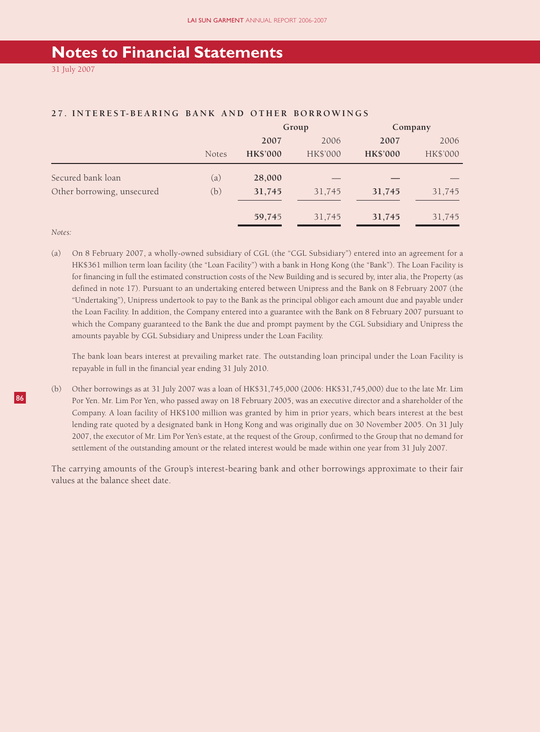31 July 2007

|                            |       | Group           |          | Company         |          |
|----------------------------|-------|-----------------|----------|-----------------|----------|
|                            |       | 2007            | 2006     | 2007            | 2006     |
|                            | Notes | <b>HK\$'000</b> | HK\$'000 | <b>HK\$'000</b> | HK\$'000 |
| Secured bank loan          | (a)   | 28,000          |          |                 |          |
| Other borrowing, unsecured | (b)   | 31,745          | 31,745   | 31,745          | 31,745   |
|                            |       | 59,745          | 31,745   | 31,745          | 31,745   |
|                            |       |                 |          |                 |          |

### **27. INTEREST-BEARING BANK AND OTHER BORROWINGS**

*Notes:*

(a) On 8 February 2007, a wholly-owned subsidiary of CGL (the "CGL Subsidiary") entered into an agreement for a HK\$361 million term loan facility (the "Loan Facility") with a bank in Hong Kong (the "Bank"). The Loan Facility is for financing in full the estimated construction costs of the New Building and is secured by, inter alia, the Property (as defined in note 17). Pursuant to an undertaking entered between Unipress and the Bank on 8 February 2007 (the "Undertaking"), Unipress undertook to pay to the Bank as the principal obligor each amount due and payable under the Loan Facility. In addition, the Company entered into a guarantee with the Bank on 8 February 2007 pursuant to which the Company guaranteed to the Bank the due and prompt payment by the CGL Subsidiary and Unipress the amounts payable by CGL Subsidiary and Unipress under the Loan Facility.

The bank loan bears interest at prevailing market rate. The outstanding loan principal under the Loan Facility is repayable in full in the financial year ending 31 July 2010.

(b) Other borrowings as at 31 July 2007 was a loan of HK\$31,745,000 (2006: HK\$31,745,000) due to the late Mr. Lim Por Yen. Mr. Lim Por Yen, who passed away on 18 February 2005, was an executive director and a shareholder of the Company. A loan facility of HK\$100 million was granted by him in prior years, which bears interest at the best lending rate quoted by a designated bank in Hong Kong and was originally due on 30 November 2005. On 31 July 2007, the executor of Mr. Lim Por Yen's estate, at the request of the Group, confirmed to the Group that no demand for settlement of the outstanding amount or the related interest would be made within one year from 31 July 2007.

The carrying amounts of the Group's interest-bearing bank and other borrowings approximate to their fair values at the balance sheet date.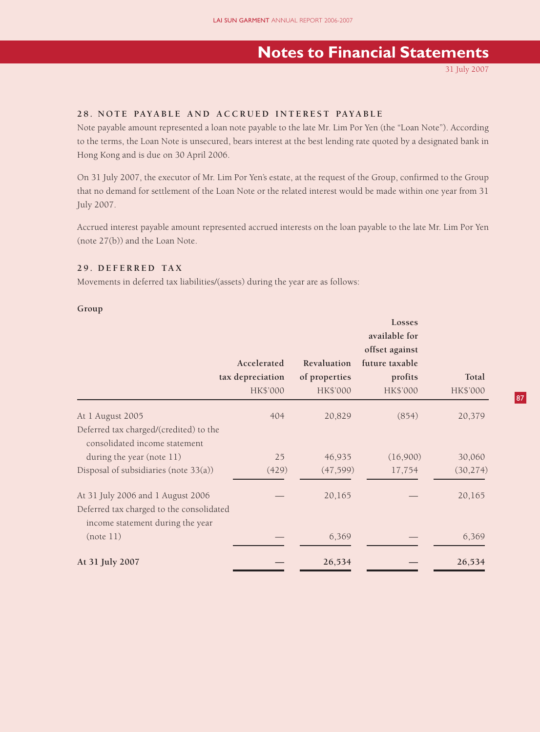31 July 2007

### **28. NOTE PAYABLE AND ACCRUED INTEREST PAYABLE**

Note payable amount represented a loan note payable to the late Mr. Lim Por Yen (the "Loan Note"). According to the terms, the Loan Note is unsecured, bears interest at the best lending rate quoted by a designated bank in Hong Kong and is due on 30 April 2006.

On 31 July 2007, the executor of Mr. Lim Por Yen's estate, at the request of the Group, confirmed to the Group that no demand for settlement of the Loan Note or the related interest would be made within one year from 31 July 2007.

Accrued interest payable amount represented accrued interests on the loan payable to the late Mr. Lim Por Yen (note 27(b)) and the Loan Note.

### **29. DEFERRED TAX**

Movements in deferred tax liabilities/(assets) during the year are as follows:

### **Group**

|                                                                                                                   | Accelerated<br>tax depreciation<br>HK\$'000 | Revaluation<br>of properties<br>HK\$'000 | Losses<br>available for<br>offset against<br>future taxable<br>profits<br>HK\$'000 | Total<br>HK\$'000 |
|-------------------------------------------------------------------------------------------------------------------|---------------------------------------------|------------------------------------------|------------------------------------------------------------------------------------|-------------------|
| At 1 August 2005                                                                                                  | 404                                         | 20,829                                   | (854)                                                                              | 20,379            |
| Deferred tax charged/(credited) to the<br>consolidated income statement                                           |                                             |                                          |                                                                                    |                   |
| during the year (note 11)                                                                                         | 25                                          | 46,935                                   | (16,900)                                                                           | 30,060            |
| Disposal of subsidiaries (note 33(a))                                                                             | (429)                                       | (47, 599)                                | 17,754                                                                             | (30, 274)         |
| At 31 July 2006 and 1 August 2006<br>Deferred tax charged to the consolidated<br>income statement during the year |                                             | 20,165                                   |                                                                                    | 20,165            |
| (note 11)                                                                                                         |                                             | 6,369                                    |                                                                                    | 6,369             |
| At 31 July 2007                                                                                                   |                                             | 26,534                                   |                                                                                    | 26,534            |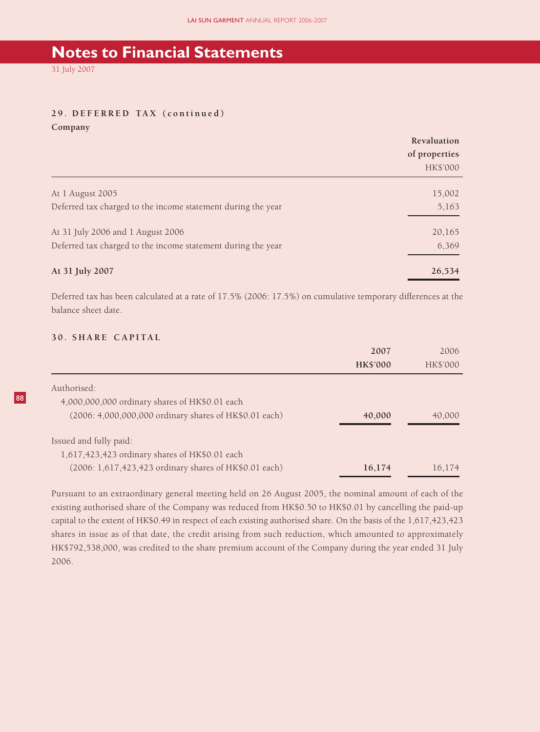31 July 2007

### **29. DEFERRED TAX (continued)**

**Company**

|                                                              | Revaluation   |
|--------------------------------------------------------------|---------------|
|                                                              | of properties |
|                                                              | HK\$'000      |
|                                                              |               |
| At 1 August 2005                                             | 15,002        |
| Deferred tax charged to the income statement during the year | 5,163         |
| At 31 July 2006 and 1 August 2006                            | 20,165        |
| Deferred tax charged to the income statement during the year | 6,369         |
| At 31 July 2007                                              | 26,534        |

Deferred tax has been calculated at a rate of 17.5% (2006: 17.5%) on cumulative temporary differences at the balance sheet date.

### **30. SHARE CAPITAL**

|                                                        | 2007            | 2006     |
|--------------------------------------------------------|-----------------|----------|
|                                                        | <b>HK\$'000</b> | HK\$'000 |
| Authorised:                                            |                 |          |
| 4,000,000,000 ordinary shares of HK\$0.01 each         |                 |          |
| (2006: 4,000,000,000 ordinary shares of HK\$0.01 each) | 40,000          | 40,000   |
| Issued and fully paid:                                 |                 |          |
| 1,617,423,423 ordinary shares of HK\$0.01 each         |                 |          |
| (2006: 1,617,423,423 ordinary shares of HK\$0.01 each) | 16,174          | 16,174   |

Pursuant to an extraordinary general meeting held on 26 August 2005, the nominal amount of each of the existing authorised share of the Company was reduced from HK\$0.50 to HK\$0.01 by cancelling the paid-up capital to the extent of HK\$0.49 in respect of each existing authorised share. On the basis of the 1,617,423,423 shares in issue as of that date, the credit arising from such reduction, which amounted to approximately HK\$792,538,000, was credited to the share premium account of the Company during the year ended 31 July 2006.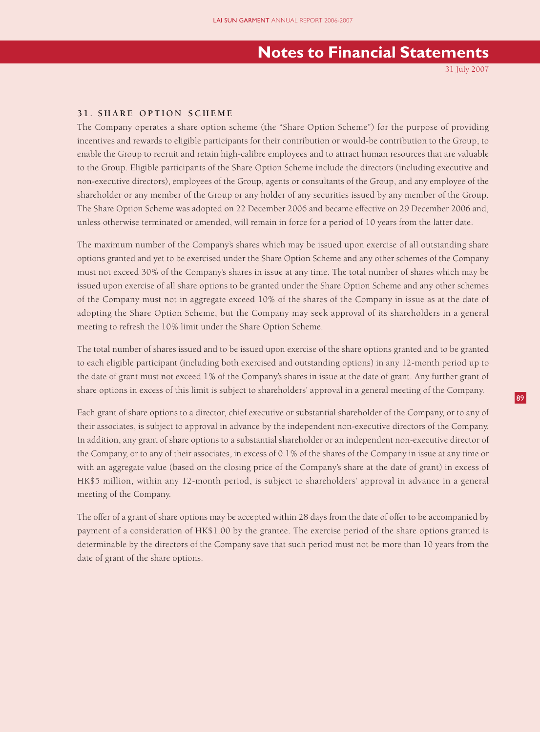31 July 2007

### **31. SHARE OPTION SCHEME**

The Company operates a share option scheme (the "Share Option Scheme") for the purpose of providing incentives and rewards to eligible participants for their contribution or would-be contribution to the Group, to enable the Group to recruit and retain high-calibre employees and to attract human resources that are valuable to the Group. Eligible participants of the Share Option Scheme include the directors (including executive and non-executive directors), employees of the Group, agents or consultants of the Group, and any employee of the shareholder or any member of the Group or any holder of any securities issued by any member of the Group. The Share Option Scheme was adopted on 22 December 2006 and became effective on 29 December 2006 and, unless otherwise terminated or amended, will remain in force for a period of 10 years from the latter date.

The maximum number of the Company's shares which may be issued upon exercise of all outstanding share options granted and yet to be exercised under the Share Option Scheme and any other schemes of the Company must not exceed 30% of the Company's shares in issue at any time. The total number of shares which may be issued upon exercise of all share options to be granted under the Share Option Scheme and any other schemes of the Company must not in aggregate exceed 10% of the shares of the Company in issue as at the date of adopting the Share Option Scheme, but the Company may seek approval of its shareholders in a general meeting to refresh the 10% limit under the Share Option Scheme.

The total number of shares issued and to be issued upon exercise of the share options granted and to be granted to each eligible participant (including both exercised and outstanding options) in any 12-month period up to the date of grant must not exceed 1% of the Company's shares in issue at the date of grant. Any further grant of share options in excess of this limit is subject to shareholders' approval in a general meeting of the Company.

Each grant of share options to a director, chief executive or substantial shareholder of the Company, or to any of their associates, is subject to approval in advance by the independent non-executive directors of the Company. In addition, any grant of share options to a substantial shareholder or an independent non-executive director of the Company, or to any of their associates, in excess of 0.1% of the shares of the Company in issue at any time or with an aggregate value (based on the closing price of the Company's share at the date of grant) in excess of HK\$5 million, within any 12-month period, is subject to shareholders' approval in advance in a general meeting of the Company.

The offer of a grant of share options may be accepted within 28 days from the date of offer to be accompanied by payment of a consideration of HK\$1.00 by the grantee. The exercise period of the share options granted is determinable by the directors of the Company save that such period must not be more than 10 years from the date of grant of the share options.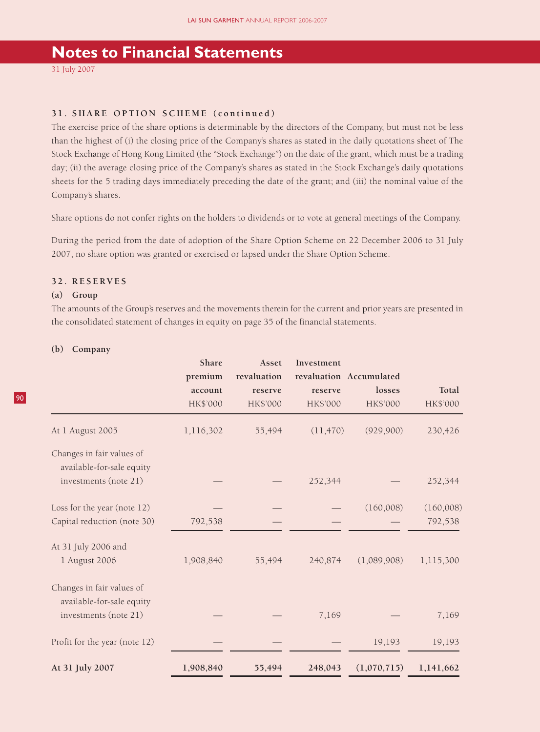31 July 2007

### **31. SHARE OPTION SCHEME (continued)**

The exercise price of the share options is determinable by the directors of the Company, but must not be less than the highest of (i) the closing price of the Company's shares as stated in the daily quotations sheet of The Stock Exchange of Hong Kong Limited (the "Stock Exchange") on the date of the grant, which must be a trading day; (ii) the average closing price of the Company's shares as stated in the Stock Exchange's daily quotations sheets for the 5 trading days immediately preceding the date of the grant; and (iii) the nominal value of the Company's shares.

Share options do not confer rights on the holders to dividends or to vote at general meetings of the Company.

During the period from the date of adoption of the Share Option Scheme on 22 December 2006 to 31 July 2007, no share option was granted or exercised or lapsed under the Share Option Scheme.

#### **32. RESERVES**

#### **(a) Group**

The amounts of the Group's reserves and the movements therein for the current and prior years are presented in the consolidated statement of changes in equity on page 35 of the financial statements.

|                                                                                 | Share<br>premium | Asset<br>revaluation | Investment | revaluation Accumulated |           |
|---------------------------------------------------------------------------------|------------------|----------------------|------------|-------------------------|-----------|
|                                                                                 | account          | reserve              | reserve    | losses                  | Total     |
|                                                                                 | HK\$'000         | HK\$'000             | HK\$'000   | HK\$'000                | HK\$'000  |
| At 1 August 2005                                                                | 1,116,302        | 55,494               | (11, 470)  | (929,900)               | 230,426   |
| Changes in fair values of<br>available-for-sale equity                          |                  |                      |            |                         |           |
| investments (note 21)                                                           |                  |                      | 252,344    |                         | 252,344   |
| Loss for the year (note 12)                                                     |                  |                      |            | (160,008)               | (160,008) |
| Capital reduction (note 30)                                                     | 792,538          |                      |            |                         | 792,538   |
| At 31 July 2006 and<br>1 August 2006                                            | 1,908,840        | 55,494               | 240,874    | (1,089,908)             | 1,115,300 |
| Changes in fair values of<br>available-for-sale equity<br>investments (note 21) |                  |                      | 7,169      |                         | 7,169     |
| Profit for the year (note 12)                                                   |                  |                      |            | 19,193                  | 19,193    |
| At 31 July 2007                                                                 | 1,908,840        | 55,494               | 248,043    | (1,070,715)             | 1,141,662 |

### **(b) Company**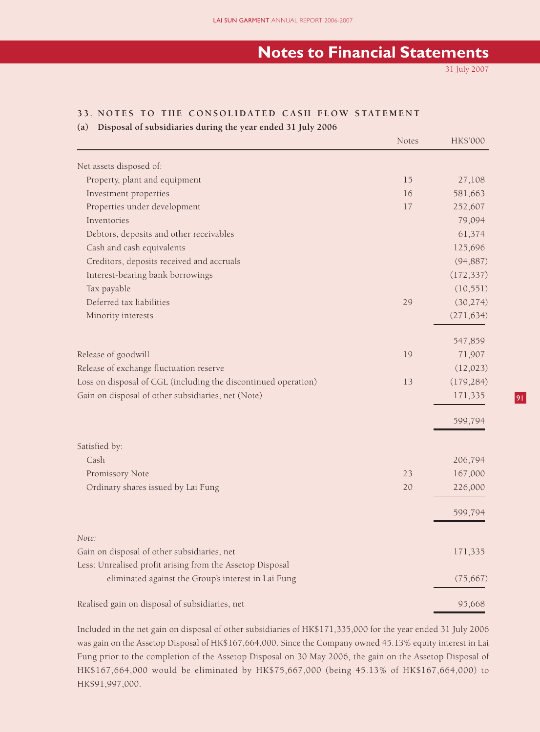31 July 2007

### **33. NOTES TO THE CONSOLIDATED CASH FLOW STATEMENT**

**(a) Disposal of subsidiaries during the year ended 31 July 2006**

|                                                                | Notes | HK\$'000   |
|----------------------------------------------------------------|-------|------------|
| Net assets disposed of:                                        |       |            |
| Property, plant and equipment                                  | 15    | 27,108     |
| Investment properties                                          | 16    | 581,663    |
| Properties under development                                   | 17    | 252,607    |
| Inventories                                                    |       | 79,094     |
| Debtors, deposits and other receivables                        |       | 61,374     |
| Cash and cash equivalents                                      |       | 125,696    |
| Creditors, deposits received and accruals                      |       | (94, 887)  |
| Interest-bearing bank borrowings                               |       | (172, 337) |
| Tax payable                                                    |       | (10, 551)  |
| Deferred tax liabilities                                       | 29    | (30, 274)  |
| Minority interests                                             |       | (271, 634) |
|                                                                |       | 547,859    |
| Release of goodwill                                            | 19    | 71,907     |
| Release of exchange fluctuation reserve                        |       | (12, 023)  |
| Loss on disposal of CGL (including the discontinued operation) | 13    | (179, 284) |
| Gain on disposal of other subsidiaries, net (Note)             |       | 171,335    |
|                                                                |       | 599,794    |
| Satisfied by:                                                  |       |            |
| Cash                                                           |       | 206,794    |
| Promissory Note                                                | 23    | 167,000    |
| Ordinary shares issued by Lai Fung                             | 20    | 226,000    |
|                                                                |       | 599,794    |
| Note:                                                          |       |            |
| Gain on disposal of other subsidiaries, net                    |       | 171,335    |
| Less: Unrealised profit arising from the Assetop Disposal      |       |            |
| eliminated against the Group's interest in Lai Fung            |       | (75, 667)  |
| Realised gain on disposal of subsidiaries, net                 |       | 95,668     |

Included in the net gain on disposal of other subsidiaries of HK\$171,335,000 for the year ended 31 July 2006 was gain on the Assetop Disposal of HK\$167,664,000. Since the Company owned 45.13% equity interest in Lai Fung prior to the completion of the Assetop Disposal on 30 May 2006, the gain on the Assetop Disposal of HK\$167,664,000 would be eliminated by HK\$75,667,000 (being 45.13% of HK\$167,664,000) to HK\$91,997,000.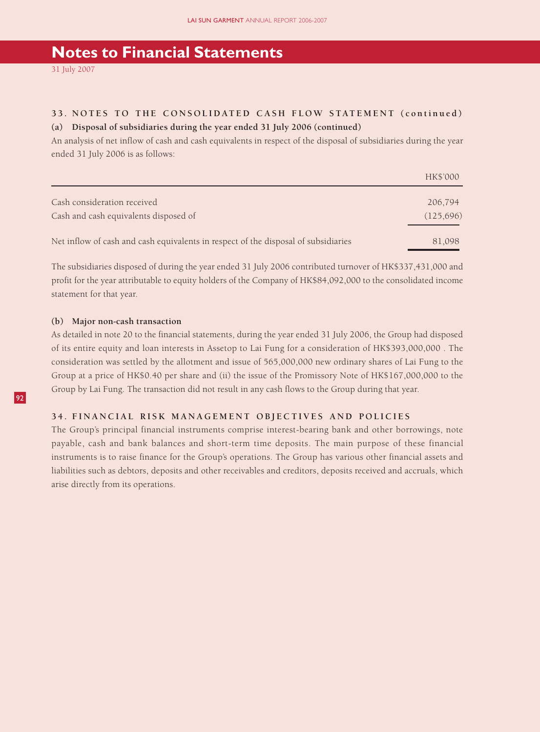31 July 2007

### **33. NOTES TO THE CONSOLIDATED CASH FLOW STATEMENT (continued) (a) Disposal of subsidiaries during the year ended 31 July 2006 (continued)**

An analysis of net inflow of cash and cash equivalents in respect of the disposal of subsidiaries during the year ended 31 July 2006 is as follows:

|                                                                                    | HK\$'000             |
|------------------------------------------------------------------------------------|----------------------|
| Cash consideration received<br>Cash and cash equivalents disposed of               | 206,794<br>(125,696) |
| Net inflow of cash and cash equivalents in respect of the disposal of subsidiaries | 81,098               |

The subsidiaries disposed of during the year ended 31 July 2006 contributed turnover of HK\$337,431,000 and profit for the year attributable to equity holders of the Company of HK\$84,092,000 to the consolidated income statement for that year.

### **(b) Major non-cash transaction**

As detailed in note 20 to the financial statements, during the year ended 31 July 2006, the Group had disposed of its entire equity and loan interests in Assetop to Lai Fung for a consideration of HK\$393,000,000 . The consideration was settled by the allotment and issue of 565,000,000 new ordinary shares of Lai Fung to the Group at a price of HK\$0.40 per share and (ii) the issue of the Promissory Note of HK\$167,000,000 to the Group by Lai Fung. The transaction did not result in any cash flows to the Group during that year.

### **34. FINANCIAL RISK MANAGEMENT OBJECTIVES AND POLICIES**

The Group's principal financial instruments comprise interest-bearing bank and other borrowings, note payable, cash and bank balances and short-term time deposits. The main purpose of these financial instruments is to raise finance for the Group's operations. The Group has various other financial assets and liabilities such as debtors, deposits and other receivables and creditors, deposits received and accruals, which arise directly from its operations.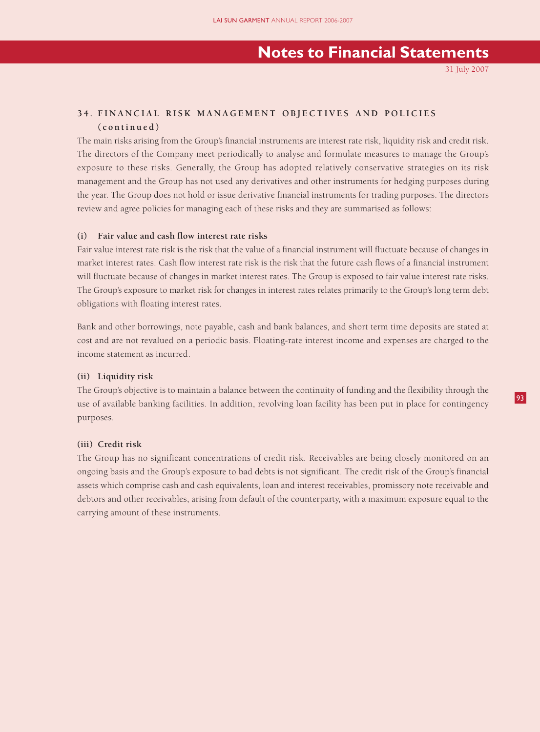31 July 2007

### **34. FINANCIAL RISK MANAGEMENT OBJECTIVES AND POLICIES (continued)**

The main risks arising from the Group's financial instruments are interest rate risk, liquidity risk and credit risk. The directors of the Company meet periodically to analyse and formulate measures to manage the Group's exposure to these risks. Generally, the Group has adopted relatively conservative strategies on its risk management and the Group has not used any derivatives and other instruments for hedging purposes during the year. The Group does not hold or issue derivative financial instruments for trading purposes. The directors review and agree policies for managing each of these risks and they are summarised as follows:

### **(i) Fair value and cash flow interest rate risks**

Fair value interest rate risk is the risk that the value of a financial instrument will fluctuate because of changes in market interest rates. Cash flow interest rate risk is the risk that the future cash flows of a financial instrument will fluctuate because of changes in market interest rates. The Group is exposed to fair value interest rate risks. The Group's exposure to market risk for changes in interest rates relates primarily to the Group's long term debt obligations with floating interest rates.

Bank and other borrowings, note payable, cash and bank balances, and short term time deposits are stated at cost and are not revalued on a periodic basis. Floating-rate interest income and expenses are charged to the income statement as incurred.

### **(ii) Liquidity risk**

The Group's objective is to maintain a balance between the continuity of funding and the flexibility through the use of available banking facilities. In addition, revolving loan facility has been put in place for contingency purposes.

#### **(iii) Credit risk**

The Group has no significant concentrations of credit risk. Receivables are being closely monitored on an ongoing basis and the Group's exposure to bad debts is not significant. The credit risk of the Group's financial assets which comprise cash and cash equivalents, loan and interest receivables, promissory note receivable and debtors and other receivables, arising from default of the counterparty, with a maximum exposure equal to the carrying amount of these instruments.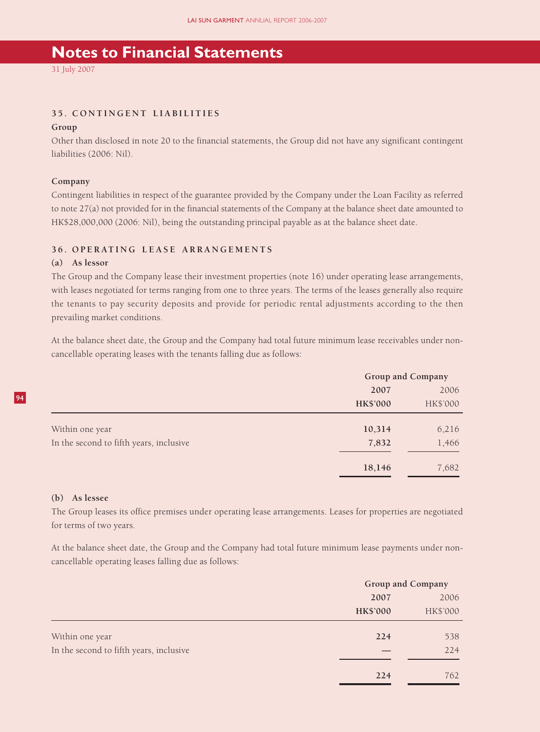31 July 2007

### **35. CONTINGENT LIABILITIES**

#### **Group**

Other than disclosed in note 20 to the financial statements, the Group did not have any significant contingent liabilities (2006: Nil).

### **Company**

Contingent liabilities in respect of the guarantee provided by the Company under the Loan Facility as referred to note 27(a) not provided for in the financial statements of the Company at the balance sheet date amounted to HK\$28,000,000 (2006: Nil), being the outstanding principal payable as at the balance sheet date.

### **36. OPERATING LEASE ARRANGEMENTS**

### **(a) As lessor**

The Group and the Company lease their investment properties (note 16) under operating lease arrangements, with leases negotiated for terms ranging from one to three years. The terms of the leases generally also require the tenants to pay security deposits and provide for periodic rental adjustments according to the then prevailing market conditions.

At the balance sheet date, the Group and the Company had total future minimum lease receivables under noncancellable operating leases with the tenants falling due as follows:

|                                         | Group and Company |          |
|-----------------------------------------|-------------------|----------|
|                                         | 2007              | 2006     |
|                                         | <b>HK\$'000</b>   | HK\$'000 |
|                                         |                   |          |
| Within one year                         | 10,314            | 6,216    |
| In the second to fifth years, inclusive | 7,832             | 1,466    |
|                                         |                   |          |
|                                         | 18,146            | 7,682    |

### **(b) As lessee**

The Group leases its office premises under operating lease arrangements. Leases for properties are negotiated for terms of two years.

At the balance sheet date, the Group and the Company had total future minimum lease payments under noncancellable operating leases falling due as follows:

|                                         |                 | Group and Company |  |
|-----------------------------------------|-----------------|-------------------|--|
|                                         | 2007            | 2006              |  |
|                                         | <b>HK\$'000</b> | HK\$'000          |  |
|                                         |                 |                   |  |
| Within one year                         | 224             | 538               |  |
| In the second to fifth years, inclusive |                 | 224               |  |
|                                         |                 |                   |  |
|                                         | 224             | 762               |  |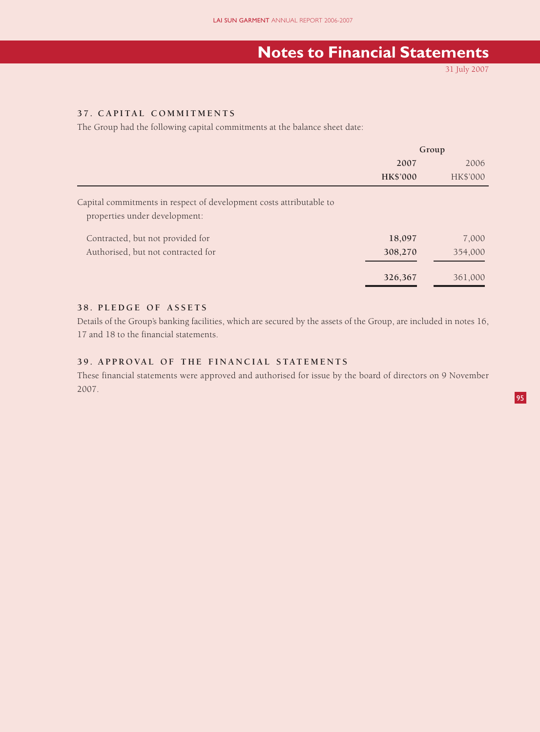31 July 2007

### **37. CAPITAL COMMITMENTS**

The Group had the following capital commitments at the balance sheet date:

|                                                                                                      | Group                   |                  |
|------------------------------------------------------------------------------------------------------|-------------------------|------------------|
|                                                                                                      | 2007<br><b>HK\$'000</b> | 2006<br>HK\$'000 |
|                                                                                                      |                         |                  |
| Capital commitments in respect of development costs attributable to<br>properties under development: |                         |                  |
| Contracted, but not provided for                                                                     | 18,097                  | 7,000            |
| Authorised, but not contracted for                                                                   | 308,270                 | 354,000          |
|                                                                                                      | 326,367                 | 361,000          |

### **38. PLEDGE OF ASSETS**

Details of the Group's banking facilities, which are secured by the assets of the Group, are included in notes 16, 17 and 18 to the financial statements.

### **39. APPROVAL OF THE FINANCIAL STATEMENTS**

These financial statements were approved and authorised for issue by the board of directors on 9 November 2007.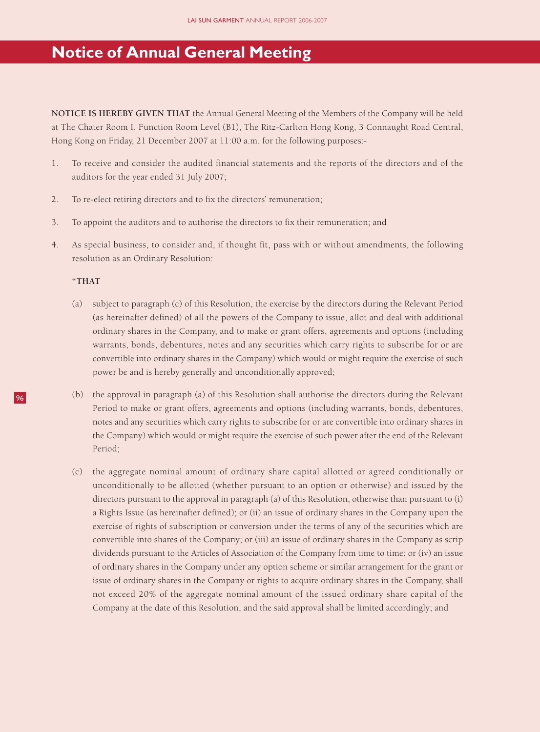# **Notice of Annual General Meeting**

**NOTICE IS HEREBY GIVEN THAT** the Annual General Meeting of the Members of the Company will be held at The Chater Room I, Function Room Level (B1), The Ritz-Carlton Hong Kong, 3 Connaught Road Central, Hong Kong on Friday, 21 December 2007 at 11:00 a.m. for the following purposes:-

- 1. To receive and consider the audited financial statements and the reports of the directors and of the auditors for the year ended 31 July 2007;
- 2. To re-elect retiring directors and to fix the directors' remuneration;
- 3. To appoint the auditors and to authorise the directors to fix their remuneration; and
- 4. As special business, to consider and, if thought fit, pass with or without amendments, the following resolution as an Ordinary Resolution:

#### **"THAT**

- (a) subject to paragraph (c) of this Resolution, the exercise by the directors during the Relevant Period (as hereinafter defined) of all the powers of the Company to issue, allot and deal with additional ordinary shares in the Company, and to make or grant offers, agreements and options (including warrants, bonds, debentures, notes and any securities which carry rights to subscribe for or are convertible into ordinary shares in the Company) which would or might require the exercise of such power be and is hereby generally and unconditionally approved;
- (b) the approval in paragraph (a) of this Resolution shall authorise the directors during the Relevant Period to make or grant offers, agreements and options (including warrants, bonds, debentures, notes and any securities which carry rights to subscribe for or are convertible into ordinary shares in the Company) which would or might require the exercise of such power after the end of the Relevant Period;
- (c) the aggregate nominal amount of ordinary share capital allotted or agreed conditionally or unconditionally to be allotted (whether pursuant to an option or otherwise) and issued by the directors pursuant to the approval in paragraph (a) of this Resolution, otherwise than pursuant to (i) a Rights Issue (as hereinafter defined); or (ii) an issue of ordinary shares in the Company upon the exercise of rights of subscription or conversion under the terms of any of the securities which are convertible into shares of the Company; or (iii) an issue of ordinary shares in the Company as scrip dividends pursuant to the Articles of Association of the Company from time to time; or (iv) an issue of ordinary shares in the Company under any option scheme or similar arrangement for the grant or issue of ordinary shares in the Company or rights to acquire ordinary shares in the Company, shall not exceed 20% of the aggregate nominal amount of the issued ordinary share capital of the Company at the date of this Resolution, and the said approval shall be limited accordingly; and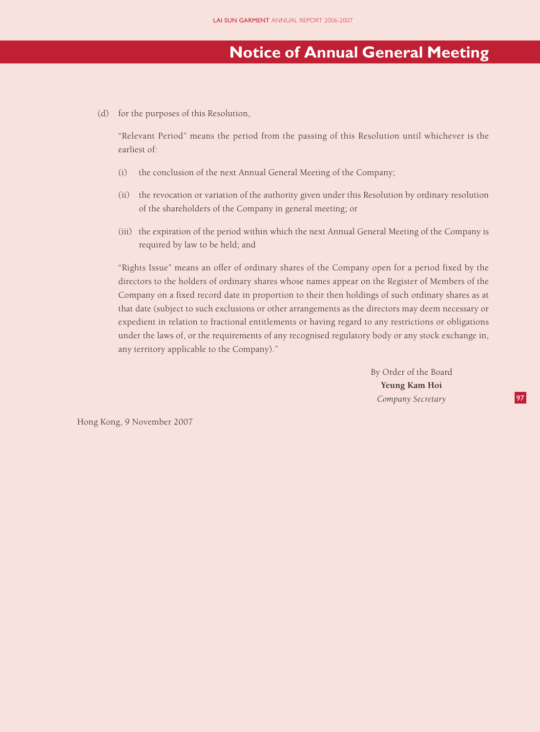# **Notice of Annual General Meeting**

(d) for the purposes of this Resolution,

"Relevant Period" means the period from the passing of this Resolution until whichever is the earliest of:

- (i) the conclusion of the next Annual General Meeting of the Company;
- (ii) the revocation or variation of the authority given under this Resolution by ordinary resolution of the shareholders of the Company in general meeting; or
- (iii) the expiration of the period within which the next Annual General Meeting of the Company is required by law to be held; and

"Rights Issue" means an offer of ordinary shares of the Company open for a period fixed by the directors to the holders of ordinary shares whose names appear on the Register of Members of the Company on a fixed record date in proportion to their then holdings of such ordinary shares as at that date (subject to such exclusions or other arrangements as the directors may deem necessary or expedient in relation to fractional entitlements or having regard to any restrictions or obligations under the laws of, or the requirements of any recognised regulatory body or any stock exchange in, any territory applicable to the Company)."

> By Order of the Board **Yeung Kam Hoi** *Company Secretary*

Hong Kong, 9 November 2007